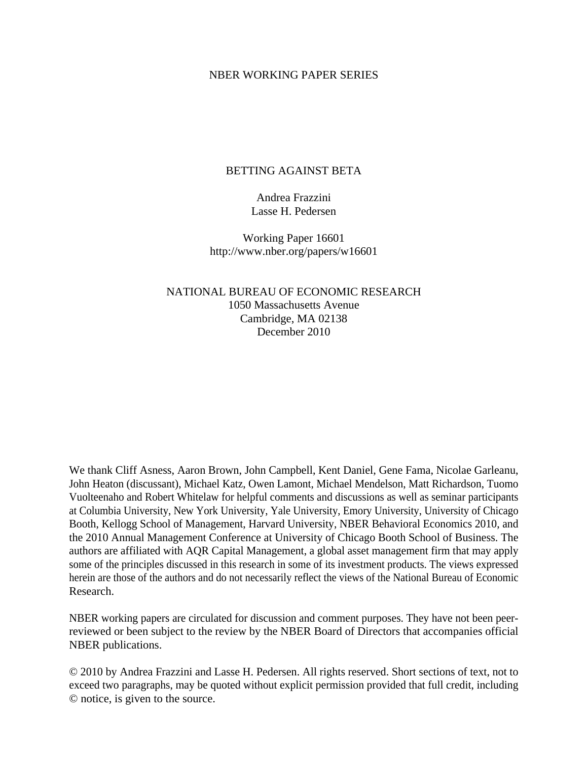#### NBER WORKING PAPER SERIES

### BETTING AGAINST BETA

Andrea Frazzini Lasse H. Pedersen

Working Paper 16601 http://www.nber.org/papers/w16601

NATIONAL BUREAU OF ECONOMIC RESEARCH 1050 Massachusetts Avenue Cambridge, MA 02138 December 2010

We thank Cliff Asness, Aaron Brown, John Campbell, Kent Daniel, Gene Fama, Nicolae Garleanu, John Heaton (discussant), Michael Katz, Owen Lamont, Michael Mendelson, Matt Richardson, Tuomo Vuolteenaho and Robert Whitelaw for helpful comments and discussions as well as seminar participants at Columbia University, New York University, Yale University, Emory University, University of Chicago Booth, Kellogg School of Management, Harvard University, NBER Behavioral Economics 2010, and the 2010 Annual Management Conference at University of Chicago Booth School of Business. The authors are affiliated with AQR Capital Management, a global asset management firm that may apply some of the principles discussed in this research in some of its investment products. The views expressed herein are those of the authors and do not necessarily reflect the views of the National Bureau of Economic Research.

NBER working papers are circulated for discussion and comment purposes. They have not been peerreviewed or been subject to the review by the NBER Board of Directors that accompanies official NBER publications.

© 2010 by Andrea Frazzini and Lasse H. Pedersen. All rights reserved. Short sections of text, not to exceed two paragraphs, may be quoted without explicit permission provided that full credit, including © notice, is given to the source.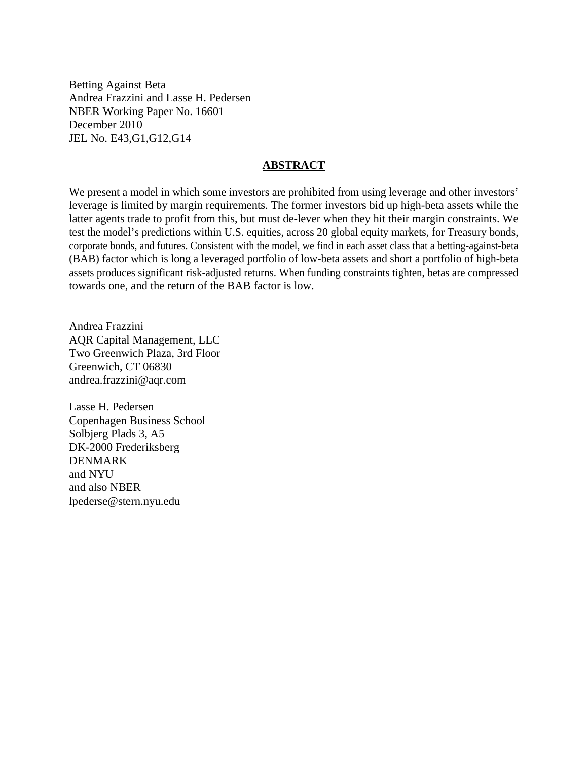Betting Against Beta Andrea Frazzini and Lasse H. Pedersen NBER Working Paper No. 16601 December 2010 JEL No. E43,G1,G12,G14

#### **ABSTRACT**

We present a model in which some investors are prohibited from using leverage and other investors' leverage is limited by margin requirements. The former investors bid up high-beta assets while the latter agents trade to profit from this, but must de-lever when they hit their margin constraints. We test the model's predictions within U.S. equities, across 20 global equity markets, for Treasury bonds, corporate bonds, and futures. Consistent with the model, we find in each asset class that a betting-against-beta (BAB) factor which is long a leveraged portfolio of low-beta assets and short a portfolio of high-beta assets produces significant risk-adjusted returns. When funding constraints tighten, betas are compressed towards one, and the return of the BAB factor is low.

Andrea Frazzini AQR Capital Management, LLC Two Greenwich Plaza, 3rd Floor Greenwich, CT 06830 andrea.frazzini@aqr.com

Lasse H. Pedersen Copenhagen Business School Solbjerg Plads 3, A5 DK-2000 Frederiksberg DENMARK and NYU and also NBER lpederse@stern.nyu.edu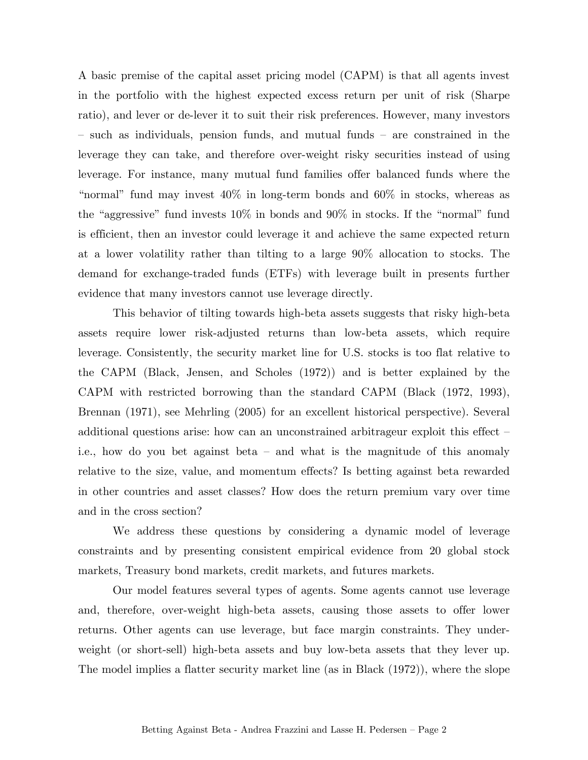A basic premise of the capital asset pricing model (CAPM) is that all agents invest in the portfolio with the highest expected excess return per unit of risk (Sharpe ratio), and lever or de-lever it to suit their risk preferences. However, many investors — such as individuals, pension funds, and mutual funds — are constrained in the leverage they can take, and therefore over-weight risky securities instead of using leverage. For instance, many mutual fund families offer balanced funds where the "normal" fund may invest 40% in long-term bonds and 60% in stocks, whereas as the "aggressive" fund invests 10% in bonds and 90% in stocks. If the "normal" fund is efficient, then an investor could leverage it and achieve the same expected return at a lower volatility rather than tilting to a large 90% allocation to stocks. The demand for exchange-traded funds (ETFs) with leverage built in presents further evidence that many investors cannot use leverage directly.

This behavior of tilting towards high-beta assets suggests that risky high-beta assets require lower risk-adjusted returns than low-beta assets, which require leverage. Consistently, the security market line for U.S. stocks is too flat relative to the CAPM (Black, Jensen, and Scholes (1972)) and is better explained by the CAPM with restricted borrowing than the standard CAPM (Black (1972, 1993), Brennan (1971), see Mehrling (2005) for an excellent historical perspective). Several additional questions arise: how can an unconstrained arbitrageur exploit this effect i.e., how do you bet against beta — and what is the magnitude of this anomaly relative to the size, value, and momentum effects? Is betting against beta rewarded in other countries and asset classes? How does the return premium vary over time and in the cross section?

We address these questions by considering a dynamic model of leverage constraints and by presenting consistent empirical evidence from 20 global stock markets, Treasury bond markets, credit markets, and futures markets.

Our model features several types of agents. Some agents cannot use leverage and, therefore, over-weight high-beta assets, causing those assets to offer lower returns. Other agents can use leverage, but face margin constraints. They underweight (or short-sell) high-beta assets and buy low-beta assets that they lever up. The model implies a flatter security market line (as in Black (1972)), where the slope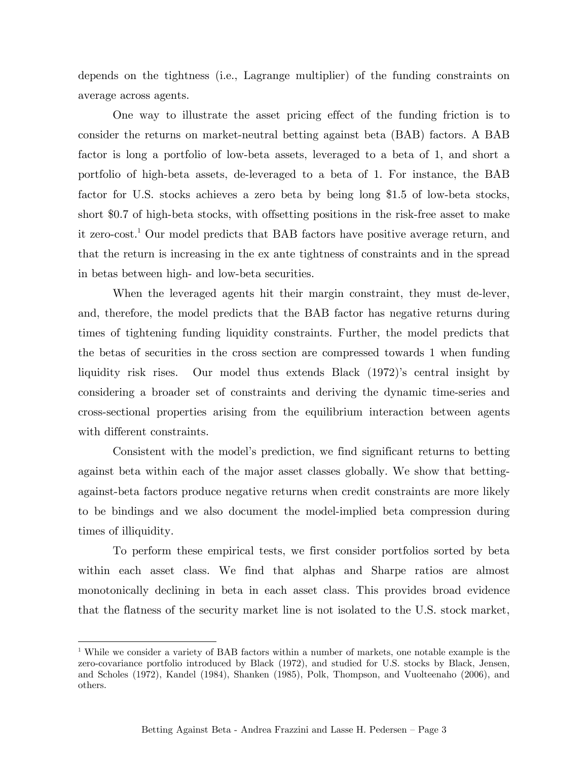depends on the tightness (i.e., Lagrange multiplier) of the funding constraints on average across agents.

One way to illustrate the asset pricing effect of the funding friction is to consider the returns on market-neutral betting against beta (BAB) factors. A BAB factor is long a portfolio of low-beta assets, leveraged to a beta of 1, and short a portfolio of high-beta assets, de-leveraged to a beta of 1. For instance, the BAB factor for U.S. stocks achieves a zero beta by being long \$1.5 of low-beta stocks, short \$0.7 of high-beta stocks, with offsetting positions in the risk-free asset to make it zero-cost.1 Our model predicts that BAB factors have positive average return, and that the return is increasing in the ex ante tightness of constraints and in the spread in betas between high- and low-beta securities.

When the leveraged agents hit their margin constraint, they must de-lever, and, therefore, the model predicts that the BAB factor has negative returns during times of tightening funding liquidity constraints. Further, the model predicts that the betas of securities in the cross section are compressed towards 1 when funding liquidity risk rises. Our model thus extends Black (1972)'s central insight by considering a broader set of constraints and deriving the dynamic time-series and cross-sectional properties arising from the equilibrium interaction between agents with different constraints.

Consistent with the model's prediction, we find significant returns to betting against beta within each of the major asset classes globally. We show that bettingagainst-beta factors produce negative returns when credit constraints are more likely to be bindings and we also document the model-implied beta compression during times of illiquidity.

To perform these empirical tests, we first consider portfolios sorted by beta within each asset class. We find that alphas and Sharpe ratios are almost monotonically declining in beta in each asset class. This provides broad evidence that the flatness of the security market line is not isolated to the U.S. stock market,

1

<sup>&</sup>lt;sup>1</sup> While we consider a variety of BAB factors within a number of markets, one notable example is the zero-covariance portfolio introduced by Black (1972), and studied for U.S. stocks by Black, Jensen, and Scholes (1972), Kandel (1984), Shanken (1985), Polk, Thompson, and Vuolteenaho (2006), and others.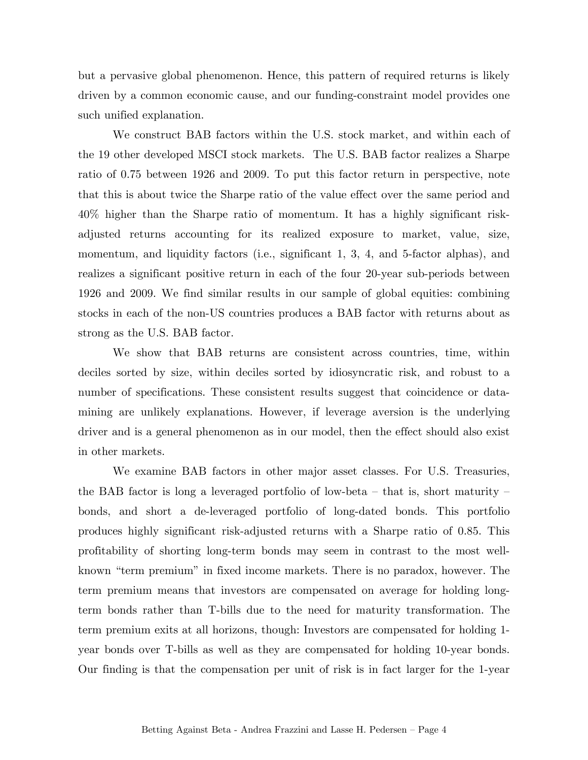but a pervasive global phenomenon. Hence, this pattern of required returns is likely driven by a common economic cause, and our funding-constraint model provides one such unified explanation.

We construct BAB factors within the U.S. stock market, and within each of the 19 other developed MSCI stock markets. The U.S. BAB factor realizes a Sharpe ratio of 0.75 between 1926 and 2009. To put this factor return in perspective, note that this is about twice the Sharpe ratio of the value effect over the same period and 40% higher than the Sharpe ratio of momentum. It has a highly significant riskadjusted returns accounting for its realized exposure to market, value, size, momentum, and liquidity factors (i.e., significant 1, 3, 4, and 5-factor alphas), and realizes a significant positive return in each of the four 20-year sub-periods between 1926 and 2009. We find similar results in our sample of global equities: combining stocks in each of the non-US countries produces a BAB factor with returns about as strong as the U.S. BAB factor.

We show that BAB returns are consistent across countries, time, within deciles sorted by size, within deciles sorted by idiosyncratic risk, and robust to a number of specifications. These consistent results suggest that coincidence or datamining are unlikely explanations. However, if leverage aversion is the underlying driver and is a general phenomenon as in our model, then the effect should also exist in other markets.

We examine BAB factors in other major asset classes. For U.S. Treasuries, the BAB factor is long a leveraged portfolio of low-beta  $-$  that is, short maturity  $$ bonds, and short a de-leveraged portfolio of long-dated bonds. This portfolio produces highly significant risk-adjusted returns with a Sharpe ratio of 0.85. This profitability of shorting long-term bonds may seem in contrast to the most wellknown "term premium" in fixed income markets. There is no paradox, however. The term premium means that investors are compensated on average for holding longterm bonds rather than T-bills due to the need for maturity transformation. The term premium exits at all horizons, though: Investors are compensated for holding 1 year bonds over T-bills as well as they are compensated for holding 10-year bonds. Our finding is that the compensation per unit of risk is in fact larger for the 1-year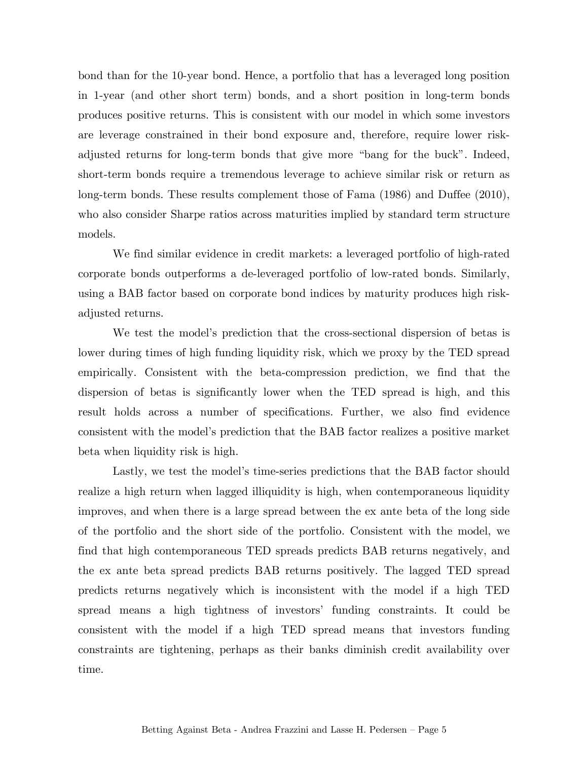bond than for the 10-year bond. Hence, a portfolio that has a leveraged long position in 1-year (and other short term) bonds, and a short position in long-term bonds produces positive returns. This is consistent with our model in which some investors are leverage constrained in their bond exposure and, therefore, require lower riskadjusted returns for long-term bonds that give more "bang for the buck". Indeed, short-term bonds require a tremendous leverage to achieve similar risk or return as long-term bonds. These results complement those of Fama (1986) and Duffee (2010), who also consider Sharpe ratios across maturities implied by standard term structure models.

We find similar evidence in credit markets: a leveraged portfolio of high-rated corporate bonds outperforms a de-leveraged portfolio of low-rated bonds. Similarly, using a BAB factor based on corporate bond indices by maturity produces high riskadjusted returns.

We test the model's prediction that the cross-sectional dispersion of betas is lower during times of high funding liquidity risk, which we proxy by the TED spread empirically. Consistent with the beta-compression prediction, we find that the dispersion of betas is significantly lower when the TED spread is high, and this result holds across a number of specifications. Further, we also find evidence consistent with the model's prediction that the BAB factor realizes a positive market beta when liquidity risk is high.

Lastly, we test the model's time-series predictions that the BAB factor should realize a high return when lagged illiquidity is high, when contemporaneous liquidity improves, and when there is a large spread between the ex ante beta of the long side of the portfolio and the short side of the portfolio. Consistent with the model, we find that high contemporaneous TED spreads predicts BAB returns negatively, and the ex ante beta spread predicts BAB returns positively. The lagged TED spread predicts returns negatively which is inconsistent with the model if a high TED spread means a high tightness of investors' funding constraints. It could be consistent with the model if a high TED spread means that investors funding constraints are tightening, perhaps as their banks diminish credit availability over time.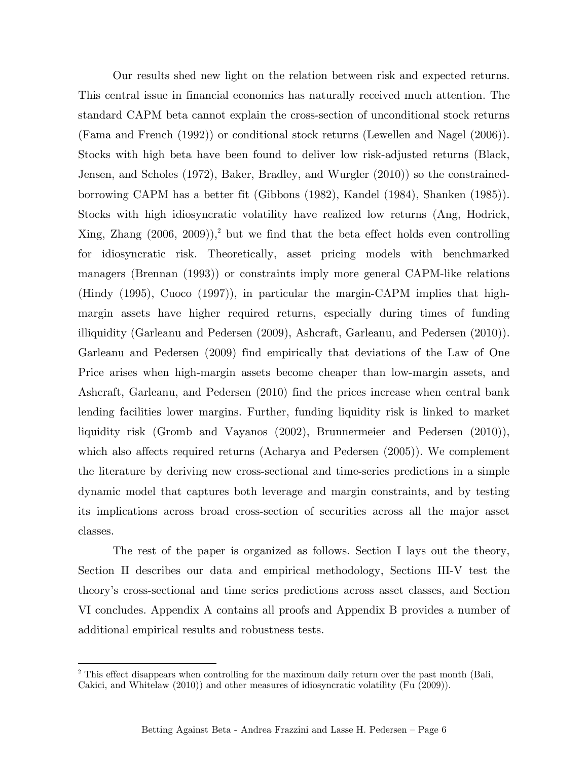Our results shed new light on the relation between risk and expected returns. This central issue in financial economics has naturally received much attention. The standard CAPM beta cannot explain the cross-section of unconditional stock returns (Fama and French (1992)) or conditional stock returns (Lewellen and Nagel (2006)). Stocks with high beta have been found to deliver low risk-adjusted returns (Black, Jensen, and Scholes (1972), Baker, Bradley, and Wurgler (2010)) so the constrainedborrowing CAPM has a better fit (Gibbons (1982), Kandel (1984), Shanken (1985)). Stocks with high idiosyncratic volatility have realized low returns (Ang, Hodrick, Xing, Zhang  $(2006, 2009)$ ,<sup>2</sup> but we find that the beta effect holds even controlling for idiosyncratic risk. Theoretically, asset pricing models with benchmarked managers (Brennan (1993)) or constraints imply more general CAPM-like relations (Hindy (1995), Cuoco (1997)), in particular the margin-CAPM implies that highmargin assets have higher required returns, especially during times of funding illiquidity (Garleanu and Pedersen (2009), Ashcraft, Garleanu, and Pedersen (2010)). Garleanu and Pedersen (2009) find empirically that deviations of the Law of One Price arises when high-margin assets become cheaper than low-margin assets, and Ashcraft, Garleanu, and Pedersen (2010) find the prices increase when central bank lending facilities lower margins. Further, funding liquidity risk is linked to market liquidity risk (Gromb and Vayanos (2002), Brunnermeier and Pedersen (2010)), which also affects required returns (Acharya and Pedersen (2005)). We complement the literature by deriving new cross-sectional and time-series predictions in a simple dynamic model that captures both leverage and margin constraints, and by testing its implications across broad cross-section of securities across all the major asset classes.

 The rest of the paper is organized as follows. Section I lays out the theory, Section II describes our data and empirical methodology, Sections III-V test the theory's cross-sectional and time series predictions across asset classes, and Section VI concludes. Appendix A contains all proofs and Appendix B provides a number of additional empirical results and robustness tests.

1

<sup>&</sup>lt;sup>2</sup> This effect disappears when controlling for the maximum daily return over the past month (Bali, Cakici, and Whitelaw (2010)) and other measures of idiosyncratic volatility (Fu (2009)).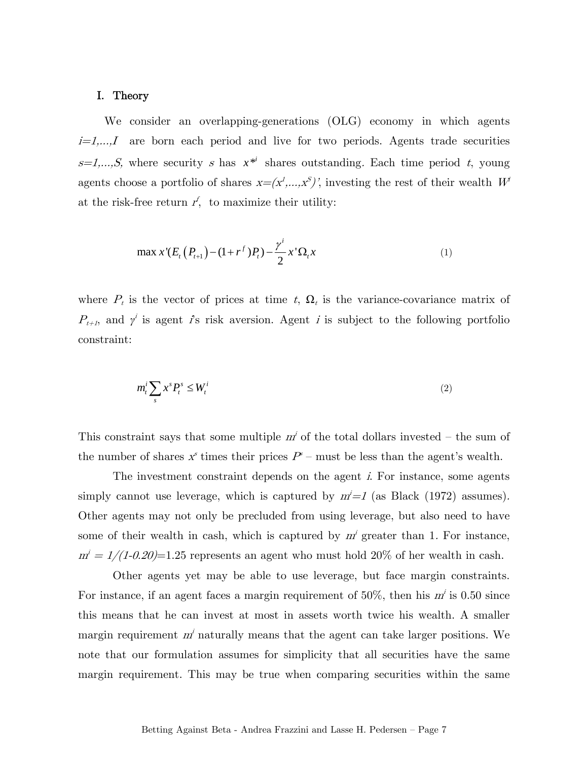#### I. Theory

We consider an overlapping-generations (OLG) economy in which agents  $i=1,\ldots,I$  are born each period and live for two periods. Agents trade securities  $s=1,...,S$ , where security s has  $x^{*i}$  shares outstanding. Each time period t, young agents choose a portfolio of shares  $x=(x^1,...,x^S)$ ', investing the rest of their wealth  $W^i$ at the risk-free return  $r^f$ , to maximize their utility:

$$
\max x'(E_t(P_{t+1}) - (1 + r^f)P_t) - \frac{\gamma^i}{2} x'\Omega_t x \tag{1}
$$

where  $P_t$  is the vector of prices at time t,  $\Omega_t$  is the variance-covariance matrix of  $P_{t+1}$ , and  $\gamma^i$  is agent is risk aversion. Agent i is subject to the following portfolio constraint:

$$
m_t^i \sum_s x^s P_t^s \le W_t^i \tag{2}
$$

This constraint says that some multiple  $m<sup>i</sup>$  of the total dollars invested – the sum of the number of shares  $x^s$  times their prices  $P^s$  – must be less than the agent's wealth.

The investment constraint depends on the agent i. For instance, some agents simply cannot use leverage, which is captured by  $m'=1$  (as Black (1972) assumes). Other agents may not only be precluded from using leverage, but also need to have some of their wealth in cash, which is captured by  $m<sup>i</sup>$  greater than 1. For instance,  $m' = 1/(1-0.20)$ =1.25 represents an agent who must hold 20% of her wealth in cash.

Other agents yet may be able to use leverage, but face margin constraints. For instance, if an agent faces a margin requirement of  $50\%$ , then his  $m<sup>i</sup>$  is 0.50 since this means that he can invest at most in assets worth twice his wealth. A smaller margin requirement  $m<sup>i</sup>$  naturally means that the agent can take larger positions. We note that our formulation assumes for simplicity that all securities have the same margin requirement. This may be true when comparing securities within the same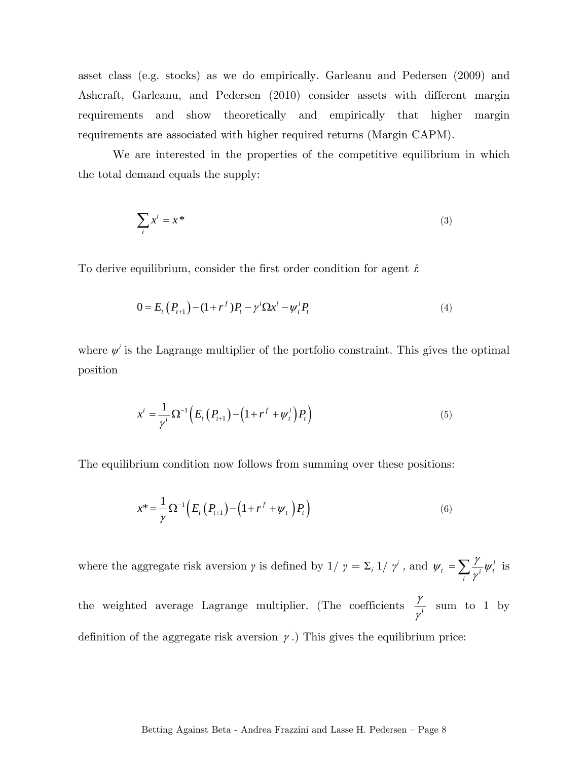asset class (e.g. stocks) as we do empirically. Garleanu and Pedersen (2009) and Ashcraft, Garleanu, and Pedersen (2010) consider assets with different margin requirements and show theoretically and empirically that higher margin requirements are associated with higher required returns (Margin CAPM).

We are interested in the properties of the competitive equilibrium in which the total demand equals the supply:

$$
\sum_{i} x^{i} = x^{*}
$$
 (3)

To derive equilibrium, consider the first order condition for agent  $\dot{x}$ .

$$
0 = E_t(P_{t+1}) - (1 + r^f)P_t - \gamma^i \Omega x^i - \psi_t^i P_t
$$
\n(4)

where  $\psi^i$  is the Lagrange multiplier of the portfolio constraint. This gives the optimal position

$$
x^{i} = \frac{1}{\gamma^{i}} \Omega^{-1} \left( E_{t} \left( P_{t+1} \right) - \left( 1 + r^{f} + \psi_{t}^{i} \right) P_{t} \right) \tag{5}
$$

The equilibrium condition now follows from summing over these positions:

$$
x^* = \frac{1}{\gamma} \Omega^{-1} \left( E_t \left( P_{t+1} \right) - \left( 1 + r^f + \psi_t \right) P_t \right) \tag{6}
$$

where the aggregate risk aversion *γ* is defined by  $1/ \gamma = \sum_i 1/ \gamma^i$ , and  $\psi_t = \sum_i \frac{\gamma}{\gamma^i} \psi_t^i$  $\psi_t = \sum_i \frac{\gamma}{\gamma^i} \psi_t^i$  is the weighted average Lagrange multiplier. (The coefficients  $\frac{\gamma}{\gamma}$ γ sum to 1 by definition of the aggregate risk aversion  $\gamma$ .) This gives the equilibrium price: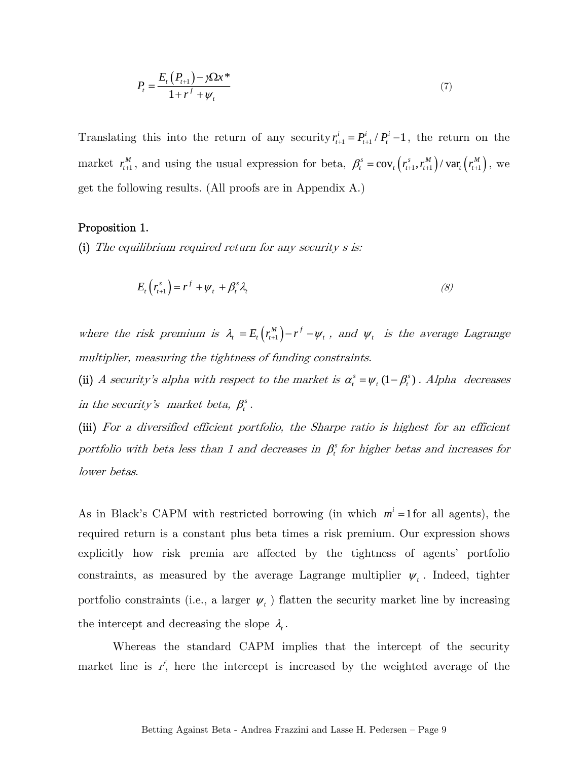$$
P_{t} = \frac{E_{t}(P_{t+1}) - \gamma \Omega x^{*}}{1 + r^{f} + \psi_{t}}
$$
\n(7)

Translating this into the return of any security  $r_{t+1}^i = P_{t+1}^i / P_t^i - 1$ , the return on the market  $r_{t+1}^M$ , and using the usual expression for beta,  $\beta_t^s = \text{cov}_t(r_{t+1}^s, r_{t+1}^M) / \text{var}_t(r_{t+1}^M)$ , we get the following results. (All proofs are in Appendix A.)

#### Proposition 1.

(i) The equilibrium required return for any security s is:

$$
E_t\left(r_{t+1}^s\right) = r^f + \psi_t + \beta_t^s \lambda_t \tag{8}
$$

where the risk premium is  $\lambda_i = E_i(r_{i+1}^M) - r_f - \psi_i$ , and  $\psi_i$  is the average Lagrange multiplier, measuring the tightness of funding constraints.

(ii) A security's alpha with respect to the market is  $\alpha_t^s = \psi_t (1 - \beta_t^s)$ . Alpha decreases in the security's market beta,  $\beta_i^s$ .

(iii) For a diversified efficient portfolio, the Sharpe ratio is highest for an efficient portfolio with beta less than 1 and decreases in  $\beta_t^s$  for higher betas and increases for lower betas.

As in Black's CAPM with restricted borrowing (in which  $m^i = 1$  for all agents), the required return is a constant plus beta times a risk premium. Our expression shows explicitly how risk premia are affected by the tightness of agents' portfolio constraints, as measured by the average Lagrange multiplier  $\psi_t$ . Indeed, tighter portfolio constraints (i.e., a larger  $\psi_t$ ) flatten the security market line by increasing the intercept and decreasing the slope  $\lambda_i$ .

Whereas the standard CAPM implies that the intercept of the security market line is  $r<sup>f</sup>$ , here the intercept is increased by the weighted average of the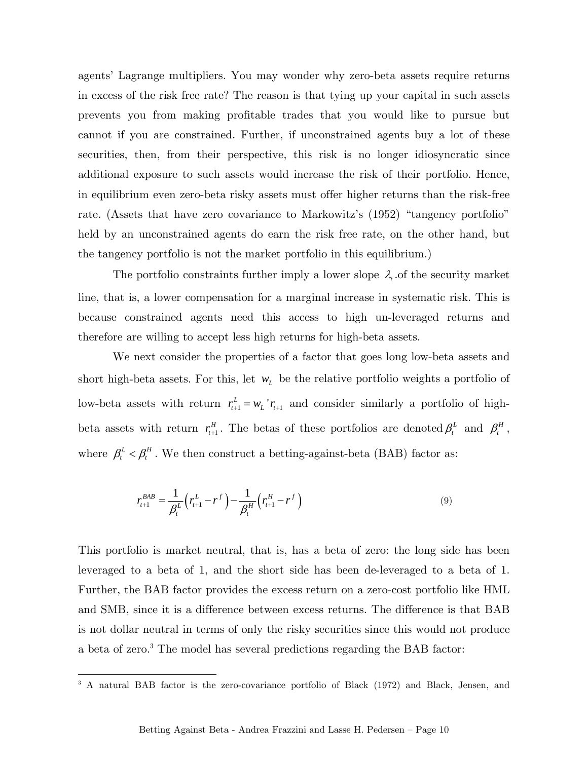agents' Lagrange multipliers. You may wonder why zero-beta assets require returns in excess of the risk free rate? The reason is that tying up your capital in such assets prevents you from making profitable trades that you would like to pursue but cannot if you are constrained. Further, if unconstrained agents buy a lot of these securities, then, from their perspective, this risk is no longer idiosyncratic since additional exposure to such assets would increase the risk of their portfolio. Hence, in equilibrium even zero-beta risky assets must offer higher returns than the risk-free rate. (Assets that have zero covariance to Markowitz's (1952) "tangency portfolio" held by an unconstrained agents do earn the risk free rate, on the other hand, but the tangency portfolio is not the market portfolio in this equilibrium.)

The portfolio constraints further imply a lower slope  $\lambda_i$  of the security market line, that is, a lower compensation for a marginal increase in systematic risk. This is because constrained agents need this access to high un-leveraged returns and therefore are willing to accept less high returns for high-beta assets.

We next consider the properties of a factor that goes long low-beta assets and short high-beta assets. For this, let  $w<sub>L</sub>$  be the relative portfolio weights a portfolio of low-beta assets with return  $r_{t+1}^L = w_L' r_{t+1}$  and consider similarly a portfolio of highbeta assets with return  $r_{t+1}^H$ . The betas of these portfolios are denoted  $\beta_t^L$  and  $\beta_t^H$ , where  $\beta_t^L<\beta_t^H$  . We then construct a betting-against-beta (BAB) factor as:

$$
r_{t+1}^{BAB} = \frac{1}{\beta_t^L} \left( r_{t+1}^L - r^f \right) - \frac{1}{\beta_t^H} \left( r_{t+1}^H - r^f \right)
$$
\n(9)

This portfolio is market neutral, that is, has a beta of zero: the long side has been leveraged to a beta of 1, and the short side has been de-leveraged to a beta of 1. Further, the BAB factor provides the excess return on a zero-cost portfolio like HML and SMB, since it is a difference between excess returns. The difference is that BAB is not dollar neutral in terms of only the risky securities since this would not produce a beta of zero.<sup>3</sup> The model has several predictions regarding the BAB factor:

<sup>&</sup>lt;sup>3</sup> A natural BAB factor is the zero-covariance portfolio of Black (1972) and Black, Jensen, and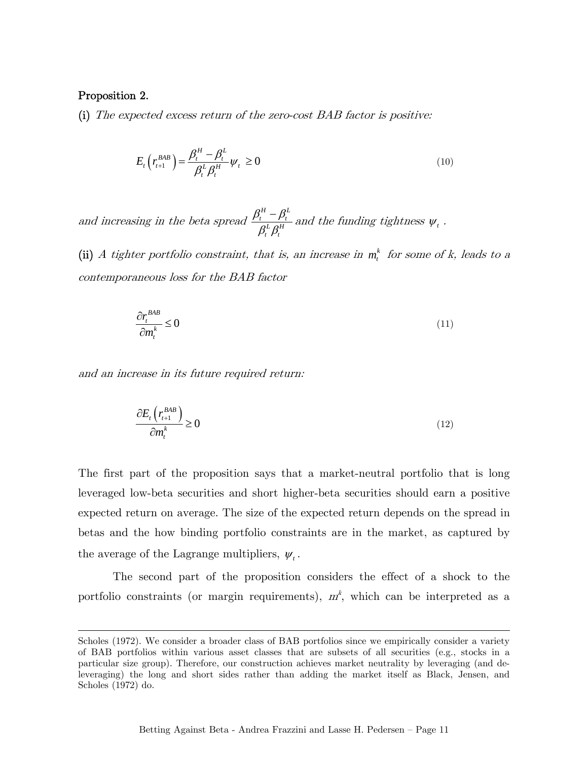#### Proposition 2.

 $\overline{a}$ 

(i) The expected excess return of the zero-cost BAB factor is positive:

$$
E_t\left(r_{t+1}^{BAB}\right) = \frac{\beta_t^H - \beta_t^L}{\beta_t^L \beta_t^H} \psi_t \ge 0
$$
\n<sup>(10)</sup>

and increasing in the beta spread *H*  $\Omega^L$  $_t$   $P_t$  $L$   $\rho$ <sup>H</sup>  $_t$   $\mu_t$  $\beta^\text{\tiny H}_{{\scriptscriptstyle t}}-\beta^\text{\tiny H}_{{\scriptscriptstyle t}}$  $\frac{\partial_t^H - \beta_t^L}{\partial_t^L \beta_t^H}$  and the funding tightness  $\psi_t$ .

(ii) A tighter portfolio constraint, that is, an increase in  $m_t^k$  for some of k, leads to a contemporaneous loss for the BAB factor

$$
\frac{\partial r_t^{BAB}}{\partial m_t^k} \le 0 \tag{11}
$$

and an increase in its future required return:

$$
\frac{\partial E_t \left( r_{t+1}^{BAB} \right)}{\partial m_t^k} \ge 0 \tag{12}
$$

The first part of the proposition says that a market-neutral portfolio that is long leveraged low-beta securities and short higher-beta securities should earn a positive expected return on average. The size of the expected return depends on the spread in betas and the how binding portfolio constraints are in the market, as captured by the average of the Lagrange multipliers,  $\psi$ .

The second part of the proposition considers the effect of a shock to the portfolio constraints (or margin requirements),  $m<sup>k</sup>$ , which can be interpreted as a

Scholes (1972). We consider a broader class of BAB portfolios since we empirically consider a variety of BAB portfolios within various asset classes that are subsets of all securities (e.g., stocks in a particular size group). Therefore, our construction achieves market neutrality by leveraging (and deleveraging) the long and short sides rather than adding the market itself as Black, Jensen, and Scholes (1972) do.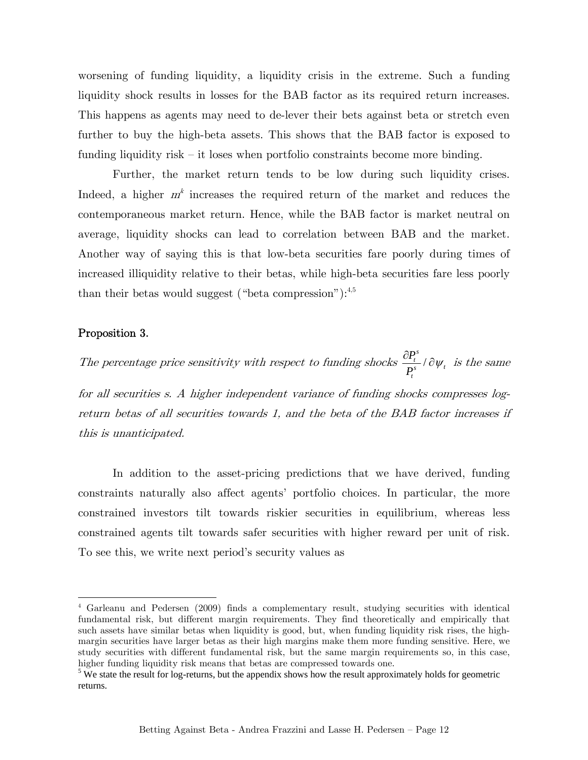worsening of funding liquidity, a liquidity crisis in the extreme. Such a funding liquidity shock results in losses for the BAB factor as its required return increases. This happens as agents may need to de-lever their bets against beta or stretch even further to buy the high-beta assets. This shows that the BAB factor is exposed to funding liquidity risk — it loses when portfolio constraints become more binding.

Further, the market return tends to be low during such liquidity crises. Indeed, a higher  $m<sup>k</sup>$  increases the required return of the market and reduces the contemporaneous market return. Hence, while the BAB factor is market neutral on average, liquidity shocks can lead to correlation between BAB and the market. Another way of saying this is that low-beta securities fare poorly during times of increased illiquidity relative to their betas, while high-beta securities fare less poorly than their betas would suggest ("beta compression"): $4,5$ 

#### Proposition 3.

<u>.</u>

The percentage price sensitivity with respect to funding shocks  $\frac{G_t}{G}$ *s*  $\frac{t}{s}$  /  $\partial \psi_t$ *t P*  $\frac{1}{P_t^s}$  / 0  $\psi$  $\frac{\partial P_t^s}{\partial x}$  /  $\partial \psi_t$  is the same

for all securities s. A higher independent variance of funding shocks compresses logreturn betas of all securities towards 1, and the beta of the BAB factor increases if this is unanticipated.

In addition to the asset-pricing predictions that we have derived, funding constraints naturally also affect agents' portfolio choices. In particular, the more constrained investors tilt towards riskier securities in equilibrium, whereas less constrained agents tilt towards safer securities with higher reward per unit of risk. To see this, we write next period's security values as

<sup>4</sup> Garleanu and Pedersen (2009) finds a complementary result, studying securities with identical fundamental risk, but different margin requirements. They find theoretically and empirically that such assets have similar betas when liquidity is good, but, when funding liquidity risk rises, the highmargin securities have larger betas as their high margins make them more funding sensitive. Here, we study securities with different fundamental risk, but the same margin requirements so, in this case, higher funding liquidity risk means that betas are compressed towards one.

 $5$  We state the result for log-returns, but the appendix shows how the result approximately holds for geometric returns.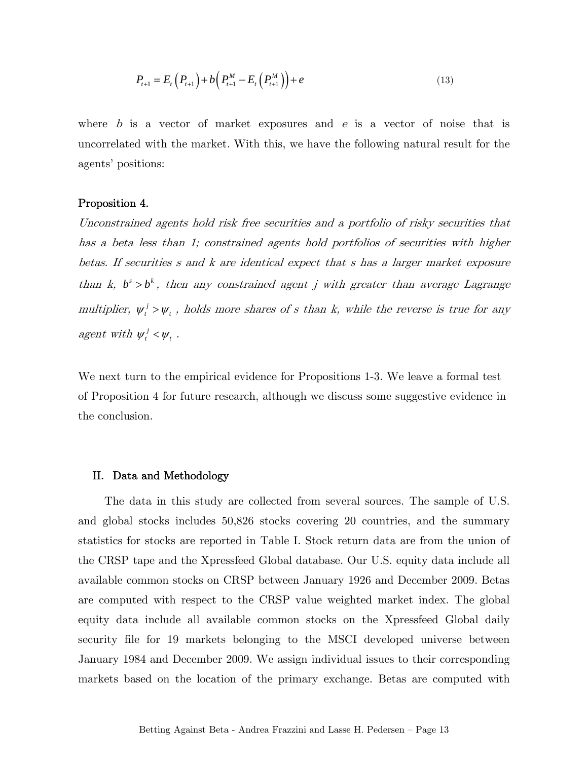$$
P_{t+1} = E_t \left( P_{t+1} \right) + b \left( P_{t+1}^M - E_t \left( P_{t+1}^M \right) \right) + e \tag{13}
$$

where b is a vector of market exposures and  $e$  is a vector of noise that is uncorrelated with the market. With this, we have the following natural result for the agents' positions:

#### Proposition 4.

Unconstrained agents hold risk free securities and a portfolio of risky securities that has a beta less than 1; constrained agents hold portfolios of securities with higher betas. If securities s and k are identical expect that s has a larger market exposure than k,  $b^s > b^k$ , then any constrained agent j with greater than average Lagrange multiplier,  $\psi_t^j > \psi_t$ , holds more shares of s than k, while the reverse is true for any agent with  $\psi^{\,j}_t < \psi^{\,}_t$  .

We next turn to the empirical evidence for Propositions 1-3. We leave a formal test of Proposition 4 for future research, although we discuss some suggestive evidence in the conclusion.

#### II. Data and Methodology

The data in this study are collected from several sources. The sample of U.S. and global stocks includes 50,826 stocks covering 20 countries, and the summary statistics for stocks are reported in Table I. Stock return data are from the union of the CRSP tape and the Xpressfeed Global database. Our U.S. equity data include all available common stocks on CRSP between January 1926 and December 2009. Betas are computed with respect to the CRSP value weighted market index. The global equity data include all available common stocks on the Xpressfeed Global daily security file for 19 markets belonging to the MSCI developed universe between January 1984 and December 2009. We assign individual issues to their corresponding markets based on the location of the primary exchange. Betas are computed with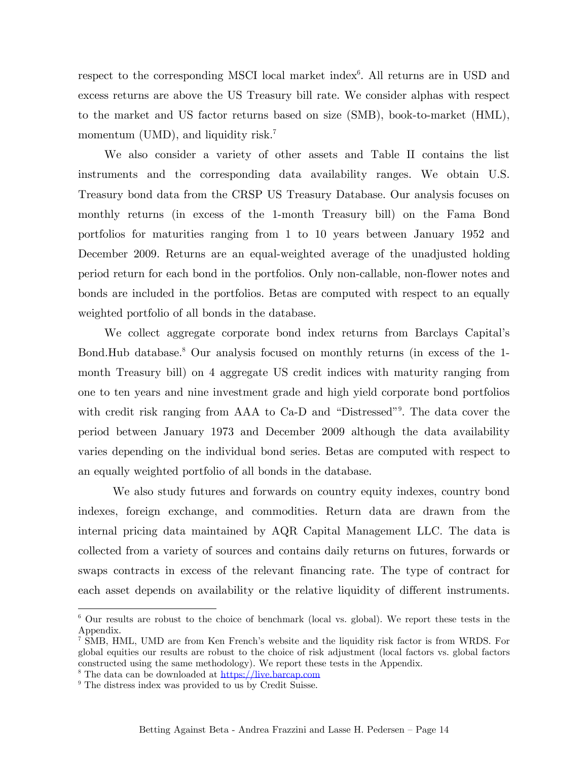respect to the corresponding MSCI local market index<sup>6</sup>. All returns are in USD and excess returns are above the US Treasury bill rate. We consider alphas with respect to the market and US factor returns based on size (SMB), book-to-market (HML), momentum (UMD), and liquidity risk.<sup>7</sup>

We also consider a variety of other assets and Table II contains the list instruments and the corresponding data availability ranges. We obtain U.S. Treasury bond data from the CRSP US Treasury Database. Our analysis focuses on monthly returns (in excess of the 1-month Treasury bill) on the Fama Bond portfolios for maturities ranging from 1 to 10 years between January 1952 and December 2009. Returns are an equal-weighted average of the unadjusted holding period return for each bond in the portfolios. Only non-callable, non-flower notes and bonds are included in the portfolios. Betas are computed with respect to an equally weighted portfolio of all bonds in the database.

We collect aggregate corporate bond index returns from Barclays Capital's Bond.Hub database.<sup>8</sup> Our analysis focused on monthly returns (in excess of the 1month Treasury bill) on 4 aggregate US credit indices with maturity ranging from one to ten years and nine investment grade and high yield corporate bond portfolios with credit risk ranging from AAA to Ca-D and "Distressed". The data cover the period between January 1973 and December 2009 although the data availability varies depending on the individual bond series. Betas are computed with respect to an equally weighted portfolio of all bonds in the database.

We also study futures and forwards on country equity indexes, country bond indexes, foreign exchange, and commodities. Return data are drawn from the internal pricing data maintained by AQR Capital Management LLC. The data is collected from a variety of sources and contains daily returns on futures, forwards or swaps contracts in excess of the relevant financing rate. The type of contract for each asset depends on availability or the relative liquidity of different instruments.

1

<sup>6</sup> Our results are robust to the choice of benchmark (local vs. global). We report these tests in the Appendix.

<sup>7</sup> SMB, HML, UMD are from Ken French's website and the liquidity risk factor is from WRDS. For global equities our results are robust to the choice of risk adjustment (local factors vs. global factors constructed using the same methodology). We report these tests in the Appendix.

<sup>&</sup>lt;sup>8</sup> The data can be downloaded at https://live.barcap.com

<sup>&</sup>lt;sup>9</sup> The distress index was provided to us by Credit Suisse.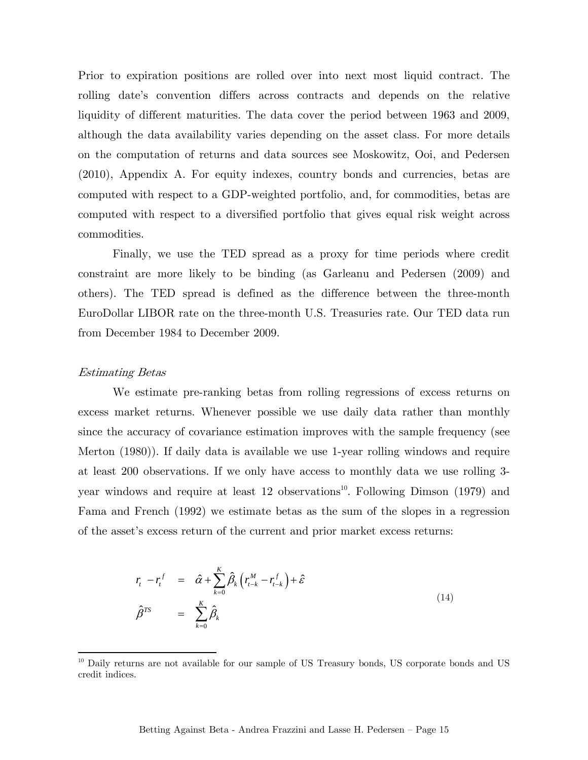Prior to expiration positions are rolled over into next most liquid contract. The rolling date's convention differs across contracts and depends on the relative liquidity of different maturities. The data cover the period between 1963 and 2009, although the data availability varies depending on the asset class. For more details on the computation of returns and data sources see Moskowitz, Ooi, and Pedersen (2010), Appendix A. For equity indexes, country bonds and currencies, betas are computed with respect to a GDP-weighted portfolio, and, for commodities, betas are computed with respect to a diversified portfolio that gives equal risk weight across commodities.

Finally, we use the TED spread as a proxy for time periods where credit constraint are more likely to be binding (as Garleanu and Pedersen (2009) and others). The TED spread is defined as the difference between the three-month EuroDollar LIBOR rate on the three-month U.S. Treasuries rate. Our TED data run from December 1984 to December 2009.

#### Estimating Betas

<u>.</u>

We estimate pre-ranking betas from rolling regressions of excess returns on excess market returns. Whenever possible we use daily data rather than monthly since the accuracy of covariance estimation improves with the sample frequency (see Merton (1980)). If daily data is available we use 1-year rolling windows and require at least 200 observations. If we only have access to monthly data we use rolling 3 year windows and require at least 12 observations<sup>10</sup>. Following Dimson  $(1979)$  and Fama and French (1992) we estimate betas as the sum of the slopes in a regression of the asset's excess return of the current and prior market excess returns:

$$
r_{t} - r_{t}^{f} = \hat{\alpha} + \sum_{k=0}^{K} \hat{\beta}_{k} \left( r_{t-k}^{M} - r_{t-k}^{f} \right) + \hat{\varepsilon}
$$
  

$$
\hat{\beta}^{TS} = \sum_{k=0}^{K} \hat{\beta}_{k}
$$
 (14)

<sup>&</sup>lt;sup>10</sup> Daily returns are not available for our sample of US Treasury bonds, US corporate bonds and US credit indices.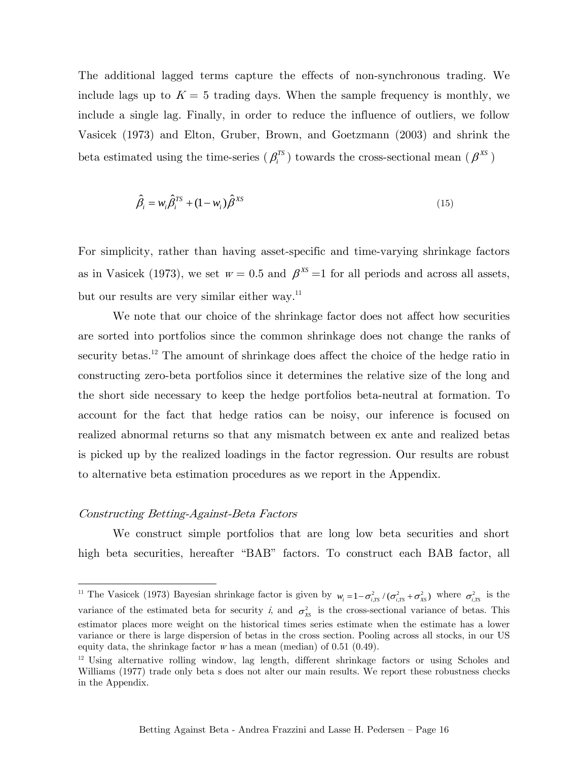The additional lagged terms capture the effects of non-synchronous trading. We include lags up to  $K = 5$  trading days. When the sample frequency is monthly, we include a single lag. Finally, in order to reduce the influence of outliers, we follow Vasicek (1973) and Elton, Gruber, Brown, and Goetzmann (2003) and shrink the beta estimated using the time-series  $(\beta_i^{rs})$  towards the cross-sectional mean  $(\beta^{xs})$ 

$$
\hat{\beta}_i = w_i \hat{\beta}_i^{TS} + (1 - w_i) \hat{\beta}^{XS} \tag{15}
$$

For simplicity, rather than having asset-specific and time-varying shrinkage factors as in Vasicek (1973), we set  $w = 0.5$  and  $\beta^{XS} = 1$  for all periods and across all assets, but our results are very similar either way.<sup>11</sup>

We note that our choice of the shrinkage factor does not affect how securities are sorted into portfolios since the common shrinkage does not change the ranks of security betas.<sup>12</sup> The amount of shrinkage does affect the choice of the hedge ratio in constructing zero-beta portfolios since it determines the relative size of the long and the short side necessary to keep the hedge portfolios beta-neutral at formation. To account for the fact that hedge ratios can be noisy, our inference is focused on realized abnormal returns so that any mismatch between ex ante and realized betas is picked up by the realized loadings in the factor regression. Our results are robust to alternative beta estimation procedures as we report in the Appendix.

#### Constructing Betting-Against-Beta Factors

1

 We construct simple portfolios that are long low beta securities and short high beta securities, hereafter "BAB" factors. To construct each BAB factor, all

<sup>&</sup>lt;sup>11</sup> The Vasicek (1973) Bayesian shrinkage factor is given by  $w_i = 1 - \sigma_{i,TS}^2 / (\sigma_{i,TS}^2 + \sigma_{XS}^2)$  where  $\sigma_{i,TS}^2$  is the variance of the estimated beta for security i, and  $\sigma_{xs}^2$  is the cross-sectional variance of betas. This estimator places more weight on the historical times series estimate when the estimate has a lower variance or there is large dispersion of betas in the cross section. Pooling across all stocks, in our US equity data, the shrinkage factor  $w$  has a mean (median) of 0.51 (0.49).

<sup>&</sup>lt;sup>12</sup> Using alternative rolling window, lag length, different shrinkage factors or using Scholes and Williams (1977) trade only beta s does not alter our main results. We report these robustness checks in the Appendix.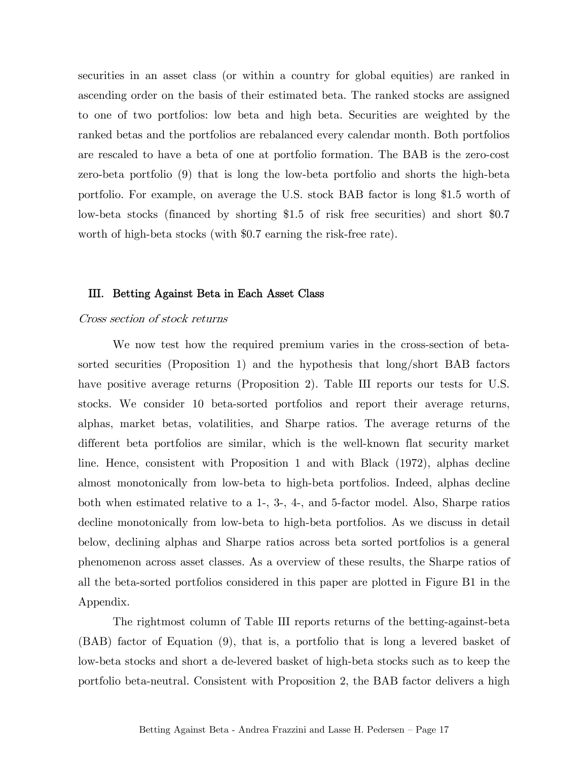securities in an asset class (or within a country for global equities) are ranked in ascending order on the basis of their estimated beta. The ranked stocks are assigned to one of two portfolios: low beta and high beta. Securities are weighted by the ranked betas and the portfolios are rebalanced every calendar month. Both portfolios are rescaled to have a beta of one at portfolio formation. The BAB is the zero-cost zero-beta portfolio (9) that is long the low-beta portfolio and shorts the high-beta portfolio. For example, on average the U.S. stock BAB factor is long \$1.5 worth of low-beta stocks (financed by shorting \$1.5 of risk free securities) and short \$0.7 worth of high-beta stocks (with \$0.7 earning the risk-free rate).

#### III. Betting Against Beta in Each Asset Class

#### Cross section of stock returns

We now test how the required premium varies in the cross-section of betasorted securities (Proposition 1) and the hypothesis that long/short BAB factors have positive average returns (Proposition 2). Table III reports our tests for U.S. stocks. We consider 10 beta-sorted portfolios and report their average returns, alphas, market betas, volatilities, and Sharpe ratios. The average returns of the different beta portfolios are similar, which is the well-known flat security market line. Hence, consistent with Proposition 1 and with Black (1972), alphas decline almost monotonically from low-beta to high-beta portfolios. Indeed, alphas decline both when estimated relative to a 1-, 3-, 4-, and 5-factor model. Also, Sharpe ratios decline monotonically from low-beta to high-beta portfolios. As we discuss in detail below, declining alphas and Sharpe ratios across beta sorted portfolios is a general phenomenon across asset classes. As a overview of these results, the Sharpe ratios of all the beta-sorted portfolios considered in this paper are plotted in Figure B1 in the Appendix.

The rightmost column of Table III reports returns of the betting-against-beta (BAB) factor of Equation (9), that is, a portfolio that is long a levered basket of low-beta stocks and short a de-levered basket of high-beta stocks such as to keep the portfolio beta-neutral. Consistent with Proposition 2, the BAB factor delivers a high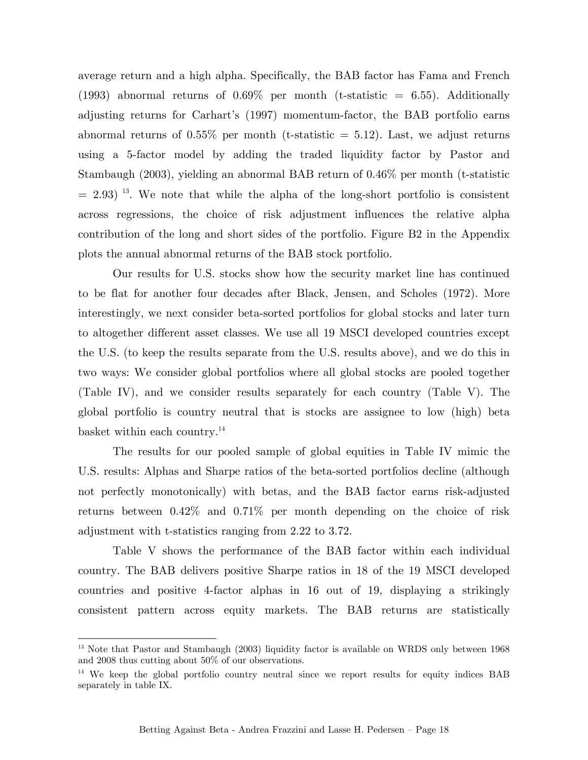average return and a high alpha. Specifically, the BAB factor has Fama and French (1993) abnormal returns of  $0.69\%$  per month (t-statistic = 6.55). Additionally adjusting returns for Carhart's (1997) momentum-factor, the BAB portfolio earns abnormal returns of  $0.55\%$  per month (t-statistic  $= 5.12$ ). Last, we adjust returns using a 5-factor model by adding the traded liquidity factor by Pastor and Stambaugh (2003), yielding an abnormal BAB return of 0.46% per month (t-statistic  $= 2.93$  <sup>13</sup>. We note that while the alpha of the long-short portfolio is consistent across regressions, the choice of risk adjustment influences the relative alpha contribution of the long and short sides of the portfolio. Figure B2 in the Appendix plots the annual abnormal returns of the BAB stock portfolio.

Our results for U.S. stocks show how the security market line has continued to be flat for another four decades after Black, Jensen, and Scholes (1972). More interestingly, we next consider beta-sorted portfolios for global stocks and later turn to altogether different asset classes. We use all 19 MSCI developed countries except the U.S. (to keep the results separate from the U.S. results above), and we do this in two ways: We consider global portfolios where all global stocks are pooled together (Table IV), and we consider results separately for each country (Table V). The global portfolio is country neutral that is stocks are assignee to low (high) beta basket within each country.<sup>14</sup>

The results for our pooled sample of global equities in Table IV mimic the U.S. results: Alphas and Sharpe ratios of the beta-sorted portfolios decline (although not perfectly monotonically) with betas, and the BAB factor earns risk-adjusted returns between 0.42% and 0.71% per month depending on the choice of risk adjustment with t-statistics ranging from 2.22 to 3.72.

Table V shows the performance of the BAB factor within each individual country. The BAB delivers positive Sharpe ratios in 18 of the 19 MSCI developed countries and positive 4-factor alphas in 16 out of 19, displaying a strikingly consistent pattern across equity markets. The BAB returns are statistically

1

<sup>&</sup>lt;sup>13</sup> Note that Pastor and Stambaugh (2003) liquidity factor is available on WRDS only between 1968 and 2008 thus cutting about 50% of our observations.

<sup>&</sup>lt;sup>14</sup> We keep the global portfolio country neutral since we report results for equity indices BAB separately in table IX.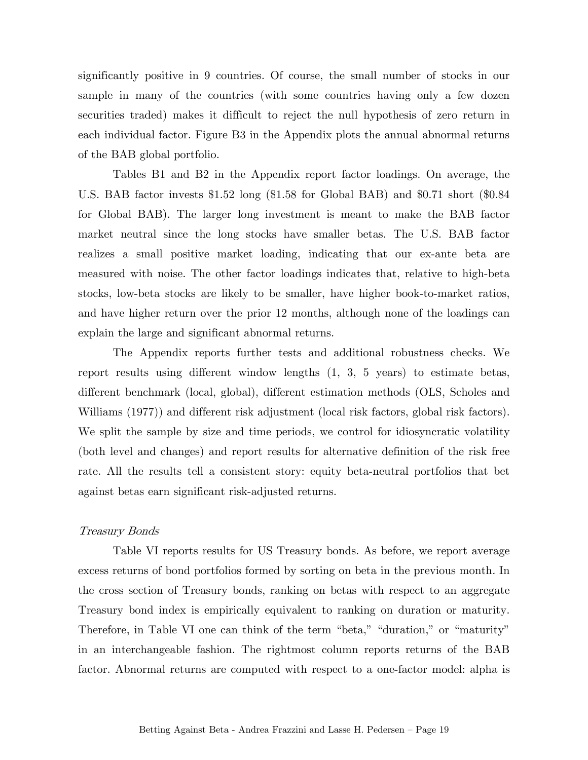significantly positive in 9 countries. Of course, the small number of stocks in our sample in many of the countries (with some countries having only a few dozen securities traded) makes it difficult to reject the null hypothesis of zero return in each individual factor. Figure B3 in the Appendix plots the annual abnormal returns of the BAB global portfolio.

Tables B1 and B2 in the Appendix report factor loadings. On average, the U.S. BAB factor invests \$1.52 long (\$1.58 for Global BAB) and \$0.71 short (\$0.84 for Global BAB). The larger long investment is meant to make the BAB factor market neutral since the long stocks have smaller betas. The U.S. BAB factor realizes a small positive market loading, indicating that our ex-ante beta are measured with noise. The other factor loadings indicates that, relative to high-beta stocks, low-beta stocks are likely to be smaller, have higher book-to-market ratios, and have higher return over the prior 12 months, although none of the loadings can explain the large and significant abnormal returns.

The Appendix reports further tests and additional robustness checks. We report results using different window lengths (1, 3, 5 years) to estimate betas, different benchmark (local, global), different estimation methods (OLS, Scholes and Williams (1977)) and different risk adjustment (local risk factors, global risk factors). We split the sample by size and time periods, we control for idiosyncratic volatility (both level and changes) and report results for alternative definition of the risk free rate. All the results tell a consistent story: equity beta-neutral portfolios that bet against betas earn significant risk-adjusted returns.

#### Treasury Bonds

Table VI reports results for US Treasury bonds. As before, we report average excess returns of bond portfolios formed by sorting on beta in the previous month. In the cross section of Treasury bonds, ranking on betas with respect to an aggregate Treasury bond index is empirically equivalent to ranking on duration or maturity. Therefore, in Table VI one can think of the term "beta," "duration," or "maturity" in an interchangeable fashion. The rightmost column reports returns of the BAB factor. Abnormal returns are computed with respect to a one-factor model: alpha is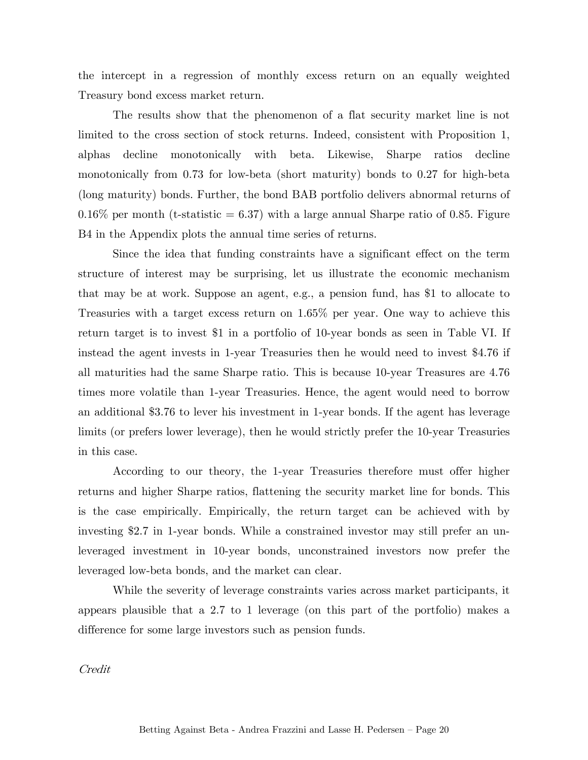the intercept in a regression of monthly excess return on an equally weighted Treasury bond excess market return.

The results show that the phenomenon of a flat security market line is not limited to the cross section of stock returns. Indeed, consistent with Proposition 1, alphas decline monotonically with beta. Likewise, Sharpe ratios decline monotonically from 0.73 for low-beta (short maturity) bonds to 0.27 for high-beta (long maturity) bonds. Further, the bond BAB portfolio delivers abnormal returns of  $0.16\%$  per month (t-statistic = 6.37) with a large annual Sharpe ratio of 0.85. Figure B4 in the Appendix plots the annual time series of returns.

Since the idea that funding constraints have a significant effect on the term structure of interest may be surprising, let us illustrate the economic mechanism that may be at work. Suppose an agent, e.g., a pension fund, has \$1 to allocate to Treasuries with a target excess return on 1.65% per year. One way to achieve this return target is to invest \$1 in a portfolio of 10-year bonds as seen in Table VI. If instead the agent invests in 1-year Treasuries then he would need to invest \$4.76 if all maturities had the same Sharpe ratio. This is because 10-year Treasures are 4.76 times more volatile than 1-year Treasuries. Hence, the agent would need to borrow an additional \$3.76 to lever his investment in 1-year bonds. If the agent has leverage limits (or prefers lower leverage), then he would strictly prefer the 10-year Treasuries in this case.

According to our theory, the 1-year Treasuries therefore must offer higher returns and higher Sharpe ratios, flattening the security market line for bonds. This is the case empirically. Empirically, the return target can be achieved with by investing \$2.7 in 1-year bonds. While a constrained investor may still prefer an unleveraged investment in 10-year bonds, unconstrained investors now prefer the leveraged low-beta bonds, and the market can clear.

While the severity of leverage constraints varies across market participants, it appears plausible that a 2.7 to 1 leverage (on this part of the portfolio) makes a difference for some large investors such as pension funds.

Credit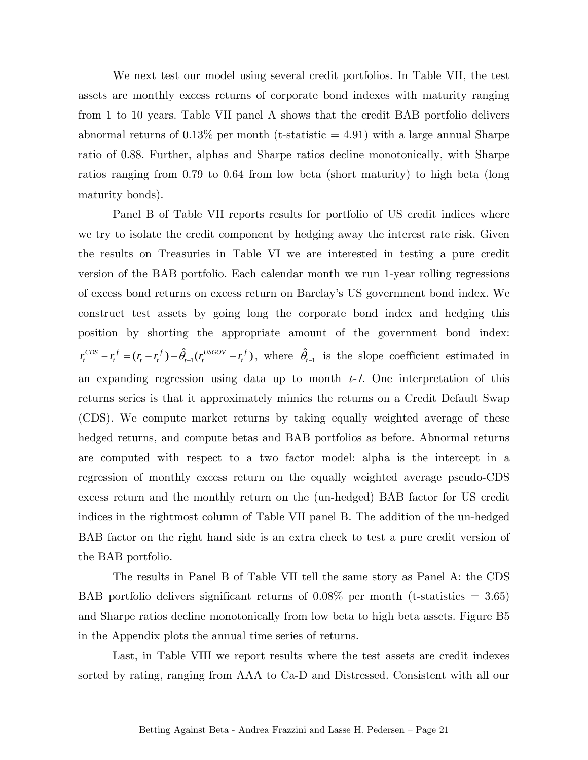We next test our model using several credit portfolios. In Table VII, the test assets are monthly excess returns of corporate bond indexes with maturity ranging from 1 to 10 years. Table VII panel A shows that the credit BAB portfolio delivers abnormal returns of  $0.13\%$  per month (t-statistic  $= 4.91$ ) with a large annual Sharpe ratio of 0.88. Further, alphas and Sharpe ratios decline monotonically, with Sharpe ratios ranging from 0.79 to 0.64 from low beta (short maturity) to high beta (long maturity bonds).

Panel B of Table VII reports results for portfolio of US credit indices where we try to isolate the credit component by hedging away the interest rate risk. Given the results on Treasuries in Table VI we are interested in testing a pure credit version of the BAB portfolio. Each calendar month we run 1-year rolling regressions of excess bond returns on excess return on Barclay's US government bond index. We construct test assets by going long the corporate bond index and hedging this position by shorting the appropriate amount of the government bond index:  $r_t^{CDS} - r_t^f = (r_t - r_t^f) - \hat{\theta}_{t-1}(r_t^{USGOV} - r_t^f)$ , where  $\hat{\theta}_{t-1}$  is the slope coefficient estimated in an expanding regression using data up to month  $t-1$ . One interpretation of this returns series is that it approximately mimics the returns on a Credit Default Swap (CDS). We compute market returns by taking equally weighted average of these hedged returns, and compute betas and BAB portfolios as before. Abnormal returns are computed with respect to a two factor model: alpha is the intercept in a regression of monthly excess return on the equally weighted average pseudo-CDS excess return and the monthly return on the (un-hedged) BAB factor for US credit indices in the rightmost column of Table VII panel B. The addition of the un-hedged BAB factor on the right hand side is an extra check to test a pure credit version of the BAB portfolio.

The results in Panel B of Table VII tell the same story as Panel A: the CDS BAB portfolio delivers significant returns of  $0.08\%$  per month (t-statistics = 3.65) and Sharpe ratios decline monotonically from low beta to high beta assets. Figure B5 in the Appendix plots the annual time series of returns.

Last, in Table VIII we report results where the test assets are credit indexes sorted by rating, ranging from AAA to Ca-D and Distressed. Consistent with all our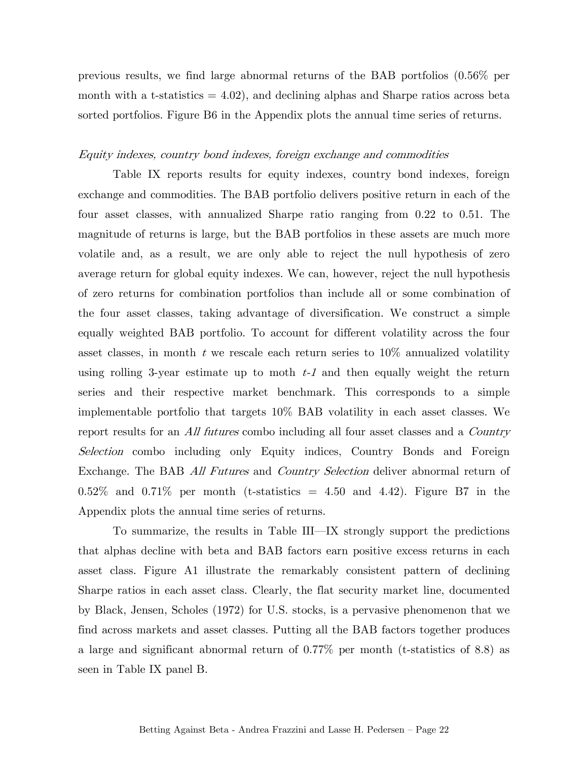previous results, we find large abnormal returns of the BAB portfolios (0.56% per month with a t-statistics  $= 4.02$ , and declining alphas and Sharpe ratios across beta sorted portfolios. Figure B6 in the Appendix plots the annual time series of returns.

#### Equity indexes, country bond indexes, foreign exchange and commodities

Table IX reports results for equity indexes, country bond indexes, foreign exchange and commodities. The BAB portfolio delivers positive return in each of the four asset classes, with annualized Sharpe ratio ranging from 0.22 to 0.51. The magnitude of returns is large, but the BAB portfolios in these assets are much more volatile and, as a result, we are only able to reject the null hypothesis of zero average return for global equity indexes. We can, however, reject the null hypothesis of zero returns for combination portfolios than include all or some combination of the four asset classes, taking advantage of diversification. We construct a simple equally weighted BAB portfolio. To account for different volatility across the four asset classes, in month  $t$  we rescale each return series to  $10\%$  annualized volatility using rolling 3-year estimate up to moth  $t-1$  and then equally weight the return series and their respective market benchmark. This corresponds to a simple implementable portfolio that targets 10% BAB volatility in each asset classes. We report results for an *All futures* combo including all four asset classes and a *Country* Selection combo including only Equity indices, Country Bonds and Foreign Exchange. The BAB All Futures and Country Selection deliver abnormal return of  $0.52\%$  and  $0.71\%$  per month (t-statistics = 4.50 and 4.42). Figure B7 in the Appendix plots the annual time series of returns.

To summarize, the results in Table III–IX strongly support the predictions that alphas decline with beta and BAB factors earn positive excess returns in each asset class. Figure A1 illustrate the remarkably consistent pattern of declining Sharpe ratios in each asset class. Clearly, the flat security market line, documented by Black, Jensen, Scholes (1972) for U.S. stocks, is a pervasive phenomenon that we find across markets and asset classes. Putting all the BAB factors together produces a large and significant abnormal return of 0.77% per month (t-statistics of 8.8) as seen in Table IX panel B.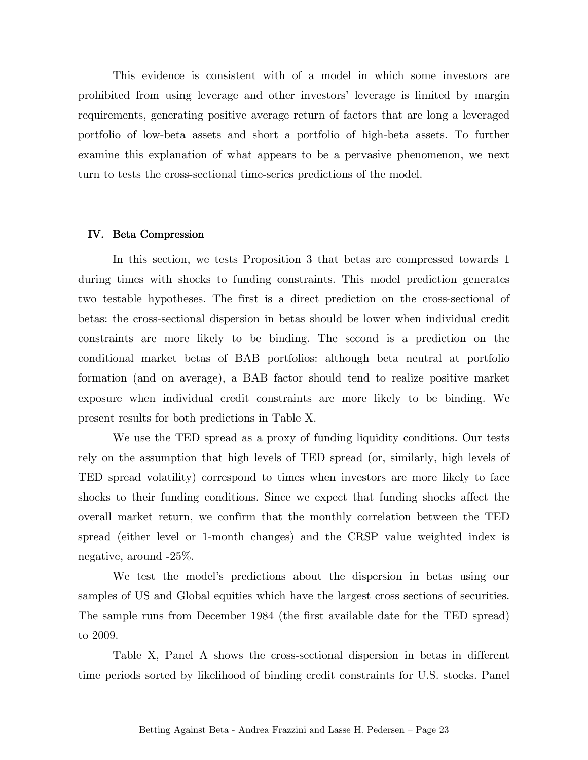This evidence is consistent with of a model in which some investors are prohibited from using leverage and other investors' leverage is limited by margin requirements, generating positive average return of factors that are long a leveraged portfolio of low-beta assets and short a portfolio of high-beta assets. To further examine this explanation of what appears to be a pervasive phenomenon, we next turn to tests the cross-sectional time-series predictions of the model.

#### IV. Beta Compression

 In this section, we tests Proposition 3 that betas are compressed towards 1 during times with shocks to funding constraints. This model prediction generates two testable hypotheses. The first is a direct prediction on the cross-sectional of betas: the cross-sectional dispersion in betas should be lower when individual credit constraints are more likely to be binding. The second is a prediction on the conditional market betas of BAB portfolios: although beta neutral at portfolio formation (and on average), a BAB factor should tend to realize positive market exposure when individual credit constraints are more likely to be binding. We present results for both predictions in Table X.

 We use the TED spread as a proxy of funding liquidity conditions. Our tests rely on the assumption that high levels of TED spread (or, similarly, high levels of TED spread volatility) correspond to times when investors are more likely to face shocks to their funding conditions. Since we expect that funding shocks affect the overall market return, we confirm that the monthly correlation between the TED spread (either level or 1-month changes) and the CRSP value weighted index is negative, around -25%.

We test the model's predictions about the dispersion in betas using our samples of US and Global equities which have the largest cross sections of securities. The sample runs from December 1984 (the first available date for the TED spread) to 2009.

 Table X, Panel A shows the cross-sectional dispersion in betas in different time periods sorted by likelihood of binding credit constraints for U.S. stocks. Panel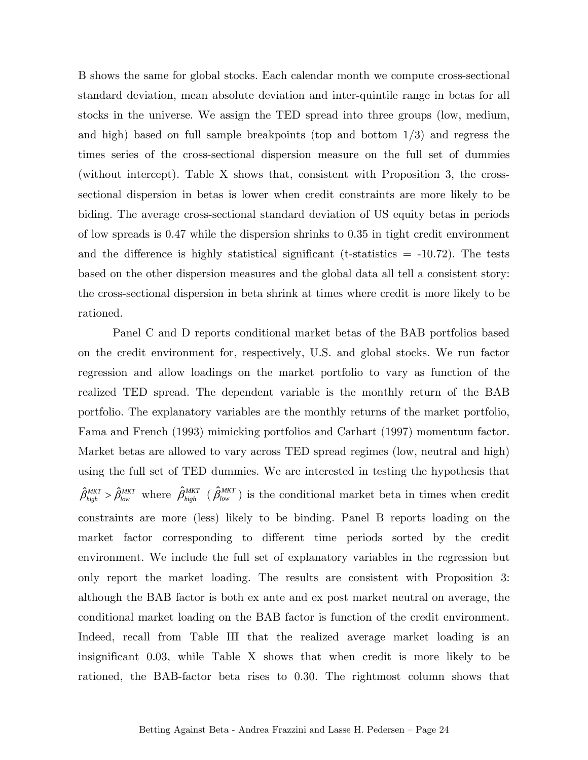B shows the same for global stocks. Each calendar month we compute cross-sectional standard deviation, mean absolute deviation and inter-quintile range in betas for all stocks in the universe. We assign the TED spread into three groups (low, medium, and high) based on full sample breakpoints (top and bottom 1/3) and regress the times series of the cross-sectional dispersion measure on the full set of dummies (without intercept). Table X shows that, consistent with Proposition 3, the crosssectional dispersion in betas is lower when credit constraints are more likely to be biding. The average cross-sectional standard deviation of US equity betas in periods of low spreads is 0.47 while the dispersion shrinks to 0.35 in tight credit environment and the difference is highly statistical significant (t-statistics  $= -10.72$ ). The tests based on the other dispersion measures and the global data all tell a consistent story: the cross-sectional dispersion in beta shrink at times where credit is more likely to be rationed.

 Panel C and D reports conditional market betas of the BAB portfolios based on the credit environment for, respectively, U.S. and global stocks. We run factor regression and allow loadings on the market portfolio to vary as function of the realized TED spread. The dependent variable is the monthly return of the BAB portfolio. The explanatory variables are the monthly returns of the market portfolio, Fama and French (1993) mimicking portfolios and Carhart (1997) momentum factor. Market betas are allowed to vary across TED spread regimes (low, neutral and high) using the full set of TED dummies. We are interested in testing the hypothesis that  $\hat{\beta}_{high}^{MKT} > \hat{\beta}_{low}^{MKT}$  where  $\hat{\beta}_{high}^{MKT}$  ( $\hat{\beta}_{low}^{MKT}$ ) is the conditional market beta in times when credit constraints are more (less) likely to be binding. Panel B reports loading on the market factor corresponding to different time periods sorted by the credit environment. We include the full set of explanatory variables in the regression but only report the market loading. The results are consistent with Proposition 3: although the BAB factor is both ex ante and ex post market neutral on average, the conditional market loading on the BAB factor is function of the credit environment. Indeed, recall from Table III that the realized average market loading is an insignificant 0.03, while Table X shows that when credit is more likely to be rationed, the BAB-factor beta rises to 0.30. The rightmost column shows that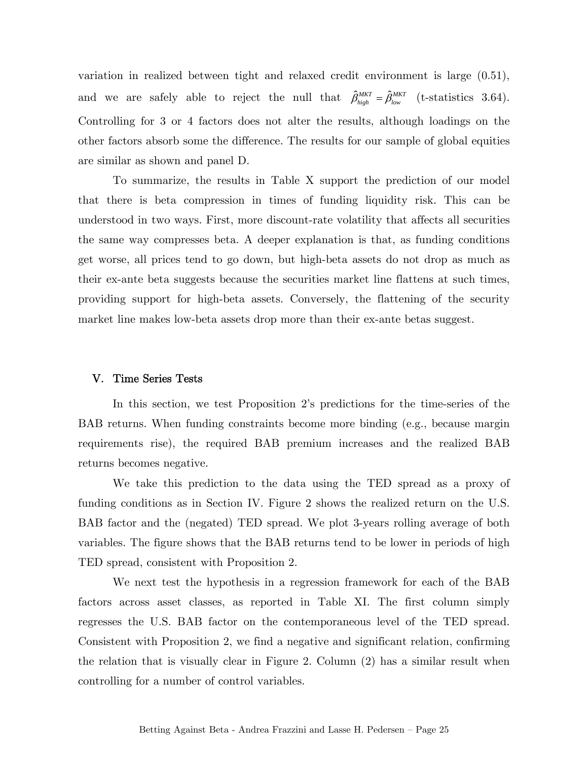variation in realized between tight and relaxed credit environment is large (0.51), and we are safely able to reject the null that  $\hat{\beta}^{MKT}_{high} = \hat{\beta}^{MKT}_{low}$  (t-statistics 3.64). Controlling for 3 or 4 factors does not alter the results, although loadings on the other factors absorb some the difference. The results for our sample of global equities are similar as shown and panel D.

 To summarize, the results in Table X support the prediction of our model that there is beta compression in times of funding liquidity risk. This can be understood in two ways. First, more discount-rate volatility that affects all securities the same way compresses beta. A deeper explanation is that, as funding conditions get worse, all prices tend to go down, but high-beta assets do not drop as much as their ex-ante beta suggests because the securities market line flattens at such times, providing support for high-beta assets. Conversely, the flattening of the security market line makes low-beta assets drop more than their ex-ante betas suggest.

#### V. Time Series Tests

 In this section, we test Proposition 2's predictions for the time-series of the BAB returns. When funding constraints become more binding (e.g., because margin requirements rise), the required BAB premium increases and the realized BAB returns becomes negative.

We take this prediction to the data using the TED spread as a proxy of funding conditions as in Section IV. Figure 2 shows the realized return on the U.S. BAB factor and the (negated) TED spread. We plot 3-years rolling average of both variables. The figure shows that the BAB returns tend to be lower in periods of high TED spread, consistent with Proposition 2.

We next test the hypothesis in a regression framework for each of the BAB factors across asset classes, as reported in Table XI. The first column simply regresses the U.S. BAB factor on the contemporaneous level of the TED spread. Consistent with Proposition 2, we find a negative and significant relation, confirming the relation that is visually clear in Figure 2. Column (2) has a similar result when controlling for a number of control variables.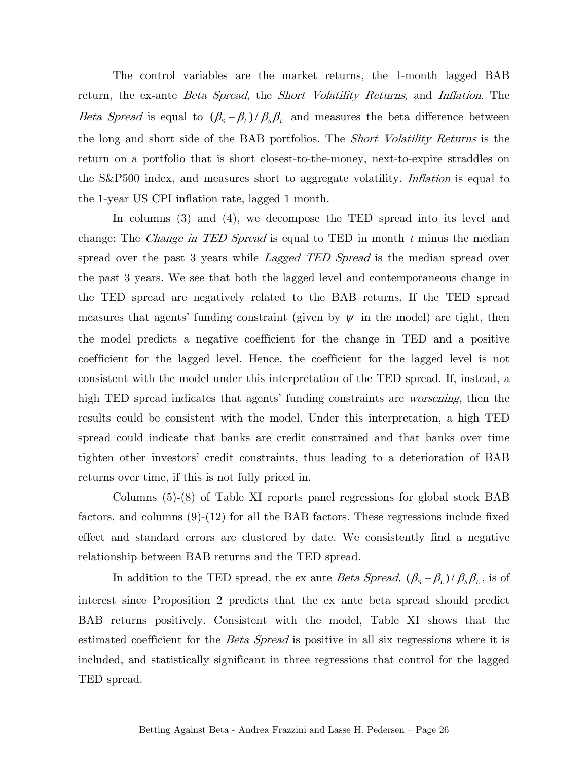The control variables are the market returns, the 1-month lagged BAB return, the ex-ante *Beta Spread*, the *Short Volatility Returns*, and *Inflation*. The Beta Spread is equal to  $(\beta_s - \beta_L)/\beta_s \beta_L$  and measures the beta difference between the long and short side of the BAB portfolios. The *Short Volatility Returns* is the return on a portfolio that is short closest-to-the-money, next-to-expire straddles on the S&P500 index, and measures short to aggregate volatility. *Inflation* is equal to the 1-year US CPI inflation rate, lagged 1 month.

In columns (3) and (4), we decompose the TED spread into its level and change: The *Change in TED Spread* is equal to TED in month  $t$  minus the median spread over the past 3 years while *Lagged TED Spread* is the median spread over the past 3 years. We see that both the lagged level and contemporaneous change in the TED spread are negatively related to the BAB returns. If the TED spread measures that agents' funding constraint (given by  $\psi$  in the model) are tight, then the model predicts a negative coefficient for the change in TED and a positive coefficient for the lagged level. Hence, the coefficient for the lagged level is not consistent with the model under this interpretation of the TED spread. If, instead, a high TED spread indicates that agents' funding constraints are *worsening*, then the results could be consistent with the model. Under this interpretation, a high TED spread could indicate that banks are credit constrained and that banks over time tighten other investors' credit constraints, thus leading to a deterioration of BAB returns over time, if this is not fully priced in.

Columns (5)-(8) of Table XI reports panel regressions for global stock BAB factors, and columns (9)-(12) for all the BAB factors. These regressions include fixed effect and standard errors are clustered by date. We consistently find a negative relationship between BAB returns and the TED spread.

In addition to the TED spread, the ex ante *Beta Spread*,  $(\beta_s - \beta_L) / \beta_s \beta_L$ , is of interest since Proposition 2 predicts that the ex ante beta spread should predict BAB returns positively. Consistent with the model, Table XI shows that the estimated coefficient for the *Beta Spread* is positive in all six regressions where it is included, and statistically significant in three regressions that control for the lagged TED spread.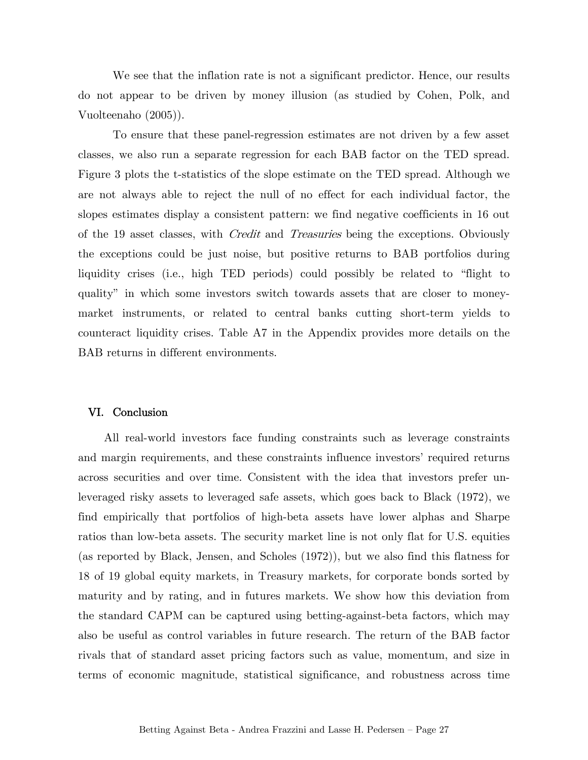We see that the inflation rate is not a significant predictor. Hence, our results do not appear to be driven by money illusion (as studied by Cohen, Polk, and Vuolteenaho (2005)).

To ensure that these panel-regression estimates are not driven by a few asset classes, we also run a separate regression for each BAB factor on the TED spread. Figure 3 plots the t-statistics of the slope estimate on the TED spread. Although we are not always able to reject the null of no effect for each individual factor, the slopes estimates display a consistent pattern: we find negative coefficients in 16 out of the 19 asset classes, with *Credit* and *Treasuries* being the exceptions. Obviously the exceptions could be just noise, but positive returns to BAB portfolios during liquidity crises (i.e., high TED periods) could possibly be related to "flight to quality" in which some investors switch towards assets that are closer to moneymarket instruments, or related to central banks cutting short-term yields to counteract liquidity crises. Table A7 in the Appendix provides more details on the BAB returns in different environments.

#### VI. Conclusion

All real-world investors face funding constraints such as leverage constraints and margin requirements, and these constraints influence investors' required returns across securities and over time. Consistent with the idea that investors prefer unleveraged risky assets to leveraged safe assets, which goes back to Black (1972), we find empirically that portfolios of high-beta assets have lower alphas and Sharpe ratios than low-beta assets. The security market line is not only flat for U.S. equities (as reported by Black, Jensen, and Scholes (1972)), but we also find this flatness for 18 of 19 global equity markets, in Treasury markets, for corporate bonds sorted by maturity and by rating, and in futures markets. We show how this deviation from the standard CAPM can be captured using betting-against-beta factors, which may also be useful as control variables in future research. The return of the BAB factor rivals that of standard asset pricing factors such as value, momentum, and size in terms of economic magnitude, statistical significance, and robustness across time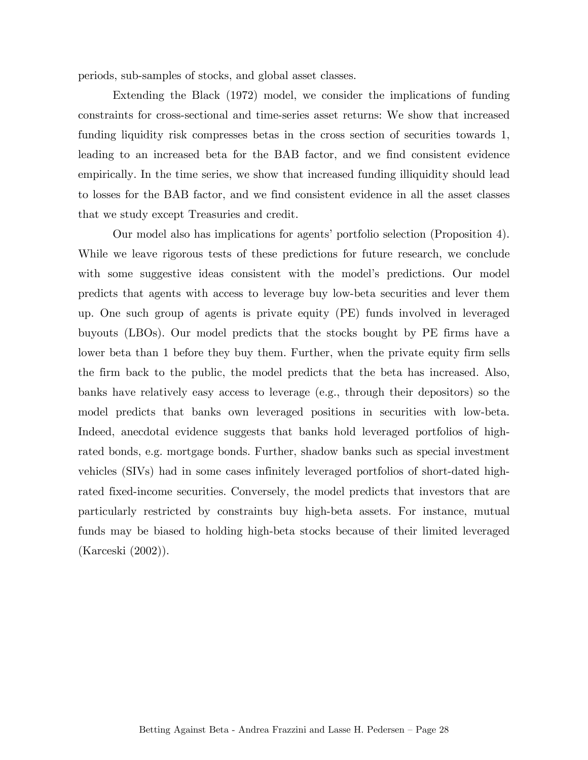periods, sub-samples of stocks, and global asset classes.

 Extending the Black (1972) model, we consider the implications of funding constraints for cross-sectional and time-series asset returns: We show that increased funding liquidity risk compresses betas in the cross section of securities towards 1, leading to an increased beta for the BAB factor, and we find consistent evidence empirically. In the time series, we show that increased funding illiquidity should lead to losses for the BAB factor, and we find consistent evidence in all the asset classes that we study except Treasuries and credit.

 Our model also has implications for agents' portfolio selection (Proposition 4). While we leave rigorous tests of these predictions for future research, we conclude with some suggestive ideas consistent with the model's predictions. Our model predicts that agents with access to leverage buy low-beta securities and lever them up. One such group of agents is private equity (PE) funds involved in leveraged buyouts (LBOs). Our model predicts that the stocks bought by PE firms have a lower beta than 1 before they buy them. Further, when the private equity firm sells the firm back to the public, the model predicts that the beta has increased. Also, banks have relatively easy access to leverage (e.g., through their depositors) so the model predicts that banks own leveraged positions in securities with low-beta. Indeed, anecdotal evidence suggests that banks hold leveraged portfolios of highrated bonds, e.g. mortgage bonds. Further, shadow banks such as special investment vehicles (SIVs) had in some cases infinitely leveraged portfolios of short-dated highrated fixed-income securities. Conversely, the model predicts that investors that are particularly restricted by constraints buy high-beta assets. For instance, mutual funds may be biased to holding high-beta stocks because of their limited leveraged (Karceski (2002)).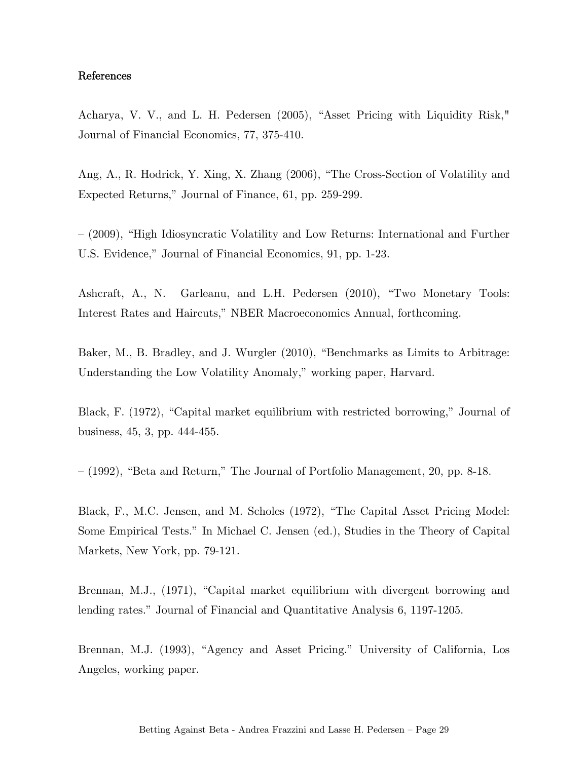### References

Acharya, V. V., and L. H. Pedersen (2005), "Asset Pricing with Liquidity Risk," Journal of Financial Economics, 77, 375-410.

Ang, A., R. Hodrick, Y. Xing, X. Zhang (2006), "The Cross-Section of Volatility and Expected Returns," Journal of Finance, 61, pp. 259-299.

— (2009), "High Idiosyncratic Volatility and Low Returns: International and Further U.S. Evidence," Journal of Financial Economics, 91, pp. 1-23.

Ashcraft, A., N. Garleanu, and L.H. Pedersen (2010), "Two Monetary Tools: Interest Rates and Haircuts," NBER Macroeconomics Annual, forthcoming.

Baker, M., B. Bradley, and J. Wurgler (2010), "Benchmarks as Limits to Arbitrage: Understanding the Low Volatility Anomaly," working paper, Harvard.

Black, F. (1972), "Capital market equilibrium with restricted borrowing," Journal of business, 45, 3, pp. 444-455.

— (1992), "Beta and Return," The Journal of Portfolio Management, 20, pp. 8-18.

Black, F., M.C. Jensen, and M. Scholes (1972), "The Capital Asset Pricing Model: Some Empirical Tests." In Michael C. Jensen (ed.), Studies in the Theory of Capital Markets, New York, pp. 79-121.

Brennan, M.J., (1971), "Capital market equilibrium with divergent borrowing and lending rates." Journal of Financial and Quantitative Analysis 6, 1197-1205.

Brennan, M.J. (1993), "Agency and Asset Pricing." University of California, Los Angeles, working paper.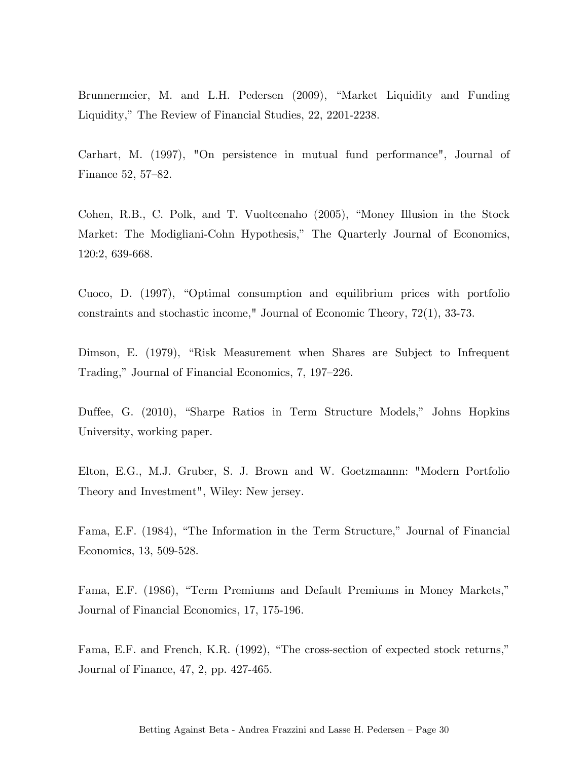Brunnermeier, M. and L.H. Pedersen (2009), "Market Liquidity and Funding Liquidity," The Review of Financial Studies, 22, 2201-2238.

Carhart, M. (1997), "On persistence in mutual fund performance", Journal of Finance 52, 57—82.

Cohen, R.B., C. Polk, and T. Vuolteenaho (2005), "Money Illusion in the Stock Market: The Modigliani-Cohn Hypothesis," The Quarterly Journal of Economics, 120:2, 639-668.

Cuoco, D. (1997), "Optimal consumption and equilibrium prices with portfolio constraints and stochastic income," Journal of Economic Theory, 72(1), 33-73.

Dimson, E. (1979), "Risk Measurement when Shares are Subject to Infrequent Trading," Journal of Financial Economics, 7, 197—226.

Duffee, G. (2010), "Sharpe Ratios in Term Structure Models," Johns Hopkins University, working paper.

Elton, E.G., M.J. Gruber, S. J. Brown and W. Goetzmannn: "Modern Portfolio Theory and Investment", Wiley: New jersey.

Fama, E.F. (1984), "The Information in the Term Structure," Journal of Financial Economics, 13, 509-528.

Fama, E.F. (1986), "Term Premiums and Default Premiums in Money Markets," Journal of Financial Economics, 17, 175-196.

Fama, E.F. and French, K.R. (1992), "The cross-section of expected stock returns," Journal of Finance, 47, 2, pp. 427-465.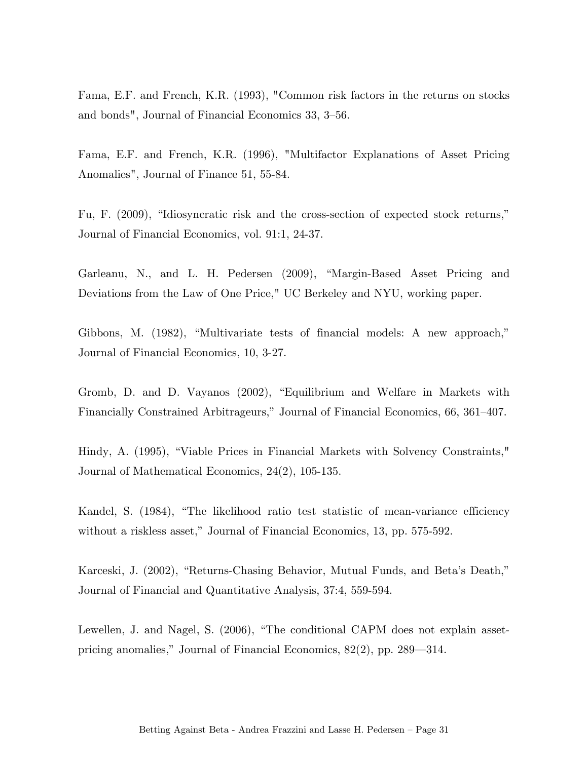Fama, E.F. and French, K.R. (1993), "Common risk factors in the returns on stocks and bonds", Journal of Financial Economics 33, 3—56.

Fama, E.F. and French, K.R. (1996), "Multifactor Explanations of Asset Pricing Anomalies", Journal of Finance 51, 55-84.

Fu, F. (2009), "Idiosyncratic risk and the cross-section of expected stock returns," Journal of Financial Economics, vol. 91:1, 24-37.

Garleanu, N., and L. H. Pedersen (2009), "Margin-Based Asset Pricing and Deviations from the Law of One Price," UC Berkeley and NYU, working paper.

Gibbons, M. (1982), "Multivariate tests of financial models: A new approach," Journal of Financial Economics, 10, 3-27.

Gromb, D. and D. Vayanos (2002), "Equilibrium and Welfare in Markets with Financially Constrained Arbitrageurs," Journal of Financial Economics, 66, 361—407.

Hindy, A. (1995), "Viable Prices in Financial Markets with Solvency Constraints," Journal of Mathematical Economics, 24(2), 105-135.

Kandel, S. (1984), "The likelihood ratio test statistic of mean-variance efficiency without a riskless asset," Journal of Financial Economics, 13, pp. 575-592.

Karceski, J. (2002), "Returns-Chasing Behavior, Mutual Funds, and Beta's Death," Journal of Financial and Quantitative Analysis, 37:4, 559-594.

Lewellen, J. and Nagel, S. (2006), "The conditional CAPM does not explain assetpricing anomalies," Journal of Financial Economics, 82(2), pp. 289–314.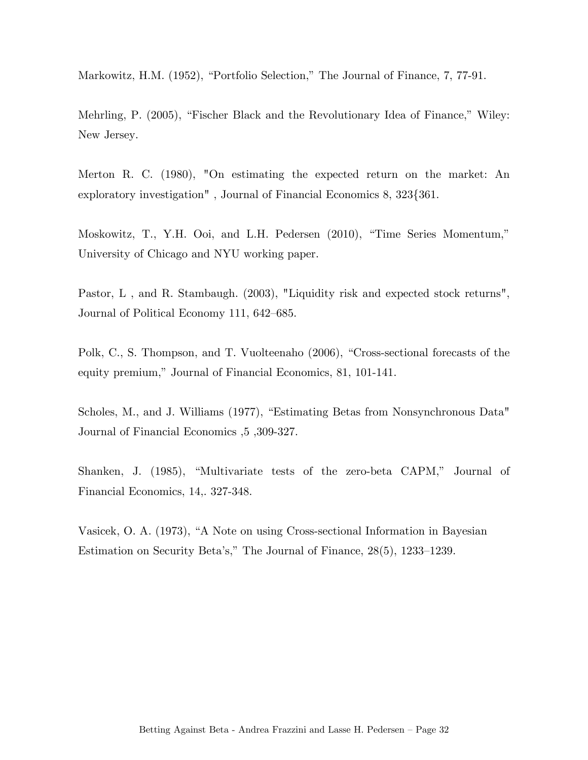Markowitz, H.M. (1952), "Portfolio Selection," The Journal of Finance, 7, 77-91.

Mehrling, P. (2005), "Fischer Black and the Revolutionary Idea of Finance," Wiley: New Jersey.

Merton R. C. (1980), "On estimating the expected return on the market: An exploratory investigation" , Journal of Financial Economics 8, 323{361.

Moskowitz, T., Y.H. Ooi, and L.H. Pedersen (2010), "Time Series Momentum," University of Chicago and NYU working paper.

Pastor, L , and R. Stambaugh. (2003), "Liquidity risk and expected stock returns", Journal of Political Economy 111, 642—685.

Polk, C., S. Thompson, and T. Vuolteenaho (2006), "Cross-sectional forecasts of the equity premium," Journal of Financial Economics, 81, 101-141.

Scholes, M., and J. Williams (1977), "Estimating Betas from Nonsynchronous Data" Journal of Financial Economics ,5 ,309-327.

Shanken, J. (1985), "Multivariate tests of the zero-beta CAPM," Journal of Financial Economics, 14,. 327-348.

Vasicek, O. A. (1973), "A Note on using Cross-sectional Information in Bayesian Estimation on Security Beta's," The Journal of Finance, 28(5), 1233—1239.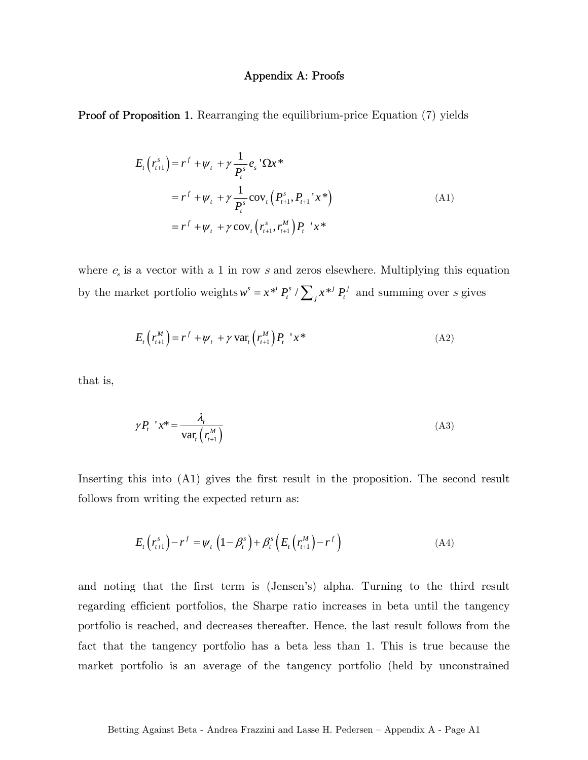#### Appendix A: Proofs

Proof of Proposition 1. Rearranging the equilibrium-price Equation (7) yields

$$
E_{t}\left(r_{t+1}^{s}\right) = r^{f} + \psi_{t} + \gamma \frac{1}{P_{t}^{s}} e_{s} \, \Omega x^{*}
$$
\n
$$
= r^{f} + \psi_{t} + \gamma \frac{1}{P_{t}^{s}} \cos_{t} \left(P_{t+1}^{s}, P_{t+1} \, x^{*}\right)
$$
\n
$$
= r^{f} + \psi_{t} + \gamma \cos_{t} \left(r_{t+1}^{s}, r_{t+1}^{M}\right) P_{t} \, x^{*}
$$
\n(A1)

where  $e_s$  is a vector with a 1 in row s and zeros elsewhere. Multiplying this equation by the market portfolio weights  $w^s = x^{*i} P_t^s / \sum_j x^{*j} P_t^j$  and summing over s gives

$$
E_t\left(r_{t+1}^M\right) = r^f + \psi_t + \gamma \operatorname{var}_t\left(r_{t+1}^M\right)P_t \quad x^* \tag{A2}
$$

that is,

$$
\gamma P_t \rvert x^* = \frac{\lambda_t}{\text{var}_t \left( r_{t+1}^M \right)} \tag{A3}
$$

Inserting this into (A1) gives the first result in the proposition. The second result follows from writing the expected return as:

$$
E_t\left(r_{t+1}^s\right) - r^f = \psi_t\left(1 - \beta_t^s\right) + \beta_t^s\left(E_t\left(r_{t+1}^M\right) - r^f\right)
$$
\n(A4)

and noting that the first term is (Jensen's) alpha. Turning to the third result regarding efficient portfolios, the Sharpe ratio increases in beta until the tangency portfolio is reached, and decreases thereafter. Hence, the last result follows from the fact that the tangency portfolio has a beta less than 1. This is true because the market portfolio is an average of the tangency portfolio (held by unconstrained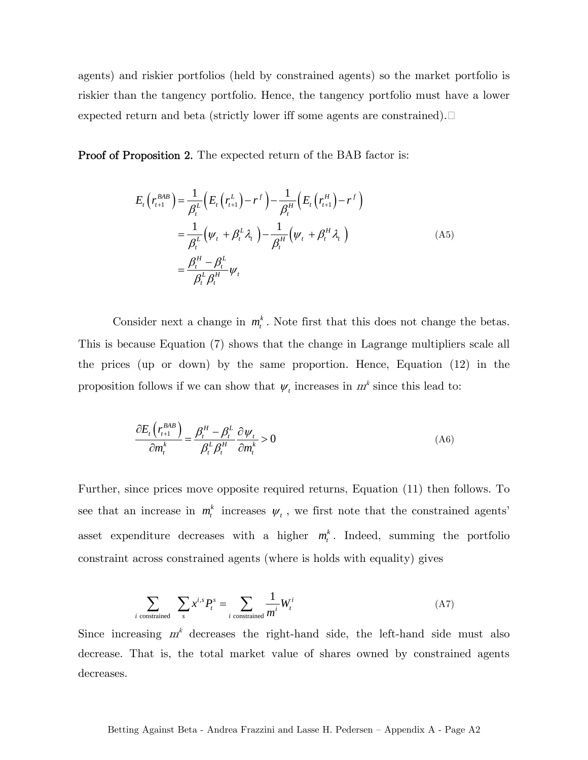agents) and riskier portfolios (held by constrained agents) so the market portfolio is riskier than the tangency portfolio. Hence, the tangency portfolio must have a lower expected return and beta (strictly lower iff some agents are constrained).

Proof of Proposition 2. The expected return of the BAB factor is:

$$
E_t(r_{t+1}^{BAB}) = \frac{1}{\beta_t^L} \Big( E_t(r_{t+1}^L) - r^f \Big) - \frac{1}{\beta_t^H} \Big( E_t(r_{t+1}^H) - r^f \Big)
$$
  

$$
= \frac{1}{\beta_t^L} \Big( \psi_t + \beta_t^L \lambda_t \Big) - \frac{1}{\beta_t^H} \Big( \psi_t + \beta_t^H \lambda_t \Big)
$$
  

$$
= \frac{\beta_t^H - \beta_t^L}{\beta_t^L \beta_t^H} \psi_t
$$
 (A5)

Consider next a change in  $m_t^k$ . Note first that this does not change the betas. This is because Equation (7) shows that the change in Lagrange multipliers scale all the prices (up or down) by the same proportion. Hence, Equation (12) in the proposition follows if we can show that  $\psi_t$  increases in  $m^k$  since this lead to:

$$
\frac{\partial E_t \left( r_{t+1}^{BAB} \right)}{\partial m_t^k} = \frac{\beta_t^H - \beta_t^L}{\beta_t^L \beta_t^H} \frac{\partial \psi_t}{\partial m_t^k} > 0
$$
\n(A6)

Further, since prices move opposite required returns, Equation (11) then follows. To see that an increase in  $m_t^k$  increases  $\psi_t$ , we first note that the constrained agents' asset expenditure decreases with a higher  $m_t^k$ . Indeed, summing the portfolio constraint across constrained agents (where is holds with equality) gives

$$
\sum_{i \text{ constrained}} \sum_{s} x^{i,s} P_t^s = \sum_{i \text{ constrained}} \frac{1}{m^i} W_t^i \tag{A7}
$$

Since increasing  $m<sup>k</sup>$  decreases the right-hand side, the left-hand side must also decrease. That is, the total market value of shares owned by constrained agents decreases.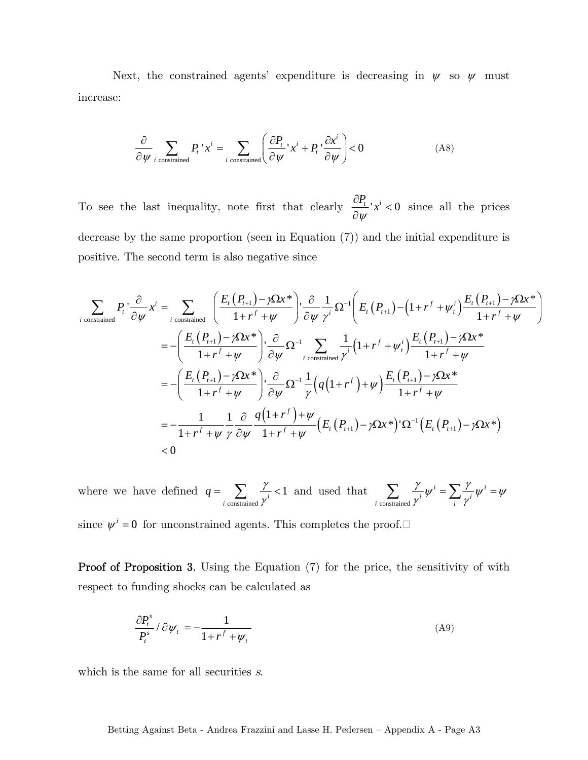Next, the constrained agents' expenditure is decreasing in  $\psi$  so  $\psi$  must increase:

$$
\frac{\partial}{\partial \psi} \sum_{i \text{ constrained}} P_i^{\ \prime} x^i = \sum_{i \text{ constrained}} \left( \frac{\partial P_i}{\partial \psi}^{\ \prime} x^i + P_i^{\ \prime} \frac{\partial x^i}{\partial \psi} \right) < 0 \tag{A8}
$$

To see the last inequality, note first that clearly  $\frac{\partial P_i}{\partial x}$  *x<sup>i</sup>* < 0  $\psi$  $\frac{\partial P_i}{\partial \psi}$ '*x*<sup>*i*</sup> < 0 since all the prices decrease by the same proportion (seen in Equation (7)) and the initial expenditure is positive. The second term is also negative since

$$
\sum_{i \text{ constrained}} P_{i} \frac{\partial}{\partial \psi} x^{i} = \sum_{i \text{ constrained}} \left( \frac{E_{i}(P_{i+1}) - \gamma \Omega x^{*}}{1 + r^{f} + \psi} \right) \frac{\partial}{\partial \psi} \frac{1}{\gamma^{i}} \Omega^{-1} \left( E_{i}(P_{i+1}) - (1 + r^{f} + \psi_{i}^{i}) \frac{E_{i}(P_{i+1}) - \gamma \Omega x^{*}}{1 + r^{f} + \psi} \right)
$$
\n
$$
= -\left( \frac{E_{i}(P_{i+1}) - \gamma \Omega x^{*}}{1 + r^{f} + \psi} \right) \frac{\partial}{\partial \psi} \Omega^{-1} \sum_{i \text{ constrained}} \frac{1}{\gamma^{i}} \left( 1 + r^{f} + \psi_{i}^{i} \right) \frac{E_{i}(P_{i+1}) - \gamma \Omega x^{*}}{1 + r^{f} + \psi}
$$
\n
$$
= -\left( \frac{E_{i}(P_{i+1}) - \gamma \Omega x^{*}}{1 + r^{f} + \psi} \right) \frac{\partial}{\partial \psi} \Omega^{-1} \frac{1}{\gamma} \left( q \left( 1 + r^{f} \right) + \psi \right) \frac{E_{i}(P_{i+1}) - \gamma \Omega x^{*}}{1 + r^{f} + \psi}
$$
\n
$$
= -\frac{1}{1 + r^{f} + \psi} \frac{1}{\gamma} \frac{\partial}{\partial \psi} \frac{q \left( 1 + r^{f} \right) + \psi}{1 + r^{f} + \psi} \left( E_{i}(P_{i+1}) - \gamma \Omega x^{*} \right) \Omega^{-1} \left( E_{i}(P_{i+1}) - \gamma \Omega x^{*} \right)
$$
\n
$$
< 0
$$

where we have defined  $\sum_{i \text{ constrained}} \frac{1}{\gamma^i} < 1$  $q = \sum_{i=1}^{n}$  $=\sum_{i \text{ constrained}} \frac{\gamma}{\gamma^i} < 1$  and used that  $\sum_{i \text{ constrained}}$ *i i*  $\sum_{i \text{ constrained}} \gamma^i \gamma^i = \sum_i \gamma^i$  $\sum_{\text{strained}} \frac{\gamma}{\gamma^i} \psi^i = \sum_i \frac{\gamma}{\gamma^i} \psi^i = \psi^i$ 

since  $\psi^i = 0$  for unconstrained agents. This completes the proof.

**Proof of Proposition 3.** Using the Equation (7) for the price, the sensitivity of with respect to funding shocks can be calculated as

$$
\frac{\partial P_t^s}{P_t^s} / \partial \psi_t = -\frac{1}{1 + r^f + \psi_t} \tag{A9}
$$

which is the same for all securities  $s$ .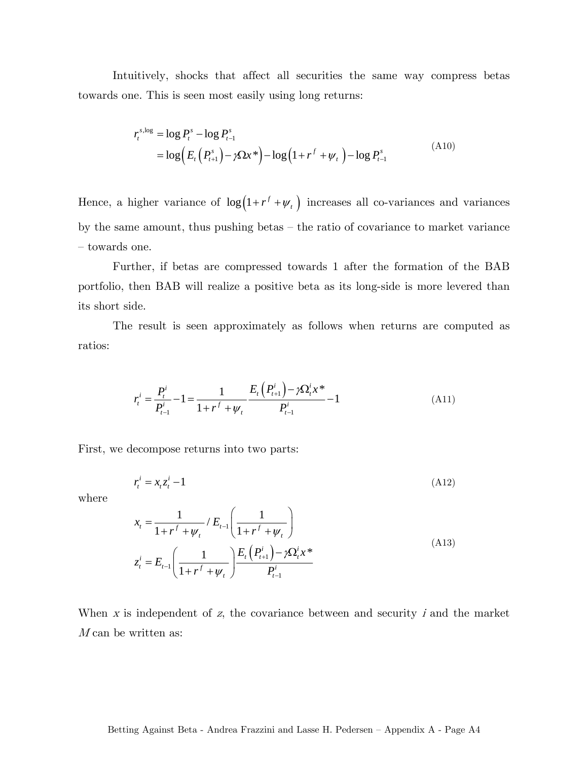Intuitively, shocks that affect all securities the same way compress betas towards one. This is seen most easily using long returns:

$$
r_t^{s, \log} = \log P_t^s - \log P_{t-1}^s
$$
  
= 
$$
\log \left( E_t \left( P_{t+1}^s \right) - \gamma \Omega x^* \right) - \log \left( 1 + r^f + \psi_t \right) - \log P_{t-1}^s
$$
 (A10)

Hence, a higher variance of  $\log(1 + r^f + \psi_t)$  increases all co-variances and variances by the same amount, thus pushing betas — the ratio of covariance to market variance — towards one.

Further, if betas are compressed towards 1 after the formation of the BAB portfolio, then BAB will realize a positive beta as its long-side is more levered than its short side.

The result is seen approximately as follows when returns are computed as ratios:

$$
r_t^i = \frac{P_t^i}{P_{t-1}^i} - 1 = \frac{1}{1 + r^f + \psi_t} \frac{E_t (P_{t+1}^i) - \gamma \Omega_t^i x^*}{P_{t-1}^i} - 1
$$
(A11)

First, we decompose returns into two parts:

$$
r_t^i = x_t z_t^i - 1 \tag{A12}
$$

where

$$
x_{t} = \frac{1}{1 + r^{f} + \psi_{t}} / E_{t-1} \left( \frac{1}{1 + r^{f} + \psi_{t}} \right)
$$
  

$$
z_{t}^{i} = E_{t-1} \left( \frac{1}{1 + r^{f} + \psi_{t}} \right) \frac{E_{t} \left( P_{t+1}^{i} \right) - \gamma \Omega_{t}^{i} x^{*}}{P_{t-1}^{i}}
$$
(A13)

When  $x$  is independent of  $z$ , the covariance between and security  $i$  and the market  $M$  can be written as: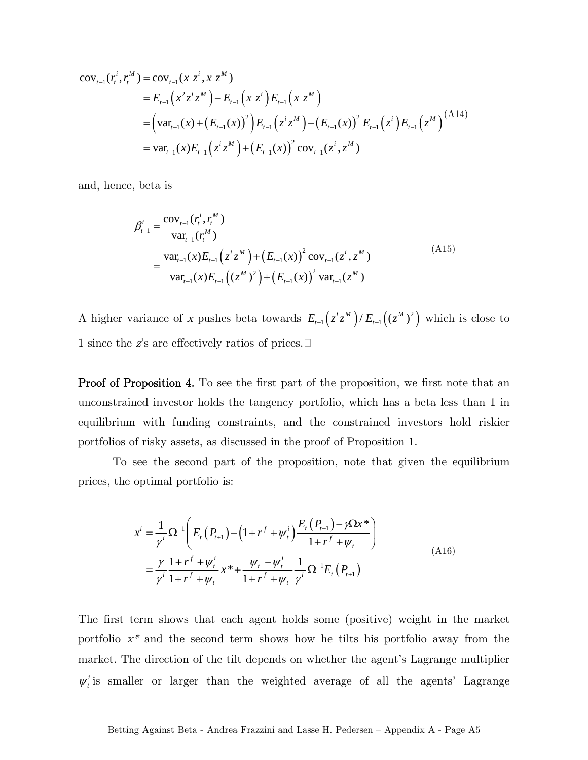$$
cov_{t-1}(r_t^i, r_t^M) = cov_{t-1}(x z^i, x z^M)
$$
  
=  $E_{t-1}(x^2 z^i z^M) - E_{t-1}(x z^i) E_{t-1}(x z^M)$   
=  $(var_{t-1}(x) + (E_{t-1}(x))^2) E_{t-1}(z^i z^M) - (E_{t-1}(x))^2 E_{t-1}(z^i) E_{t-1}(z^M)^{(A14)}$   
=  $var_{t-1}(x) E_{t-1}(z^i z^M) + (E_{t-1}(x))^2 cov_{t-1}(z^i, z^M)$ 

and, hence, beta is

$$
\beta_{t-1}^{i} = \frac{\text{cov}_{t-1}(r_{t}^{i}, r_{t}^{M})}{\text{var}_{t-1}(r_{t}^{M})}
$$
\n
$$
= \frac{\text{var}_{t-1}(x)E_{t-1}(z^{i}z^{M}) + (E_{t-1}(x))^{2}\text{cov}_{t-1}(z^{i}, z^{M})}{\text{var}_{t-1}(x)E_{t-1}((z^{M})^{2}) + (E_{t-1}(x))^{2}\text{var}_{t-1}(z^{M})}
$$
\n(A15)

A higher variance of x pushes beta towards  $E_{t-1}(z^i z^M)/E_{t-1}(z^M)^2$  which is close to 1 since the z's are effectively ratios of prices.

**Proof of Proposition 4.** To see the first part of the proposition, we first note that an unconstrained investor holds the tangency portfolio, which has a beta less than 1 in equilibrium with funding constraints, and the constrained investors hold riskier portfolios of risky assets, as discussed in the proof of Proposition 1.

To see the second part of the proposition, note that given the equilibrium prices, the optimal portfolio is:

$$
x^{i} = \frac{1}{\gamma^{i}} \Omega^{-1} \left( E_{t} (P_{t+1}) - (1 + r^{f} + \psi_{t}^{i}) \frac{E_{t} (P_{t+1}) - \gamma \Omega x^{*}}{1 + r^{f} + \psi_{t}} \right)
$$
  

$$
= \frac{\gamma}{\gamma^{i}} \frac{1 + r^{f} + \psi_{t}^{i}}{1 + r^{f} + \psi_{t}} x^{*} + \frac{\psi_{t} - \psi_{t}^{i}}{1 + r^{f} + \psi_{t}} \frac{1}{\gamma^{i}} \Omega^{-1} E_{t} (P_{t+1})
$$
(A16)

The first term shows that each agent holds some (positive) weight in the market portfolio  $x^*$  and the second term shows how he tilts his portfolio away from the market. The direction of the tilt depends on whether the agent's Lagrange multiplier  $\psi_t^i$  is smaller or larger than the weighted average of all the agents' Lagrange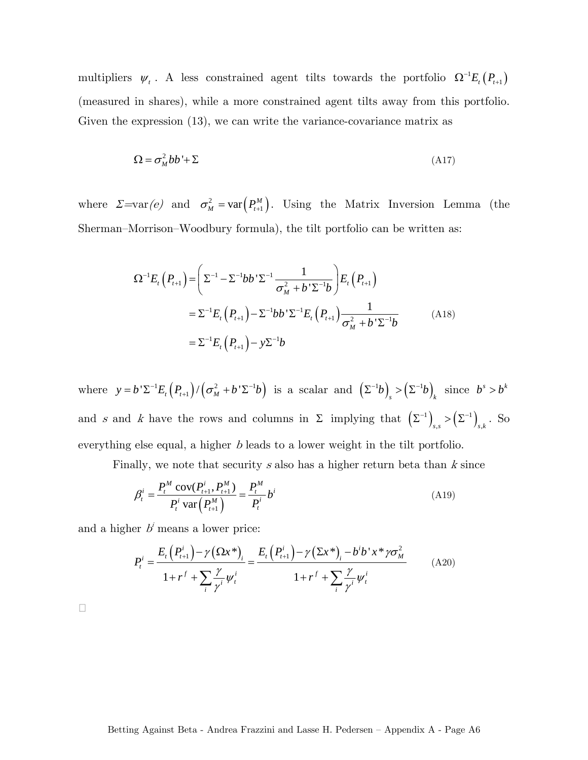multipliers  $\psi_t$ . A less constrained agent tilts towards the portfolio  $\Omega^{-1} E_t(P_{t+1})$ (measured in shares), while a more constrained agent tilts away from this portfolio. Given the expression (13), we can write the variance-covariance matrix as

$$
\Omega = \sigma_M^2 b b + \Sigma \tag{A17}
$$

where  $\Sigma = \text{var}(e)$  and  $\sigma_M^2 = \text{var}(P_{t+1}^M)$ . Using the Matrix Inversion Lemma (the Sherman—Morrison—Woodbury formula), the tilt portfolio can be written as:

$$
\Omega^{-1}E_t(P_{t+1}) = \left(\Sigma^{-1} - \Sigma^{-1}bb'\Sigma^{-1}\frac{1}{\sigma_M^2 + b'\Sigma^{-1}b}\right)E_t(P_{t+1})
$$
  
=  $\Sigma^{-1}E_t(P_{t+1}) - \Sigma^{-1}bb'\Sigma^{-1}E_t(P_{t+1})\frac{1}{\sigma_M^2 + b'\Sigma^{-1}b}$  (A18)  
=  $\Sigma^{-1}E_t(P_{t+1}) - y\Sigma^{-1}b$ 

where  $y = b^{\prime} \Sigma^{-1} E_t(P_{t+1}) / (\sigma_M^2 + b^{\prime} \Sigma^{-1} b)$  is a scalar and  $(\Sigma^{-1} b)_s > (\Sigma^{-1} b)_k$  since  $b^s > b^k$ and s and k have the rows and columns in  $\Sigma$  implying that  $(\Sigma^{-1})_{s,s} > (\Sigma^{-1})_{s,k}$ . So everything else equal, a higher b leads to a lower weight in the tilt portfolio.

Finally, we note that security s also has a higher return beta than  $k$  since

$$
\beta_t^i = \frac{P_t^M \text{ cov}(P_{t+1}^i, P_{t+1}^M)}{P_t^i \text{ var}(P_{t+1}^M)} = \frac{P_t^M}{P_t^i} b^i
$$
\n(A19)

and a higher  $b^i$  means a lower price:

$$
P_{t}^{i} = \frac{E_{t}(P_{t+1}^{i}) - \gamma (\Omega x^{*})_{i}}{1 + r^{f} + \sum_{i} \frac{\gamma}{\gamma^{i}} \psi_{t}^{i}} = \frac{E_{t}(P_{t+1}^{i}) - \gamma (\Sigma x^{*})_{i} - b^{i} b^{*} x^{*} \gamma \sigma_{M}^{2}}{1 + r^{f} + \sum_{i} \frac{\gamma}{\gamma^{i}} \psi_{t}^{i}}
$$
(A20)

 $\Box$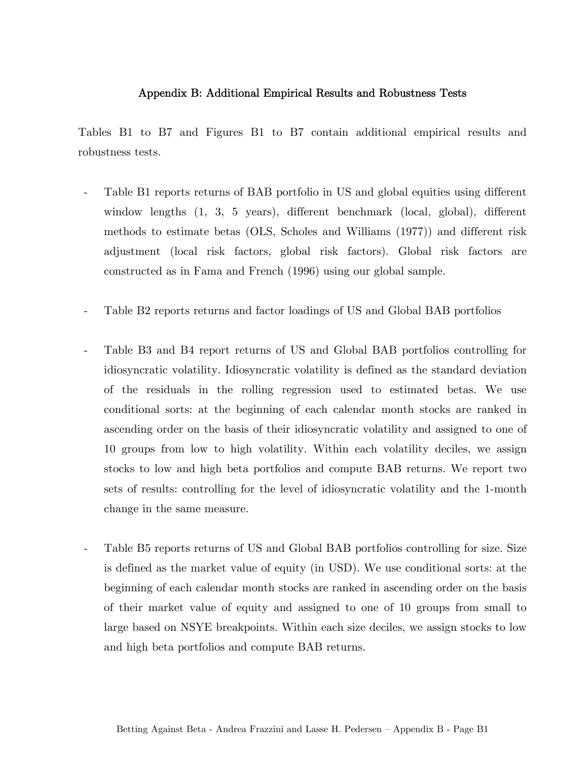## Appendix B: Additional Empirical Results and Robustness Tests

Tables B1 to B7 and Figures B1 to B7 contain additional empirical results and robustness tests.

- Table B1 reports returns of BAB portfolio in US and global equities using different window lengths (1, 3, 5 years), different benchmark (local, global), different methods to estimate betas (OLS, Scholes and Williams (1977)) and different risk adjustment (local risk factors, global risk factors). Global risk factors are constructed as in Fama and French (1996) using our global sample.
- Table B2 reports returns and factor loadings of US and Global BAB portfolios
- Table B3 and B4 report returns of US and Global BAB portfolios controlling for idiosyncratic volatility. Idiosyncratic volatility is defined as the standard deviation of the residuals in the rolling regression used to estimated betas. We use conditional sorts: at the beginning of each calendar month stocks are ranked in ascending order on the basis of their idiosyncratic volatility and assigned to one of 10 groups from low to high volatility. Within each volatility deciles, we assign stocks to low and high beta portfolios and compute BAB returns. We report two sets of results: controlling for the level of idiosyncratic volatility and the 1-month change in the same measure.
- Table B5 reports returns of US and Global BAB portfolios controlling for size. Size is defined as the market value of equity (in USD). We use conditional sorts: at the beginning of each calendar month stocks are ranked in ascending order on the basis of their market value of equity and assigned to one of 10 groups from small to large based on NSYE breakpoints. Within each size deciles, we assign stocks to low and high beta portfolios and compute BAB returns.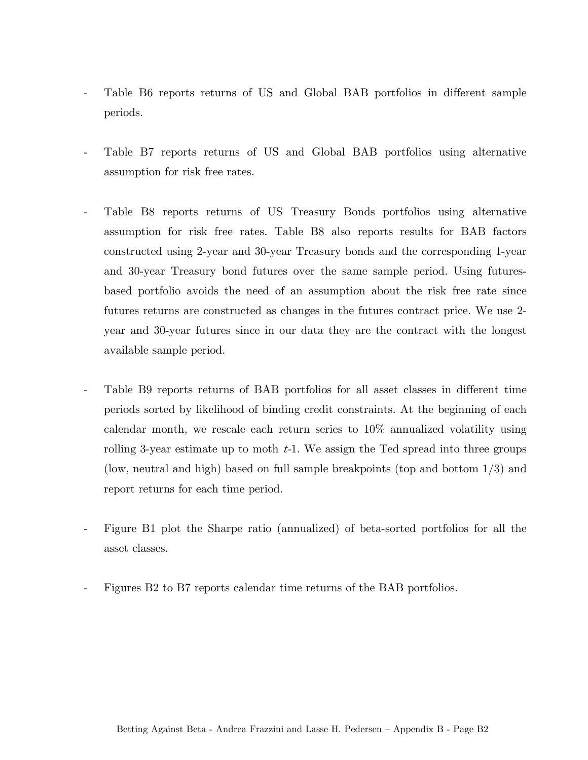- Table B6 reports returns of US and Global BAB portfolios in different sample periods.
- Table B7 reports returns of US and Global BAB portfolios using alternative assumption for risk free rates.
- Table B8 reports returns of US Treasury Bonds portfolios using alternative assumption for risk free rates. Table B8 also reports results for BAB factors constructed using 2-year and 30-year Treasury bonds and the corresponding 1-year and 30-year Treasury bond futures over the same sample period. Using futuresbased portfolio avoids the need of an assumption about the risk free rate since futures returns are constructed as changes in the futures contract price. We use 2 year and 30-year futures since in our data they are the contract with the longest available sample period.
- Table B9 reports returns of BAB portfolios for all asset classes in different time periods sorted by likelihood of binding credit constraints. At the beginning of each calendar month, we rescale each return series to 10% annualized volatility using rolling 3-year estimate up to moth  $t-1$ . We assign the Ted spread into three groups (low, neutral and high) based on full sample breakpoints (top and bottom 1/3) and report returns for each time period.
- Figure B1 plot the Sharpe ratio (annualized) of beta-sorted portfolios for all the asset classes.
- Figures B2 to B7 reports calendar time returns of the BAB portfolios.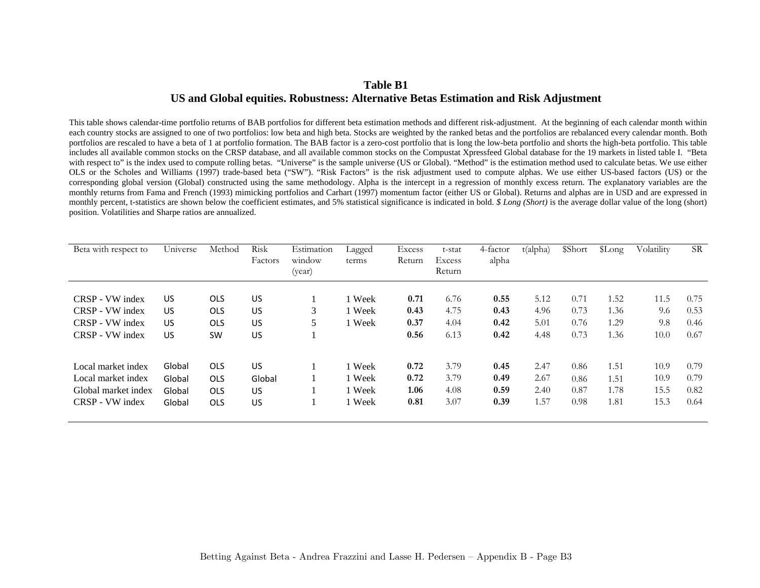## **Table B1 US and Global equities. Robustness: Alternative Betas Estimation and Risk Adjustment**

This table shows calendar-time portfolio returns of BAB portfolios for different beta estimation methods and different risk-adjustment. At the beginning of each calendar month within each country stocks are assigned to one of two portfolios: low beta and high beta. Stocks are weighted by the ranked betas and the portfolios are rebalanced every calendar month. Both portfolios are rescaled to have a beta of 1 at portfolio formation. The BAB factor is a zero-cost portfolio that is long the low-beta portfolio and shorts the high-beta portfolio. This table includes all available common stocks on the CRSP database, and all available common stocks on the Compustat Xpressfeed Global database for the 19 markets in listed table I. "Beta with respect to" is the index used to compute rolling betas. "Universe" is the sample universe (US or Global). "Method" is the estimation method used to calculate betas. We use either OLS or the Scholes and Williams (1997) trade-based beta ("SW"). "Risk Factors" is the risk adjustment used to compute alphas. We use either US-based factors (US) or the corresponding global version (Global) constructed using the same methodology. Alpha is the intercept in a regression of monthly excess return. The explanatory variables are the monthly returns from Fama and French (1993) mimicking portfolios and Carhart (1997) momentum factor (either US or Global). Returns and alphas are in USD and are expressed in monthly percent, t-statistics are shown below the coefficient estimates, and 5% statistical significance is indicated in bold. *\$ Long (Short)* is the average dollar value of the long (short) position. Volatilities and Sharpe ratios are annualized.

| Beta with respect to | Universe | Method     | Risk<br>Factors | Estimation<br>window<br>(year) | Lagged<br>terms | Excess<br>Return | t-stat<br><b>Excess</b><br>Return | 4-factor<br>alpha | t(alpha) | \$Short | \$Long | Volatility | <b>SR</b> |
|----------------------|----------|------------|-----------------|--------------------------------|-----------------|------------------|-----------------------------------|-------------------|----------|---------|--------|------------|-----------|
| CRSP - VW index      | US       | <b>OLS</b> | US              |                                | 1 Week          | 0.71             | 6.76                              | 0.55              | 5.12     | 0.71    | 1.52   | 11.5       | 0.75      |
| CRSP - VW index      | US       | <b>OLS</b> | US              | 3                              | 1 Week          | 0.43             | 4.75                              | 0.43              | 4.96     | 0.73    | 1.36   | 9.6        | 0.53      |
| CRSP - VW index      | US       | <b>OLS</b> | US              | 5                              | 1 Week          | 0.37             | 4.04                              | 0.42              | 5.01     | 0.76    | 1.29   | 9.8        | 0.46      |
| CRSP - VW index      | US       | <b>SW</b>  | US              |                                |                 | 0.56             | 6.13                              | 0.42              | 4.48     | 0.73    | 1.36   | 10.0       | 0.67      |
| Local market index   | Global   | <b>OLS</b> | US              |                                | 1 Week          | 0.72             | 3.79                              | 0.45              | 2.47     | 0.86    | 1.51   | 10.9       | 0.79      |
| Local market index   | Global   | <b>OLS</b> | Global          |                                | 1 Week          | 0.72             | 3.79                              | 0.49              | 2.67     | 0.86    | 1.51   | 10.9       | 0.79      |
| Global market index  | Global   | <b>OLS</b> | US              |                                | 1 Week          | 1.06             | 4.08                              | 0.59              | 2.40     | 0.87    | 1.78   | 15.5       | 0.82      |
| CRSP - VW index      | Global   | <b>OLS</b> | US              |                                | 1 Week          | 0.81             | 3.07                              | 0.39              | 1.57     | 0.98    | 1.81   | 15.3       | 0.64      |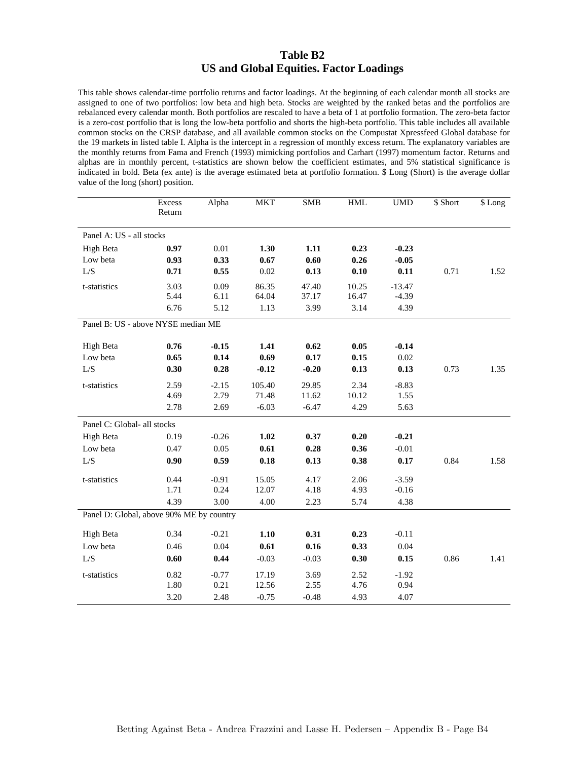### **Table B2 US and Global Equities. Factor Loadings**

This table shows calendar-time portfolio returns and factor loadings. At the beginning of each calendar month all stocks are assigned to one of two portfolios: low beta and high beta. Stocks are weighted by the ranked betas and the portfolios are rebalanced every calendar month. Both portfolios are rescaled to have a beta of 1 at portfolio formation. The zero-beta factor is a zero-cost portfolio that is long the low-beta portfolio and shorts the high-beta portfolio. This table includes all available common stocks on the CRSP database, and all available common stocks on the Compustat Xpressfeed Global database for the 19 markets in listed table I. Alpha is the intercept in a regression of monthly excess return. The explanatory variables are the monthly returns from Fama and French (1993) mimicking portfolios and Carhart (1997) momentum factor. Returns and alphas are in monthly percent, t-statistics are shown below the coefficient estimates, and 5% statistical significance is indicated in bold. Beta (ex ante) is the average estimated beta at portfolio formation. \$ Long (Short) is the average dollar value of the long (short) position.

|                                          | Excess<br>Return | Alpha   | <b>MKT</b> | <b>SMB</b> | <b>HML</b> | <b>UMD</b> | \$ Short | \$ Long |
|------------------------------------------|------------------|---------|------------|------------|------------|------------|----------|---------|
| Panel A: US - all stocks                 |                  |         |            |            |            |            |          |         |
| High Beta                                | 0.97             | 0.01    | 1.30       | 1.11       | 0.23       | $-0.23$    |          |         |
| Low beta                                 | 0.93             | 0.33    | 0.67       | 0.60       | 0.26       | $-0.05$    |          |         |
| $L/S$                                    | 0.71             | 0.55    | 0.02       | 0.13       | 0.10       | 0.11       | 0.71     | 1.52    |
| t-statistics                             | 3.03             | 0.09    | 86.35      | 47.40      | 10.25      | $-13.47$   |          |         |
|                                          | 5.44             | 6.11    | 64.04      | 37.17      | 16.47      | $-4.39$    |          |         |
|                                          | 6.76             | 5.12    | 1.13       | 3.99       | 3.14       | 4.39       |          |         |
| Panel B: US - above NYSE median ME       |                  |         |            |            |            |            |          |         |
| High Beta                                | 0.76             | $-0.15$ | 1.41       | 0.62       | 0.05       | $-0.14$    |          |         |
| Low beta                                 | 0.65             | 0.14    | 0.69       | 0.17       | 0.15       | 0.02       |          |         |
| $L/S$                                    | 0.30             | 0.28    | $-0.12$    | $-0.20$    | 0.13       | 0.13       | 0.73     | 1.35    |
| t-statistics                             | 2.59             | $-2.15$ | 105.40     | 29.85      | 2.34       | $-8.83$    |          |         |
|                                          | 4.69             | 2.79    | 71.48      | 11.62      | 10.12      | 1.55       |          |         |
|                                          | 2.78             | 2.69    | $-6.03$    | $-6.47$    | 4.29       | 5.63       |          |         |
| Panel C: Global- all stocks              |                  |         |            |            |            |            |          |         |
| High Beta                                | 0.19             | $-0.26$ | 1.02       | 0.37       | 0.20       | $-0.21$    |          |         |
| Low beta                                 | 0.47             | 0.05    | 0.61       | 0.28       | 0.36       | $-0.01$    |          |         |
| L/S                                      | 0.90             | 0.59    | 0.18       | 0.13       | 0.38       | 0.17       | 0.84     | 1.58    |
| t-statistics                             | 0.44             | $-0.91$ | 15.05      | 4.17       | 2.06       | $-3.59$    |          |         |
|                                          | 1.71             | 0.24    | 12.07      | 4.18       | 4.93       | $-0.16$    |          |         |
|                                          | 4.39             | 3.00    | 4.00       | 2.23       | 5.74       | 4.38       |          |         |
| Panel D: Global, above 90% ME by country |                  |         |            |            |            |            |          |         |
| High Beta                                | 0.34             | $-0.21$ | 1.10       | 0.31       | 0.23       | $-0.11$    |          |         |
| Low beta                                 | 0.46             | 0.04    | 0.61       | 0.16       | 0.33       | 0.04       |          |         |
| L/S                                      | 0.60             | 0.44    | $-0.03$    | $-0.03$    | 0.30       | 0.15       | 0.86     | 1.41    |
| t-statistics                             | 0.82             | $-0.77$ | 17.19      | 3.69       | 2.52       | $-1.92$    |          |         |
|                                          | 1.80             | 0.21    | 12.56      | 2.55       | 4.76       | 0.94       |          |         |
|                                          | 3.20             | 2.48    | $-0.75$    | $-0.48$    | 4.93       | 4.07       |          |         |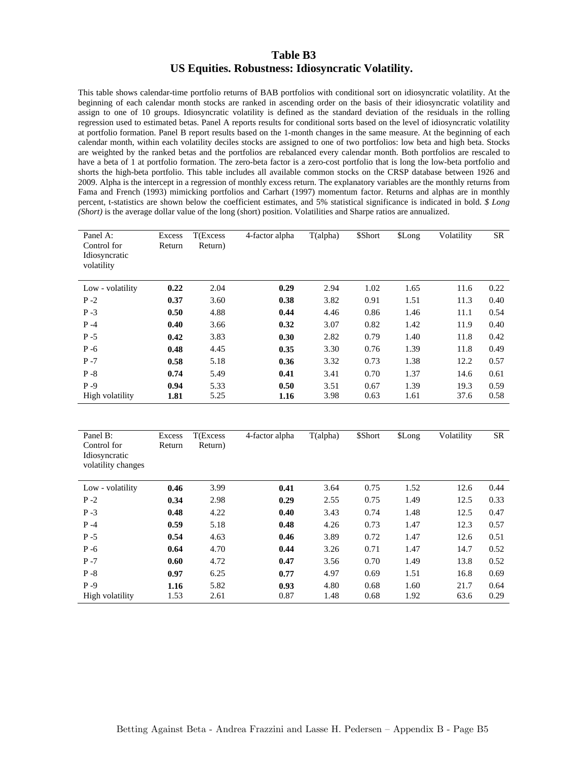#### **Table B3 US Equities. Robustness: Idiosyncratic Volatility.**

This table shows calendar-time portfolio returns of BAB portfolios with conditional sort on idiosyncratic volatility. At the beginning of each calendar month stocks are ranked in ascending order on the basis of their idiosyncratic volatility and assign to one of 10 groups. Idiosyncratic volatility is defined as the standard deviation of the residuals in the rolling regression used to estimated betas. Panel A reports results for conditional sorts based on the level of idiosyncratic volatility at portfolio formation. Panel B report results based on the 1-month changes in the same measure. At the beginning of each calendar month, within each volatility deciles stocks are assigned to one of two portfolios: low beta and high beta. Stocks are weighted by the ranked betas and the portfolios are rebalanced every calendar month. Both portfolios are rescaled to have a beta of 1 at portfolio formation. The zero-beta factor is a zero-cost portfolio that is long the low-beta portfolio and shorts the high-beta portfolio. This table includes all available common stocks on the CRSP database between 1926 and 2009. Alpha is the intercept in a regression of monthly excess return. The explanatory variables are the monthly returns from Fama and French (1993) mimicking portfolios and Carhart (1997) momentum factor. Returns and alphas are in monthly percent, t-statistics are shown below the coefficient estimates, and 5% statistical significance is indicated in bold. *\$ Long (Short)* is the average dollar value of the long (short) position. Volatilities and Sharpe ratios are annualized.

| Panel A:<br>Control for<br>Idiosyncratic<br>volatility | Excess<br>Return | T(Excess<br>Return) | 4-factor alpha | T(alpha) | \$Short | \$Long | Volatility | SR                     |
|--------------------------------------------------------|------------------|---------------------|----------------|----------|---------|--------|------------|------------------------|
| Low - volatility                                       | 0.22             | 2.04                | 0.29           | 2.94     | 1.02    | 1.65   | 11.6       | 0.22                   |
| $P - 2$                                                | 0.37             | 3.60                | 0.38           | 3.82     | 0.91    | 1.51   | 11.3       | 0.40                   |
| $P - 3$                                                | 0.50             | 4.88                | 0.44           | 4.46     | 0.86    | 1.46   | 11.1       | 0.54                   |
| $P - 4$                                                | 0.40             | 3.66                | 0.32           | 3.07     | 0.82    | 1.42   | 11.9       | 0.40                   |
| $P - 5$                                                | 0.42             | 3.83                | 0.30           | 2.82     | 0.79    | 1.40   | 11.8       | 0.42                   |
| $P - 6$                                                | 0.48             | 4.45                | 0.35           | 3.30     | 0.76    | 1.39   | 11.8       | 0.49                   |
| $P - 7$                                                | 0.58             | 5.18                | 0.36           | 3.32     | 0.73    | 1.38   | 12.2       | 0.57                   |
| $P - 8$                                                | 0.74             | 5.49                | 0.41           | 3.41     | 0.70    | 1.37   | 14.6       | 0.61                   |
| $P - 9$                                                | 0.94             | 5.33                | 0.50           | 3.51     | 0.67    | 1.39   | 19.3       | 0.59                   |
| High volatility                                        | 1.81             | 5.25                | 1.16           | 3.98     | 0.63    | 1.61   | 37.6       | 0.58                   |
|                                                        |                  |                     |                |          |         |        |            |                        |
| Panel B:                                               | Excess           | T(Excess            | 4-factor alpha | T(alpha) | \$Short | \$Long | Volatility | $\overline{\text{SR}}$ |
| Control for<br>Idiosyncratic<br>volatility changes     | Return           | Return)             |                |          |         |        |            |                        |
| Low - volatility                                       | 0.46             | 3.99                | 0.41           | 3.64     | 0.75    | 1.52   | 12.6       | 0.44                   |
| $P - 2$                                                | 0.34             | 2.98                | 0.29           | 2.55     | 0.75    | 1.49   | 12.5       | 0.33                   |
| $P - 3$                                                | 0.48             | 4.22                | 0.40           | 3.43     | 0.74    | 1.48   | 12.5       | 0.47                   |
| $P - 4$                                                | 0.59             | 5.18                | 0.48           | 4.26     | 0.73    | 1.47   | 12.3       | 0.57                   |
| $P - 5$                                                | 0.54             | 4.63                | 0.46           | 3.89     | 0.72    | 1.47   | 12.6       | 0.51                   |
| $P - 6$                                                | 0.64             | 4.70                | 0.44           | 3.26     | 0.71    | 1.47   | 14.7       | 0.52                   |
| $P - 7$                                                | 0.60             | 4.72                | 0.47           | 3.56     | 0.70    | 1.49   | 13.8       | 0.52                   |
| $P - 8$                                                | 0.97             | 6.25                | 0.77           | 4.97     | 0.69    | 1.51   | 16.8       | 0.69                   |
|                                                        |                  |                     |                |          |         |        |            |                        |
| $P - 9$                                                | 1.16             | 5.82                | 0.93           | 4.80     | 0.68    | 1.60   | 21.7       | 0.64                   |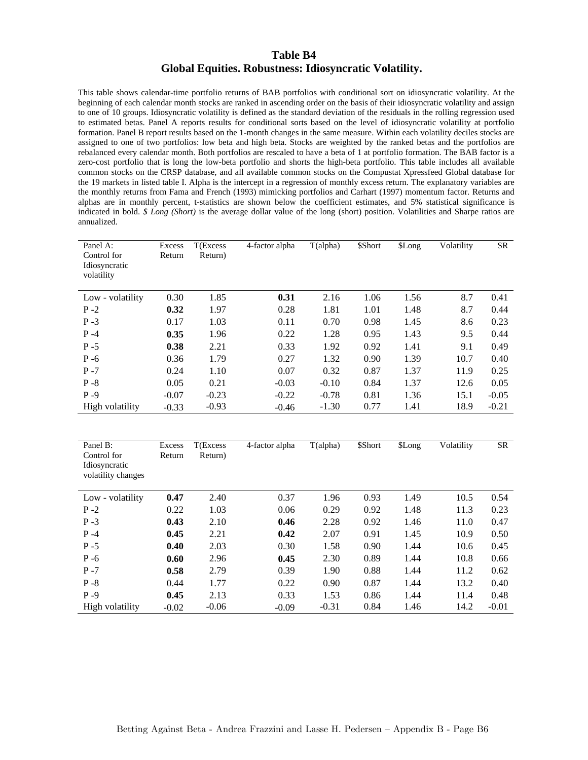#### **Table B4 Global Equities. Robustness: Idiosyncratic Volatility.**

This table shows calendar-time portfolio returns of BAB portfolios with conditional sort on idiosyncratic volatility. At the beginning of each calendar month stocks are ranked in ascending order on the basis of their idiosyncratic volatility and assign to one of 10 groups. Idiosyncratic volatility is defined as the standard deviation of the residuals in the rolling regression used to estimated betas. Panel A reports results for conditional sorts based on the level of idiosyncratic volatility at portfolio formation. Panel B report results based on the 1-month changes in the same measure. Within each volatility deciles stocks are assigned to one of two portfolios: low beta and high beta. Stocks are weighted by the ranked betas and the portfolios are rebalanced every calendar month. Both portfolios are rescaled to have a beta of 1 at portfolio formation. The BAB factor is a zero-cost portfolio that is long the low-beta portfolio and shorts the high-beta portfolio. This table includes all available common stocks on the CRSP database, and all available common stocks on the Compustat Xpressfeed Global database for the 19 markets in listed table I. Alpha is the intercept in a regression of monthly excess return. The explanatory variables are the monthly returns from Fama and French (1993) mimicking portfolios and Carhart (1997) momentum factor. Returns and alphas are in monthly percent, t-statistics are shown below the coefficient estimates, and 5% statistical significance is indicated in bold. *\$ Long (Short)* is the average dollar value of the long (short) position. Volatilities and Sharpe ratios are annualized.

| Panel A:<br>Control for<br>Idiosyncratic<br>volatility | <b>Excess</b><br>Return | T(Excess<br>Return) | 4-factor alpha | T(alpha) | \$Short | \$Long | Volatility | SR        |
|--------------------------------------------------------|-------------------------|---------------------|----------------|----------|---------|--------|------------|-----------|
| Low - volatility                                       | 0.30                    | 1.85                | 0.31           | 2.16     | 1.06    | 1.56   | 8.7        | 0.41      |
| $P - 2$                                                | 0.32                    | 1.97                | 0.28           | 1.81     | 1.01    | 1.48   | 8.7        | 0.44      |
| $P-3$                                                  | 0.17                    | 1.03                | 0.11           | 0.70     | 0.98    | 1.45   | 8.6        | 0.23      |
| $P - 4$                                                | 0.35                    | 1.96                | 0.22           | 1.28     | 0.95    | 1.43   | 9.5        | 0.44      |
| $P - 5$                                                | 0.38                    | 2.21                | 0.33           | 1.92     | 0.92    | 1.41   | 9.1        | 0.49      |
| $P - 6$                                                | 0.36                    | 1.79                | 0.27           | 1.32     | 0.90    | 1.39   | 10.7       | 0.40      |
| $P - 7$                                                | 0.24                    | 1.10                | 0.07           | 0.32     | 0.87    | 1.37   | 11.9       | 0.25      |
| $P - 8$                                                | 0.05                    | 0.21                | $-0.03$        | $-0.10$  | 0.84    | 1.37   | 12.6       | 0.05      |
| $P - 9$                                                | $-0.07$                 | $-0.23$             | $-0.22$        | $-0.78$  | 0.81    | 1.36   | 15.1       | $-0.05$   |
| High volatility                                        | $-0.33$                 | $-0.93$             | $-0.46$        | $-1.30$  | 0.77    | 1.41   | 18.9       | $-0.21$   |
|                                                        |                         |                     |                |          |         |        |            |           |
|                                                        |                         |                     |                |          |         |        |            |           |
| Panel B:                                               | Excess                  | T(Excess            | 4-factor alpha | T(alpha) | \$Short | \$Long | Volatility | <b>SR</b> |
| Control for<br>Idiosyncratic<br>volatility changes     | Return                  | Return)             |                |          |         |        |            |           |
| Low - volatility                                       | 0.47                    | 2.40                | 0.37           | 1.96     | 0.93    | 1.49   | 10.5       | 0.54      |
| $P - 2$                                                | 0.22                    | 1.03                | 0.06           | 0.29     | 0.92    | 1.48   | 11.3       | 0.23      |
| $P - 3$                                                | 0.43                    | 2.10                | 0.46           | 2.28     | 0.92    | 1.46   | 11.0       | 0.47      |
| $P - 4$                                                | 0.45                    | 2.21                | 0.42           | 2.07     | 0.91    | 1.45   | 10.9       | 0.50      |
| $P - 5$                                                | 0.40                    | 2.03                | 0.30           | 1.58     | 0.90    | 1.44   | 10.6       | 0.45      |
| $P - 6$                                                | 0.60                    | 2.96                | 0.45           | 2.30     | 0.89    | 1.44   | 10.8       | 0.66      |
| $P - 7$                                                | 0.58                    | 2.79                | 0.39           | 1.90     | 0.88    | 1.44   | 11.2       | 0.62      |
| $P - 8$                                                | 0.44                    | 1.77                | 0.22           | 0.90     | 0.87    | 1.44   | 13.2       | 0.40      |
| $P - 9$                                                | 0.45                    | 2.13                | 0.33           | 1.53     | 0.86    | 1.44   | 11.4       | 0.48      |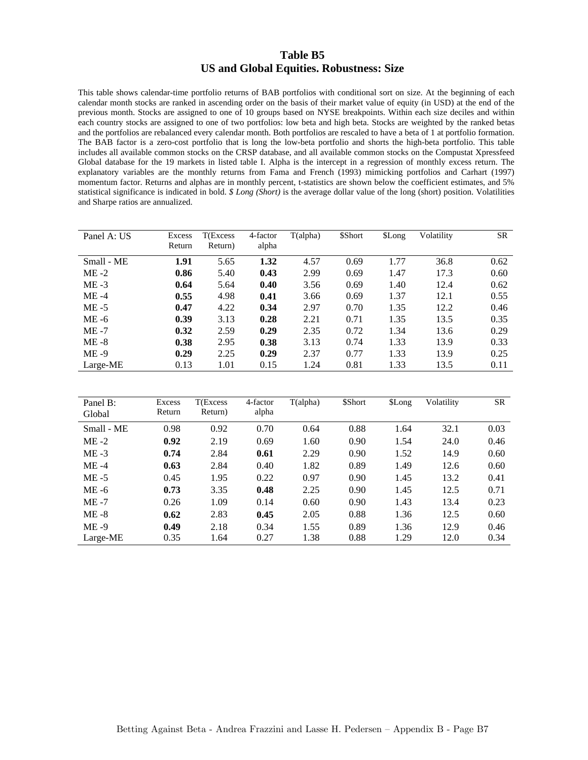#### **Table B5 US and Global Equities. Robustness: Size**

This table shows calendar-time portfolio returns of BAB portfolios with conditional sort on size. At the beginning of each calendar month stocks are ranked in ascending order on the basis of their market value of equity (in USD) at the end of the previous month. Stocks are assigned to one of 10 groups based on NYSE breakpoints. Within each size deciles and within each country stocks are assigned to one of two portfolios: low beta and high beta. Stocks are weighted by the ranked betas and the portfolios are rebalanced every calendar month. Both portfolios are rescaled to have a beta of 1 at portfolio formation. The BAB factor is a zero-cost portfolio that is long the low-beta portfolio and shorts the high-beta portfolio. This table includes all available common stocks on the CRSP database, and all available common stocks on the Compustat Xpressfeed Global database for the 19 markets in listed table I. Alpha is the intercept in a regression of monthly excess return. The explanatory variables are the monthly returns from Fama and French (1993) mimicking portfolios and Carhart (1997) momentum factor. Returns and alphas are in monthly percent, t-statistics are shown below the coefficient estimates, and 5% statistical significance is indicated in bold. *\$ Long (Short)* is the average dollar value of the long (short) position. Volatilities and Sharpe ratios are annualized.

| Panel A: US | Excess | T(Excess | 4-factor | T(alpha) | \$Short | \$Long | Volatility | SR   |
|-------------|--------|----------|----------|----------|---------|--------|------------|------|
|             | Return | Return)  | alpha    |          |         |        |            |      |
| Small - ME  | 1.91   | 5.65     | 1.32     | 4.57     | 0.69    | 1.77   | 36.8       | 0.62 |
| $ME -2$     | 0.86   | 5.40     | 0.43     | 2.99     | 0.69    | 1.47   | 17.3       | 0.60 |
| $ME -3$     | 0.64   | 5.64     | 0.40     | 3.56     | 0.69    | 1.40   | 12.4       | 0.62 |
| $ME -4$     | 0.55   | 4.98     | 0.41     | 3.66     | 0.69    | 1.37   | 12.1       | 0.55 |
| $ME - 5$    | 0.47   | 4.22     | 0.34     | 2.97     | 0.70    | 1.35   | 12.2       | 0.46 |
| $ME -6$     | 0.39   | 3.13     | 0.28     | 2.21     | 0.71    | 1.35   | 13.5       | 0.35 |
| $ME -7$     | 0.32   | 2.59     | 0.29     | 2.35     | 0.72    | 1.34   | 13.6       | 0.29 |
| $ME - 8$    | 0.38   | 2.95     | 0.38     | 3.13     | 0.74    | 1.33   | 13.9       | 0.33 |
| $ME -9$     | 0.29   | 2.25     | 0.29     | 2.37     | 0.77    | 1.33   | 13.9       | 0.25 |
| Large-ME    | 0.13   | 1.01     | 0.15     | 1.24     | 0.81    | 1.33   | 13.5       | 0.11 |

| Panel B:<br>Global | Excess<br>Return | T(Excess<br>Return) | 4-factor<br>alpha | T(alpha) | \$Short | \$Long | Volatility | <b>SR</b> |
|--------------------|------------------|---------------------|-------------------|----------|---------|--------|------------|-----------|
| Small - ME         | 0.98             | 0.92                | 0.70              | 0.64     | 0.88    | 1.64   | 32.1       | 0.03      |
| $ME -2$            | 0.92             | 2.19                | 0.69              | 1.60     | 0.90    | 1.54   | 24.0       | 0.46      |
| $ME -3$            | 0.74             | 2.84                | 0.61              | 2.29     | 0.90    | 1.52   | 14.9       | 0.60      |
| $ME -4$            | 0.63             | 2.84                | 0.40              | 1.82     | 0.89    | 1.49   | 12.6       | 0.60      |
| $ME - 5$           | 0.45             | 1.95                | 0.22              | 0.97     | 0.90    | 1.45   | 13.2       | 0.41      |
| $ME -6$            | 0.73             | 3.35                | 0.48              | 2.25     | 0.90    | 1.45   | 12.5       | 0.71      |
| $ME -7$            | 0.26             | 1.09                | 0.14              | 0.60     | 0.90    | 1.43   | 13.4       | 0.23      |
| $ME - 8$           | 0.62             | 2.83                | 0.45              | 2.05     | 0.88    | 1.36   | 12.5       | 0.60      |
| $ME -9$            | 0.49             | 2.18                | 0.34              | 1.55     | 0.89    | 1.36   | 12.9       | 0.46      |
| Large-ME           | 0.35             | 1.64                | 0.27              | 1.38     | 0.88    | 1.29   | 12.0       | 0.34      |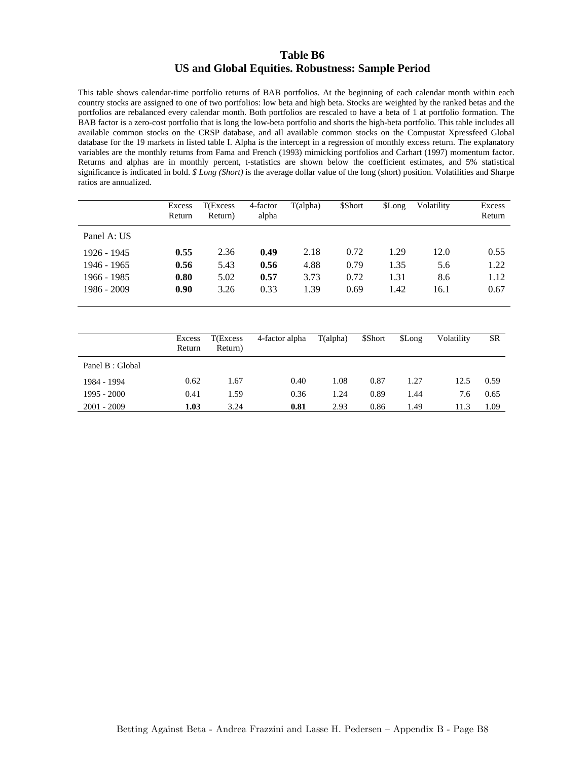#### **Table B6 US and Global Equities. Robustness: Sample Period**

This table shows calendar-time portfolio returns of BAB portfolios. At the beginning of each calendar month within each country stocks are assigned to one of two portfolios: low beta and high beta. Stocks are weighted by the ranked betas and the portfolios are rebalanced every calendar month. Both portfolios are rescaled to have a beta of 1 at portfolio formation. The BAB factor is a zero-cost portfolio that is long the low-beta portfolio and shorts the high-beta portfolio. This table includes all available common stocks on the CRSP database, and all available common stocks on the Compustat Xpressfeed Global database for the 19 markets in listed table I. Alpha is the intercept in a regression of monthly excess return. The explanatory variables are the monthly returns from Fama and French (1993) mimicking portfolios and Carhart (1997) momentum factor. Returns and alphas are in monthly percent, t-statistics are shown below the coefficient estimates, and 5% statistical significance is indicated in bold. *\$ Long (Short)* is the average dollar value of the long (short) position. Volatilities and Sharpe ratios are annualized.

|             | Excess<br>Return | T(Excess<br>Return) | 4-factor<br>alpha | T(alpha) | \$Short | \$Long | Volatility | Excess<br>Return |
|-------------|------------------|---------------------|-------------------|----------|---------|--------|------------|------------------|
| Panel A: US |                  |                     |                   |          |         |        |            |                  |
| 1926 - 1945 | 0.55             | 2.36                | 0.49              | 2.18     | 0.72    | 1.29   | 12.0       | 0.55             |
| 1946 - 1965 | 0.56             | 5.43                | 0.56              | 4.88     | 0.79    | 1.35   | 5.6        | 1.22             |
| 1966 - 1985 | 0.80             | 5.02                | 0.57              | 3.73     | 0.72    | 1.31   | 8.6        | 1.12             |
| 1986 - 2009 | 0.90             | 3.26                | 0.33              | 1.39     | 0.69    | 1.42   | 16.1       | 0.67             |

|                  | Excess<br>Return | T(Excess<br>Return) | 4-factor alpha | T(alpha) | \$Short | \$Long | Volatility | SR   |
|------------------|------------------|---------------------|----------------|----------|---------|--------|------------|------|
| Panel B : Global |                  |                     |                |          |         |        |            |      |
| 1984 - 1994      | 0.62             | 1.67                | 0.40           | 1.08     | 0.87    | 1.27   | 12.5       | 0.59 |
| $1995 - 2000$    | 0.41             | 1.59                | 0.36           | 1.24     | 0.89    | 1.44   | 7.6        | 0.65 |
| 2001 - 2009      | 1.03             | 3.24                | 0.81           | 2.93     | 0.86    | 1.49   | 11.3       | 1.09 |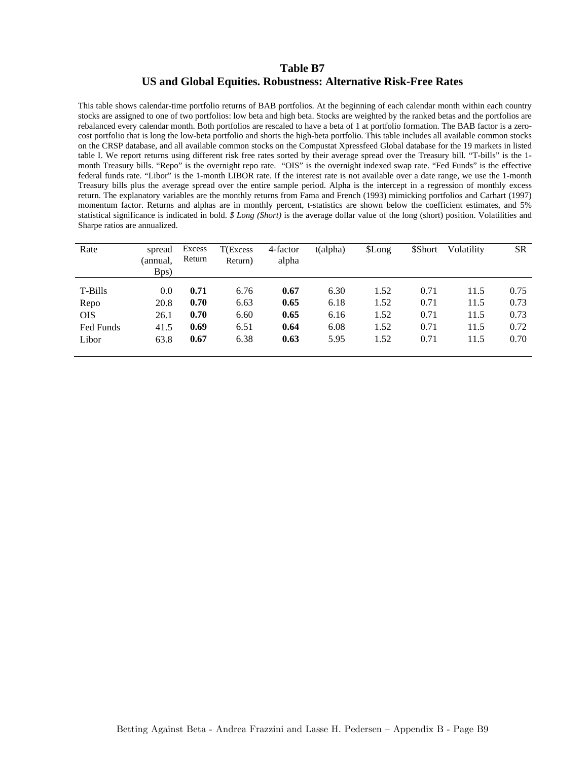### **Table B7 US and Global Equities. Robustness: Alternative Risk-Free Rates**

This table shows calendar-time portfolio returns of BAB portfolios. At the beginning of each calendar month within each country stocks are assigned to one of two portfolios: low beta and high beta. Stocks are weighted by the ranked betas and the portfolios are rebalanced every calendar month. Both portfolios are rescaled to have a beta of 1 at portfolio formation. The BAB factor is a zerocost portfolio that is long the low-beta portfolio and shorts the high-beta portfolio. This table includes all available common stocks on the CRSP database, and all available common stocks on the Compustat Xpressfeed Global database for the 19 markets in listed table I. We report returns using different risk free rates sorted by their average spread over the Treasury bill. "T-bills" is the 1 month Treasury bills. "Repo" is the overnight repo rate. "OIS" is the overnight indexed swap rate. "Fed Funds" is the effective federal funds rate. "Libor" is the 1-month LIBOR rate. If the interest rate is not available over a date range, we use the 1-month Treasury bills plus the average spread over the entire sample period. Alpha is the intercept in a regression of monthly excess return. The explanatory variables are the monthly returns from Fama and French (1993) mimicking portfolios and Carhart (1997) momentum factor. Returns and alphas are in monthly percent, t-statistics are shown below the coefficient estimates, and 5% statistical significance is indicated in bold. *\$ Long (Short)* is the average dollar value of the long (short) position. Volatilities and Sharpe ratios are annualized.

| Rate       | spread           | Excess<br>Return | $T$ (Excess | 4-factor | $t$ (alpha) | \$Long | \$Short | Volatility | <b>SR</b> |
|------------|------------------|------------------|-------------|----------|-------------|--------|---------|------------|-----------|
|            | (annual,<br>Bps) |                  | Return)     | alpha    |             |        |         |            |           |
| T-Bills    | 0.0              | 0.71             | 6.76        | 0.67     | 6.30        | 1.52   | 0.71    | 11.5       | 0.75      |
| Repo       | 20.8             | 0.70             | 6.63        | 0.65     | 6.18        | 1.52   | 0.71    | 11.5       | 0.73      |
| <b>OIS</b> | 26.1             | 0.70             | 6.60        | 0.65     | 6.16        | 1.52   | 0.71    | 11.5       | 0.73      |
| Fed Funds  | 41.5             | 0.69             | 6.51        | 0.64     | 6.08        | 1.52   | 0.71    | 11.5       | 0.72      |
| Libor      | 63.8             | 0.67             | 6.38        | 0.63     | 5.95        | 1.52   | 0.71    | 11.5       | 0.70      |
|            |                  |                  |             |          |             |        |         |            |           |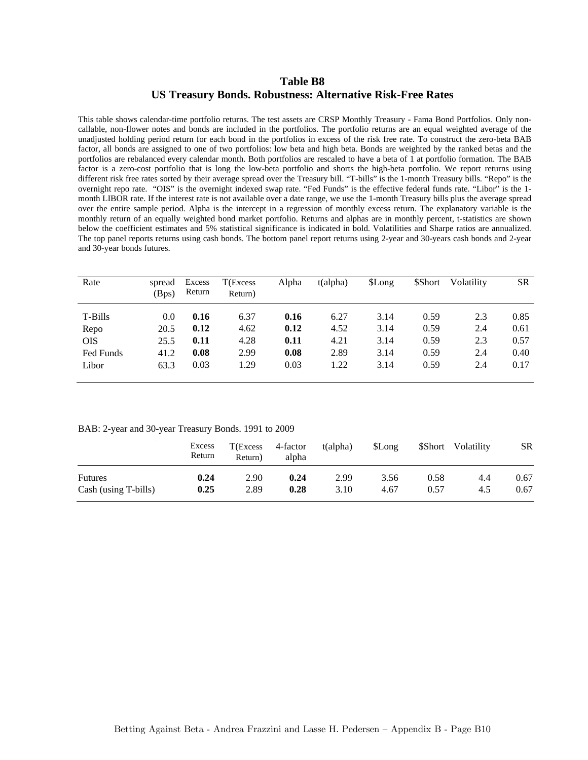### **Table B8 US Treasury Bonds. Robustness: Alternative Risk-Free Rates**

This table shows calendar-time portfolio returns. The test assets are CRSP Monthly Treasury - Fama Bond Portfolios. Only noncallable, non-flower notes and bonds are included in the portfolios. The portfolio returns are an equal weighted average of the unadjusted holding period return for each bond in the portfolios in excess of the risk free rate. To construct the zero-beta BAB factor, all bonds are assigned to one of two portfolios: low beta and high beta. Bonds are weighted by the ranked betas and the portfolios are rebalanced every calendar month. Both portfolios are rescaled to have a beta of 1 at portfolio formation. The BAB factor is a zero-cost portfolio that is long the low-beta portfolio and shorts the high-beta portfolio. We report returns using different risk free rates sorted by their average spread over the Treasury bill. "T-bills" is the 1-month Treasury bills. "Repo" is the overnight repo rate. "OIS" is the overnight indexed swap rate. "Fed Funds" is the effective federal funds rate. "Libor" is the 1 month LIBOR rate. If the interest rate is not available over a date range, we use the 1-month Treasury bills plus the average spread over the entire sample period. Alpha is the intercept in a regression of monthly excess return. The explanatory variable is the monthly return of an equally weighted bond market portfolio. Returns and alphas are in monthly percent, t-statistics are shown below the coefficient estimates and 5% statistical significance is indicated in bold. Volatilities and Sharpe ratios are annualized. The top panel reports returns using cash bonds. The bottom panel report returns using 2-year and 30-years cash bonds and 2-year and 30-year bonds futures.

| Rate       | spread<br>(Bps) | Excess<br>Return | T(Excess<br>Return) | Alpha | t(alpha) | \$Long | \$Short | Volatility | <b>SR</b> |
|------------|-----------------|------------------|---------------------|-------|----------|--------|---------|------------|-----------|
| T-Bills    | 0.0             | 0.16             | 6.37                | 0.16  | 6.27     | 3.14   | 0.59    | 2.3        | 0.85      |
| Repo       | 20.5            | 0.12             | 4.62                | 0.12  | 4.52     | 3.14   | 0.59    | 2.4        | 0.61      |
| <b>OIS</b> | 25.5            | 0.11             | 4.28                | 0.11  | 4.21     | 3.14   | 0.59    | 2.3        | 0.57      |
| Fed Funds  | 41.2            | 0.08             | 2.99                | 0.08  | 2.89     | 3.14   | 0.59    | 2.4        | 0.40      |
| Libor      | 63.3            | 0.03             | 1.29                | 0.03  | 1.22     | 3.14   | 0.59    | 2.4        | 0.17      |

#### BAB: 2-year and 30-year Treasury Bonds. 1991 to 2009

|                      | Excess<br>Return | $T$ (Excess<br>Return) | 4-factor<br>alpha | t(alpha) | \$Long |      | \$Short Volatility | <b>SR</b> |
|----------------------|------------------|------------------------|-------------------|----------|--------|------|--------------------|-----------|
| <b>Futures</b>       | 0.24             | 2.90                   | 0.24              | 2.99     | 3.56   | 0.58 | 4.4                | 0.67      |
| Cash (using T-bills) | 0.25             | 2.89                   | 0.28              | 3.10     | 4.67   | 0.57 | 4.5                | 0.67      |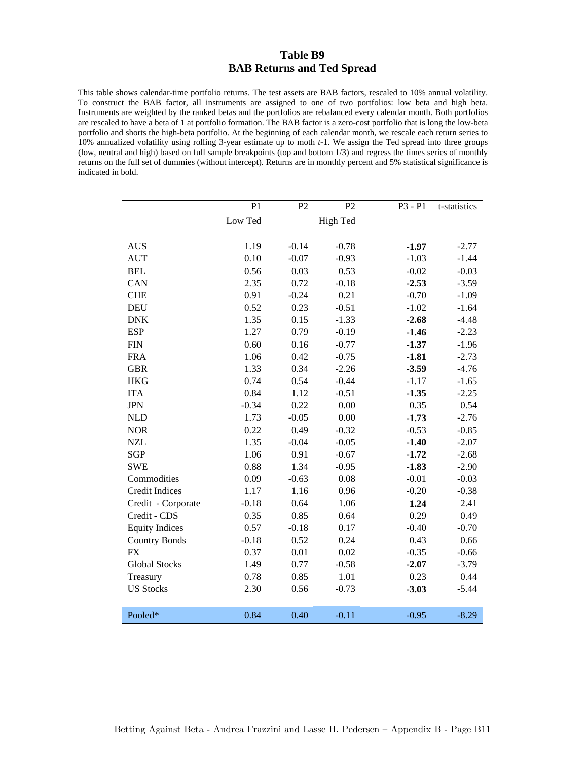### **Table B9 BAB Returns and Ted Spread**

This table shows calendar-time portfolio returns. The test assets are BAB factors, rescaled to 10% annual volatility. To construct the BAB factor, all instruments are assigned to one of two portfolios: low beta and high beta. Instruments are weighted by the ranked betas and the portfolios are rebalanced every calendar month. Both portfolios are rescaled to have a beta of 1 at portfolio formation. The BAB factor is a zero-cost portfolio that is long the low-beta portfolio and shorts the high-beta portfolio. At the beginning of each calendar month, we rescale each return series to 10% annualized volatility using rolling 3-year estimate up to moth *t-*1. We assign the Ted spread into three groups (low, neutral and high) based on full sample breakpoints (top and bottom 1/3) and regress the times series of monthly returns on the full set of dummies (without intercept). Returns are in monthly percent and 5% statistical significance is indicated in bold.

|                       | P <sub>1</sub> | P2      | P2       | P3 - P1 | t-statistics |
|-----------------------|----------------|---------|----------|---------|--------------|
|                       | Low Ted        |         | High Ted |         |              |
|                       |                |         |          |         |              |
| <b>AUS</b>            | 1.19           | $-0.14$ | $-0.78$  | $-1.97$ | $-2.77$      |
| <b>AUT</b>            | 0.10           | $-0.07$ | $-0.93$  | $-1.03$ | $-1.44$      |
| <b>BEL</b>            | 0.56           | 0.03    | 0.53     | $-0.02$ | $-0.03$      |
| CAN                   | 2.35           | 0.72    | $-0.18$  | $-2.53$ | $-3.59$      |
| <b>CHE</b>            | 0.91           | $-0.24$ | 0.21     | $-0.70$ | $-1.09$      |
| <b>DEU</b>            | 0.52           | 0.23    | $-0.51$  | $-1.02$ | $-1.64$      |
| <b>DNK</b>            | 1.35           | 0.15    | $-1.33$  | $-2.68$ | $-4.48$      |
| <b>ESP</b>            | 1.27           | 0.79    | $-0.19$  | $-1.46$ | $-2.23$      |
| <b>FIN</b>            | 0.60           | 0.16    | $-0.77$  | $-1.37$ | $-1.96$      |
| <b>FRA</b>            | 1.06           | 0.42    | $-0.75$  | $-1.81$ | $-2.73$      |
| <b>GBR</b>            | 1.33           | 0.34    | $-2.26$  | $-3.59$ | $-4.76$      |
| <b>HKG</b>            | 0.74           | 0.54    | $-0.44$  | $-1.17$ | $-1.65$      |
| <b>ITA</b>            | 0.84           | 1.12    | $-0.51$  | $-1.35$ | $-2.25$      |
| <b>JPN</b>            | $-0.34$        | 0.22    | 0.00     | 0.35    | 0.54         |
| <b>NLD</b>            | 1.73           | $-0.05$ | 0.00     | $-1.73$ | $-2.76$      |
| <b>NOR</b>            | 0.22           | 0.49    | $-0.32$  | $-0.53$ | $-0.85$      |
| <b>NZL</b>            | 1.35           | $-0.04$ | $-0.05$  | $-1.40$ | $-2.07$      |
| <b>SGP</b>            | 1.06           | 0.91    | $-0.67$  | $-1.72$ | $-2.68$      |
| <b>SWE</b>            | 0.88           | 1.34    | $-0.95$  | $-1.83$ | $-2.90$      |
| Commodities           | 0.09           | $-0.63$ | 0.08     | $-0.01$ | $-0.03$      |
| Credit Indices        | 1.17           | 1.16    | 0.96     | $-0.20$ | $-0.38$      |
| Credit - Corporate    | $-0.18$        | 0.64    | 1.06     | 1.24    | 2.41         |
| Credit - CDS          | 0.35           | 0.85    | 0.64     | 0.29    | 0.49         |
| <b>Equity Indices</b> | 0.57           | $-0.18$ | 0.17     | $-0.40$ | $-0.70$      |
| <b>Country Bonds</b>  | $-0.18$        | 0.52    | 0.24     | 0.43    | 0.66         |
| <b>FX</b>             | 0.37           | 0.01    | 0.02     | $-0.35$ | $-0.66$      |
| <b>Global Stocks</b>  | 1.49           | 0.77    | $-0.58$  | $-2.07$ | $-3.79$      |
| Treasury              | 0.78           | 0.85    | 1.01     | 0.23    | 0.44         |
| <b>US Stocks</b>      | 2.30           | 0.56    | $-0.73$  | $-3.03$ | $-5.44$      |
|                       |                |         |          |         |              |
| Pooled*               | 0.84           | 0.40    | $-0.11$  | $-0.95$ | $-8.29$      |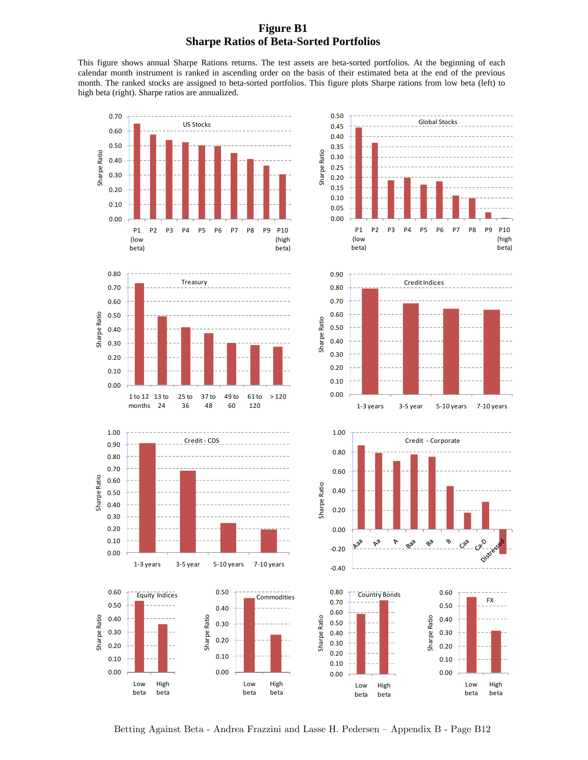## **Figure B1 Sharpe Ratios of Beta-Sorted Portfolios**

This figure shows annual Sharpe Rations returns. The test assets are beta-sorted portfolios. At the beginning of each calendar month instrument is ranked in ascending order on the basis of their estimated beta at the end of the previous month. The ranked stocks are assigned to beta-sorted portfolios. This figure plots Sharpe rations from low beta (left) to high beta (right). Sharpe ratios are annualized.



Betting Against Beta - Andrea Frazzini and Lasse H. Pedersen — Appendix B - Page B12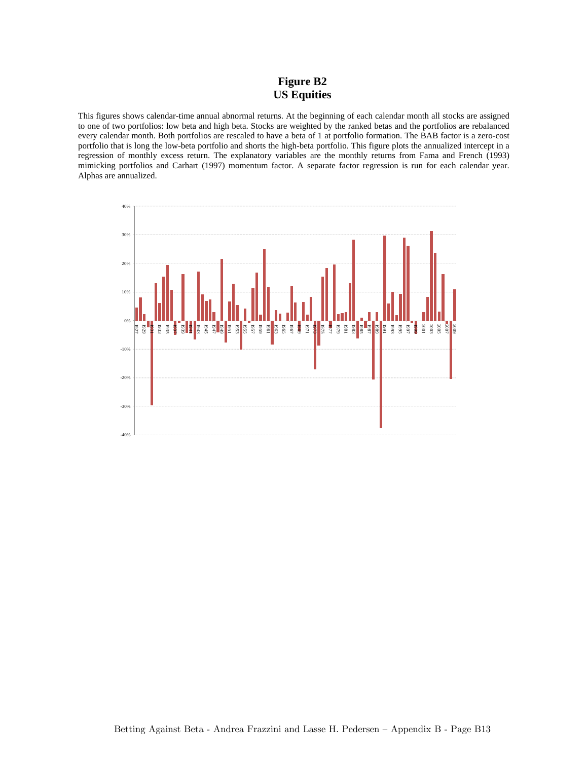# **Figure B2 US Equities**

This figures shows calendar-time annual abnormal returns. At the beginning of each calendar month all stocks are assigned to one of two portfolios: low beta and high beta. Stocks are weighted by the ranked betas and the portfolios are rebalanced every calendar month. Both portfolios are rescaled to have a beta of 1 at portfolio formation. The BAB factor is a zero-cost portfolio that is long the low-beta portfolio and shorts the high-beta portfolio. This figure plots the annualized intercept in a regression of monthly excess return. The explanatory variables are the monthly returns from Fama and French (1993) mimicking portfolios and Carhart (1997) momentum factor. A separate factor regression is run for each calendar year. Alphas are annualized.

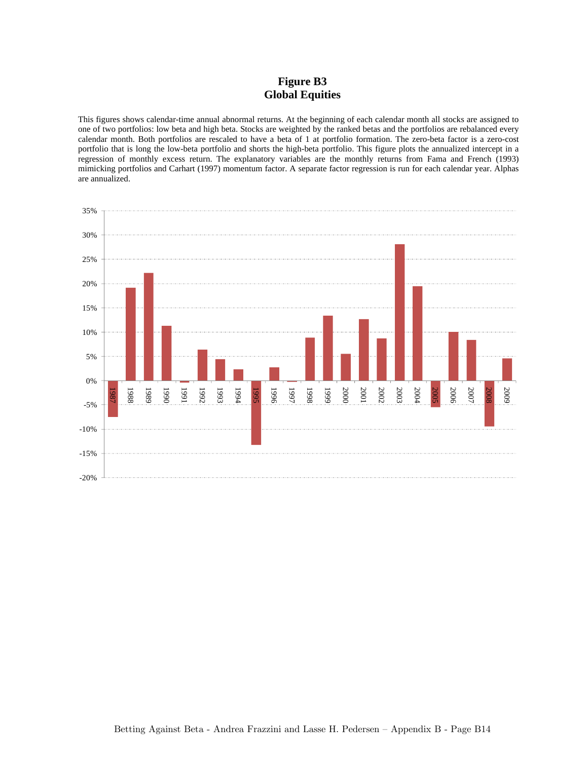# **Figure B3 Global Equities**

This figures shows calendar-time annual abnormal returns. At the beginning of each calendar month all stocks are assigned to one of two portfolios: low beta and high beta. Stocks are weighted by the ranked betas and the portfolios are rebalanced every calendar month. Both portfolios are rescaled to have a beta of 1 at portfolio formation. The zero-beta factor is a zero-cost portfolio that is long the low-beta portfolio and shorts the high-beta portfolio. This figure plots the annualized intercept in a regression of monthly excess return. The explanatory variables are the monthly returns from Fama and French (1993) mimicking portfolios and Carhart (1997) momentum factor. A separate factor regression is run for each calendar year. Alphas are annualized.

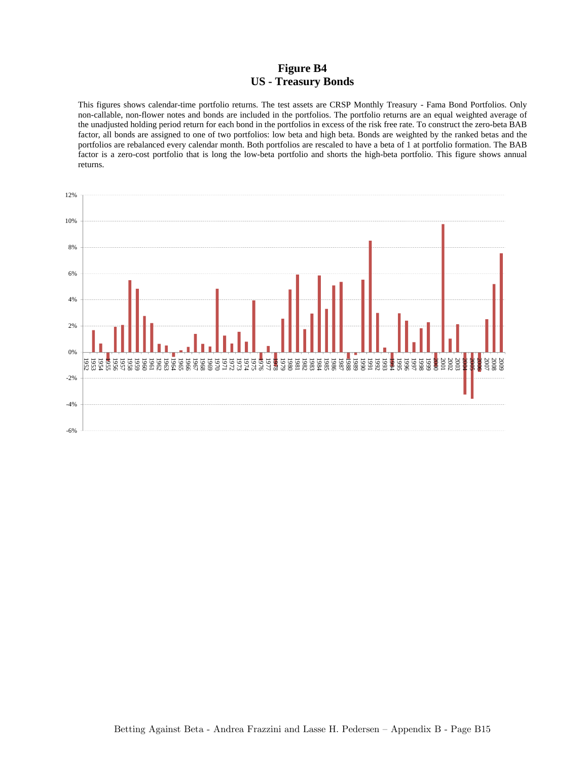### **Figure B4 US - Treasury Bonds**

This figures shows calendar-time portfolio returns. The test assets are CRSP Monthly Treasury - Fama Bond Portfolios. Only non-callable, non-flower notes and bonds are included in the portfolios. The portfolio returns are an equal weighted average of the unadjusted holding period return for each bond in the portfolios in excess of the risk free rate. To construct the zero-beta BAB factor, all bonds are assigned to one of two portfolios: low beta and high beta. Bonds are weighted by the ranked betas and the portfolios are rebalanced every calendar month. Both portfolios are rescaled to have a beta of 1 at portfolio formation. The BAB factor is a zero-cost portfolio that is long the low-beta portfolio and shorts the high-beta portfolio. This figure shows annual returns.

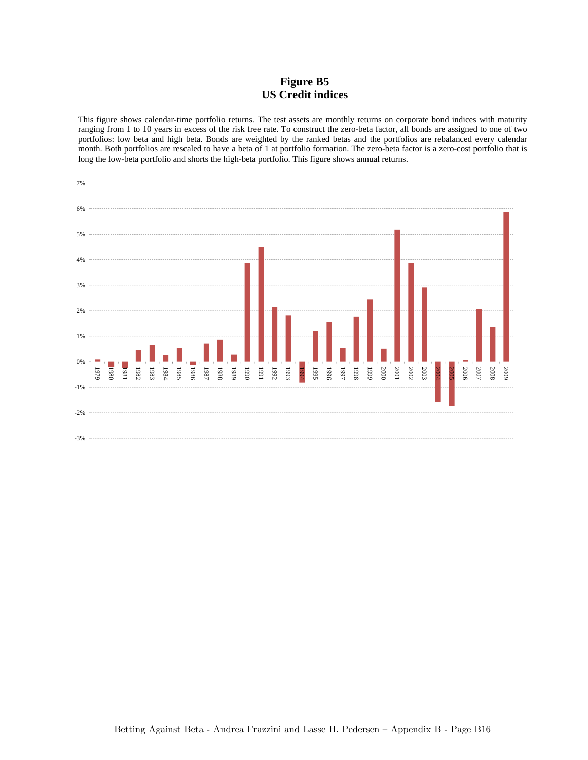# **Figure B5 US Credit indices**

This figure shows calendar-time portfolio returns. The test assets are monthly returns on corporate bond indices with maturity ranging from 1 to 10 years in excess of the risk free rate. To construct the zero-beta factor, all bonds are assigned to one of two portfolios: low beta and high beta. Bonds are weighted by the ranked betas and the portfolios are rebalanced every calendar month. Both portfolios are rescaled to have a beta of 1 at portfolio formation. The zero-beta factor is a zero-cost portfolio that is long the low-beta portfolio and shorts the high-beta portfolio. This figure shows annual returns.

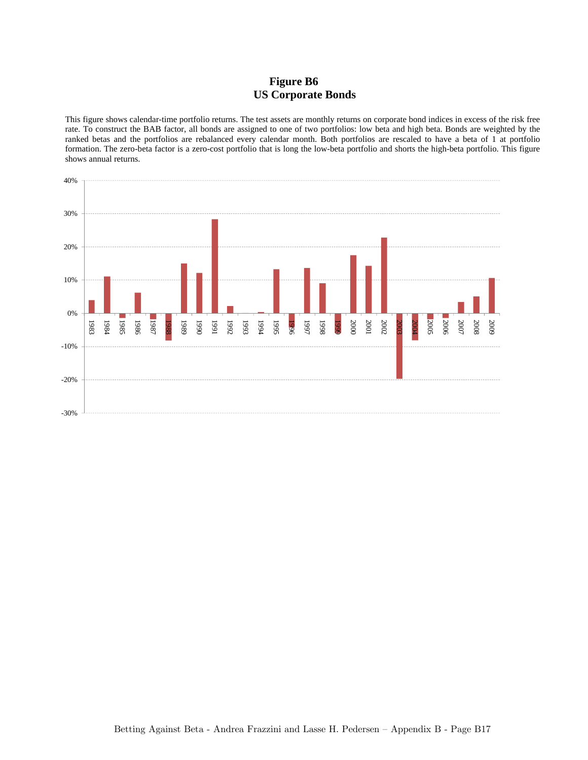# **Figure B6 US Corporate Bonds**

This figure shows calendar-time portfolio returns. The test assets are monthly returns on corporate bond indices in excess of the risk free rate. To construct the BAB factor, all bonds are assigned to one of two portfolios: low beta and high beta. Bonds are weighted by the ranked betas and the portfolios are rebalanced every calendar month. Both portfolios are rescaled to have a beta of 1 at portfolio formation. The zero-beta factor is a zero-cost portfolio that is long the low-beta portfolio and shorts the high-beta portfolio. This figure shows annual returns.

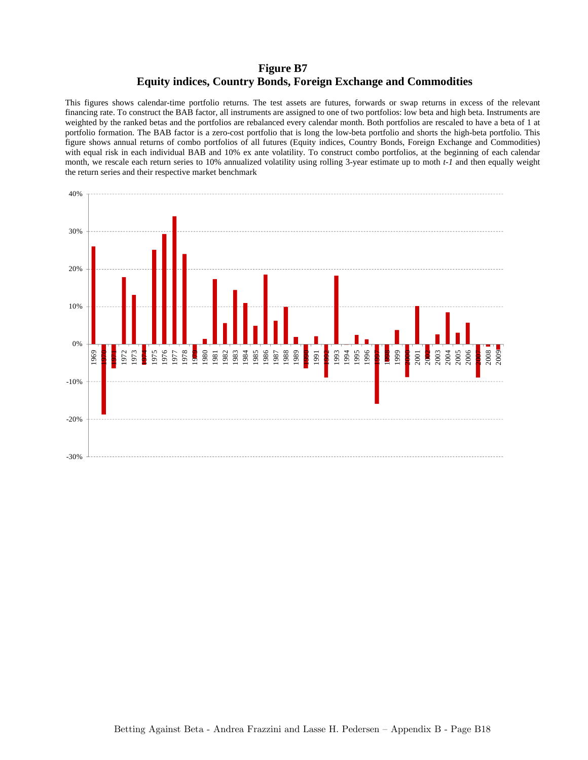## **Figure B7 Equity indices, Country Bonds, Foreign Exchange and Commodities**

This figures shows calendar-time portfolio returns. The test assets are futures, forwards or swap returns in excess of the relevant financing rate. To construct the BAB factor, all instruments are assigned to one of two portfolios: low beta and high beta. Instruments are weighted by the ranked betas and the portfolios are rebalanced every calendar month. Both portfolios are rescaled to have a beta of 1 at portfolio formation. The BAB factor is a zero-cost portfolio that is long the low-beta portfolio and shorts the high-beta portfolio. This figure shows annual returns of combo portfolios of all futures (Equity indices, Country Bonds, Foreign Exchange and Commodities) with equal risk in each individual BAB and 10% ex ante volatility. To construct combo portfolios, at the beginning of each calendar month, we rescale each return series to 10% annualized volatility using rolling 3-year estimate up to moth *t-1* and then equally weight the return series and their respective market benchmark

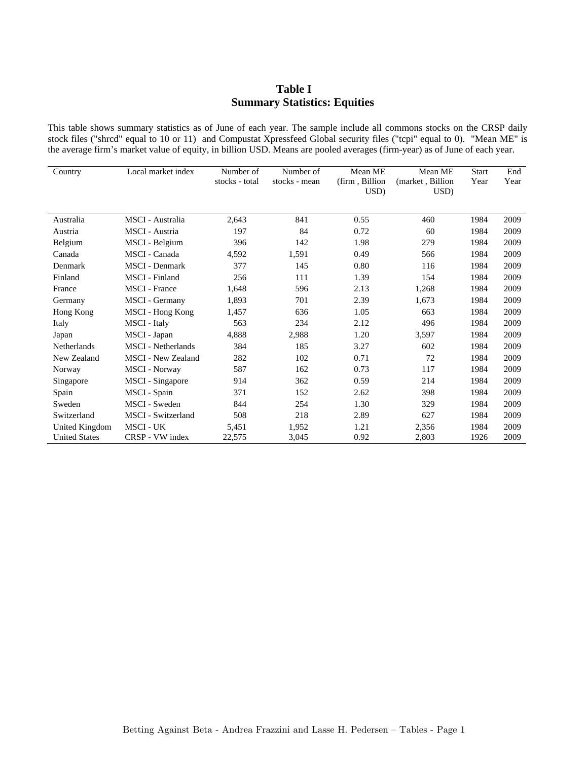## **Table I Summary Statistics: Equities**

This table shows summary statistics as of June of each year. The sample include all commons stocks on the CRSP daily stock files ("shrcd" equal to 10 or 11) and Compustat Xpressfeed Global security files ("tcpi" equal to 0). "Mean ME" is the average firm's market value of equity, in billion USD. Means are pooled averages (firm-year) as of June of each year.

| Country                                | Local market index                  | Number of<br>stocks - total | Number of<br>stocks - mean | Mean ME<br>(firm, Billion<br>USD) | Mean ME<br>(market, Billion<br>USD) | <b>Start</b><br>Year | End<br>Year  |
|----------------------------------------|-------------------------------------|-----------------------------|----------------------------|-----------------------------------|-------------------------------------|----------------------|--------------|
| Australia                              | MSCI - Australia                    | 2,643                       | 841                        | 0.55                              | 460                                 | 1984                 | 2009         |
| Austria                                | <b>MSCI</b> - Austria               | 197                         | 84                         | 0.72                              | 60                                  | 1984                 | 2009         |
| Belgium                                | MSCI - Belgium                      | 396                         | 142                        | 1.98                              | 279                                 | 1984                 | 2009         |
| Canada                                 | MSCI - Canada                       | 4,592                       | 1,591                      | 0.49                              | 566                                 | 1984                 | 2009         |
| Denmark                                | <b>MSCI</b> - Denmark               | 377                         | 145                        | 0.80                              | 116                                 | 1984                 | 2009         |
| Finland                                | <b>MSCI</b> - Finland               | 256                         | 111                        | 1.39                              | 154                                 | 1984                 | 2009         |
| France                                 | <b>MSCI</b> - France                | 1.648                       | 596                        | 2.13                              | 1,268                               | 1984                 | 2009         |
| Germany                                | MSCI - Germany                      | 1,893                       | 701                        | 2.39                              | 1,673                               | 1984                 | 2009         |
| Hong Kong                              | MSCI - Hong Kong                    | 1,457                       | 636                        | 1.05                              | 663                                 | 1984                 | 2009         |
| Italy                                  | MSCI - Italy                        | 563                         | 234                        | 2.12                              | 496                                 | 1984                 | 2009         |
| Japan                                  | MSCI - Japan                        | 4,888                       | 2,988                      | 1.20                              | 3,597                               | 1984                 | 2009         |
| <b>Netherlands</b>                     | <b>MSCI</b> - Netherlands           | 384                         | 185                        | 3.27                              | 602                                 | 1984                 | 2009         |
| New Zealand                            | <b>MSCI</b> - New Zealand           | 282                         | 102                        | 0.71                              | 72                                  | 1984                 | 2009         |
| Norway                                 | <b>MSCI</b> - Norway                | 587                         | 162                        | 0.73                              | 117                                 | 1984                 | 2009         |
| Singapore                              | MSCI - Singapore                    | 914                         | 362                        | 0.59                              | 214                                 | 1984                 | 2009         |
| Spain                                  | MSCI - Spain                        | 371                         | 152                        | 2.62                              | 398                                 | 1984                 | 2009         |
| Sweden                                 | <b>MSCI</b> - Sweden                | 844                         | 254                        | 1.30                              | 329                                 | 1984                 | 2009         |
| Switzerland                            | <b>MSCI</b> - Switzerland           | 508                         | 218                        | 2.89                              | 627                                 | 1984                 | 2009         |
| United Kingdom<br><b>United States</b> | <b>MSCI - UK</b><br>CRSP - VW index | 5,451<br>22,575             | 1,952<br>3,045             | 1.21<br>0.92                      | 2,356<br>2,803                      | 1984<br>1926         | 2009<br>2009 |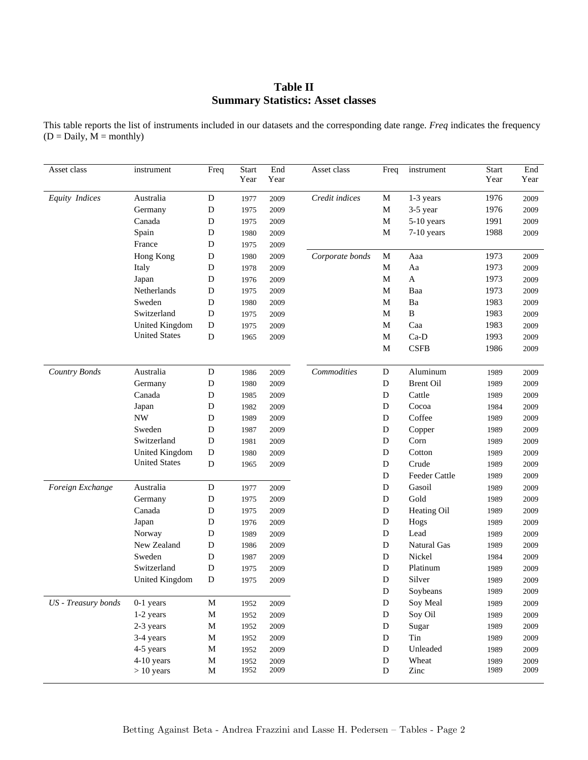# **Table II Summary Statistics: Asset classes**

This table reports the list of instruments included in our datasets and the corresponding date range. *Freq* indicates the frequency  $(D = Daily, M = monthly)$ 

| Asset class           | instrument           | Freq        | <b>Start</b> | End  | Asset class     | Freq        | instrument         | <b>Start</b> | End      |
|-----------------------|----------------------|-------------|--------------|------|-----------------|-------------|--------------------|--------------|----------|
|                       |                      |             | Year         | Year |                 |             |                    | Year         | Year     |
| <b>Equity</b> Indices | Australia            | ${\bf D}$   | 1977         | 2009 | Credit indices  | M           | 1-3 years          | 1976         | 2009     |
|                       | Germany              | D           | 1975         | 2009 |                 | M           | 3-5 year           | 1976         | 2009     |
|                       | Canada               | D           | 1975         | 2009 |                 | $\mathbf M$ | 5-10 years         | 1991         | 2009     |
|                       | Spain                | D           | 1980         | 2009 |                 | M           | 7-10 years         | 1988         | 2009     |
|                       | France               | D           | 1975         | 2009 |                 |             |                    |              |          |
|                       | Hong Kong            | D           | 1980         | 2009 | Corporate bonds | M           | Aaa                | 1973         | 2009     |
|                       | Italy                | D           | 1978         | 2009 |                 | M           | Aa                 | 1973         | 2009     |
|                       | Japan                | D           | 1976         | 2009 |                 | M           | A                  | 1973         | 2009     |
|                       | Netherlands          | D           | 1975         | 2009 |                 | M           | Baa                | 1973         | 2009     |
|                       | Sweden               | D           | 1980         | 2009 |                 | M           | Ba                 | 1983         | 2009     |
|                       | Switzerland          | D           | 1975         | 2009 |                 | M           | B                  | 1983         | 2009     |
|                       | United Kingdom       | ${\bf D}$   | 1975         | 2009 |                 | M           | Caa                | 1983         | 2009     |
|                       | <b>United States</b> | D           | 1965         | 2009 |                 | M           | Ca-D               | 1993         | 2009     |
|                       |                      |             |              |      |                 | M           | <b>CSFB</b>        | 1986         | 2009     |
| <b>Country Bonds</b>  | Australia            | D           | 1986         | 2009 | Commodities     | D           | Aluminum           | 1989         | 2009     |
|                       | Germany              | D           | 1980         | 2009 |                 | D           | <b>Brent Oil</b>   | 1989         | 2009     |
|                       | Canada               | D           | 1985         | 2009 |                 | D           | Cattle             | 1989         | 2009     |
|                       | Japan                | D           | 1982         | 2009 |                 | D           | Cocoa              | 1984         | 2009     |
|                       | <b>NW</b>            | D           | 1989         | 2009 |                 | D           | Coffee             | 1989         | 2009     |
|                       | Sweden               | D           | 1987         | 2009 |                 | D           | Copper             | 1989         | 2009     |
|                       | Switzerland          | D           | 1981         | 2009 |                 | D           | Corn               | 1989         | 2009     |
|                       | United Kingdom       | D           | 1980         | 2009 |                 | D           | Cotton             | 1989         | 2009     |
|                       | <b>United States</b> | D           | 1965         | 2009 |                 | D           | Crude              | 1989         | 2009     |
|                       |                      |             |              |      |                 | D           | Feeder Cattle      | 1989         | 2009     |
| Foreign Exchange      | Australia            | D           | 1977         | 2009 |                 | ${\bf D}$   | Gasoil             | 1989         | 2009     |
|                       | Germany              | D           | 1975         | 2009 |                 | ${\bf D}$   | Gold               | 1989         | 2009     |
|                       | Canada               | D           | 1975         | 2009 |                 | D           | Heating Oil        | 1989         | 2009     |
|                       | Japan                | D           | 1976         | 2009 |                 | ${\bf D}$   | Hogs               | 1989         | 2009     |
|                       | Norway               | D           | 1989         | 2009 |                 | D           | Lead               | 1989         | 2009     |
|                       | New Zealand          | D           | 1986         | 2009 |                 | ${\bf D}$   | <b>Natural Gas</b> | 1989         | 2009     |
|                       | Sweden               | D           | 1987         | 2009 |                 | D           | Nickel             | 1984         | 2009     |
|                       | Switzerland          | $\mathbf D$ | 1975         | 2009 |                 | D           | Platinum           | 1989         | 2009     |
|                       | United Kingdom       | D           | 1975         | 2009 |                 | D           | Silver             | 1989         | 2009     |
|                       |                      |             |              |      |                 | ${\bf D}$   | Soybeans           | 1989         | $2009\,$ |
| US - Treasury bonds   | $0-1$ years          | M           | 1952         | 2009 |                 | D           | Soy Meal           | 1989         | 2009     |
|                       | 1-2 years            | $\mathbf M$ | 1952         | 2009 |                 | D           | Soy Oil            | 1989         | 2009     |
|                       | 2-3 years            | M           | 1952         | 2009 |                 | D           | Sugar              | 1989         | 2009     |
|                       | 3-4 years            | M           | 1952         | 2009 |                 | D           | Tin                | 1989         | 2009     |
|                       | 4-5 years            | M           | 1952         | 2009 |                 | D           | Unleaded           | 1989         | 2009     |
|                       | 4-10 years           | M           | 1952         | 2009 |                 | D           | Wheat              | 1989         | 2009     |
|                       | $> 10$ years         | M           | 1952         | 2009 |                 | D           | Zinc               | 1989         | 2009     |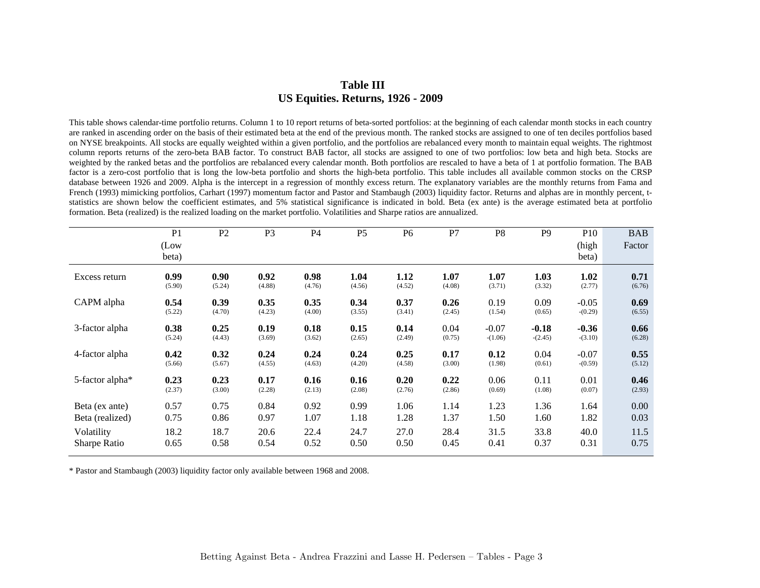# **Table III US Equities. Returns, 1926 - 2009**

This table shows calendar-time portfolio returns. Column 1 to 10 report returns of beta-sorted portfolios: at the beginning of each calendar month stocks in each country are ranked in ascending order on the basis of their estimated beta at the end of the previous month. The ranked stocks are assigned to one of ten deciles portfolios based on NYSE breakpoints. All stocks are equally weighted within a given portfolio, and the portfolios are rebalanced every month to maintain equal weights. The rightmost column reports returns of the zero-beta BAB factor. To construct BAB factor, all stocks are assigned to one of two portfolios: low beta and high beta. Stocks are weighted by the ranked betas and the portfolios are rebalanced every calendar month. Both portfolios are rescaled to have a beta of 1 at portfolio formation. The BAB factor is a zero-cost portfolio that is long the low-beta portfolio and shorts the high-beta portfolio. This table includes all available common stocks on the CRSP database between 1926 and 2009. Alpha is the intercept in a regression of monthly excess return. The explanatory variables are the monthly returns from Fama and French (1993) mimicking portfolios, Carhart (1997) momentum factor and Pastor and Stambaugh (2003) liquidity factor. Returns and alphas are in monthly percent, tstatistics are shown below the coefficient estimates, and 5% statistical significance is indicated in bold. Beta (ex ante) is the average estimated beta at portfolio formation. Beta (realized) is the realized loading on the market portfolio. Volatilities and Sharpe ratios are annualized.

|                             | P <sub>1</sub><br>(Low<br>beta) | P <sub>2</sub> | P <sub>3</sub> | <b>P4</b> | P <sub>5</sub> | P <sub>6</sub> | P7     | P <sub>8</sub> | P <sub>9</sub> | P <sub>10</sub><br>(high<br>beta) | <b>BAB</b><br>Factor |
|-----------------------------|---------------------------------|----------------|----------------|-----------|----------------|----------------|--------|----------------|----------------|-----------------------------------|----------------------|
| Excess return               | 0.99                            | 0.90           | 0.92           | 0.98      | 1.04           | 1.12           | 1.07   | 1.07           | 1.03           | 1.02                              | 0.71                 |
|                             | (5.90)                          | (5.24)         | (4.88)         | (4.76)    | (4.56)         | (4.52)         | (4.08) | (3.71)         | (3.32)         | (2.77)                            | (6.76)               |
| CAPM alpha                  | 0.54                            | 0.39           | 0.35           | 0.35      | 0.34           | 0.37           | 0.26   | 0.19           | 0.09           | $-0.05$                           | 0.69                 |
|                             | (5.22)                          | (4.70)         | (4.23)         | (4.00)    | (3.55)         | (3.41)         | (2.45) | (1.54)         | (0.65)         | $-(0.29)$                         | (6.55)               |
| 3-factor alpha              | 0.38                            | 0.25           | 0.19           | 0.18      | 0.15           | 0.14           | 0.04   | $-0.07$        | $-0.18$        | $-0.36$                           | 0.66                 |
|                             | (5.24)                          | (4.43)         | (3.69)         | (3.62)    | (2.65)         | (2.49)         | (0.75) | $-(1.06)$      | $-(2.45)$      | $-(3.10)$                         | (6.28)               |
| 4-factor alpha              | 0.42                            | 0.32           | 0.24           | 0.24      | 0.24           | 0.25           | 0.17   | 0.12           | 0.04           | $-0.07$                           | 0.55                 |
|                             | (5.66)                          | (5.67)         | (4.55)         | (4.63)    | (4.20)         | (4.58)         | (3.00) | (1.98)         | (0.61)         | $-(0.59)$                         | (5.12)               |
| 5-factor alpha <sup>*</sup> | 0.23                            | 0.23           | 0.17           | 0.16      | 0.16           | 0.20           | 0.22   | 0.06           | 0.11           | 0.01                              | 0.46                 |
|                             | (2.37)                          | (3.00)         | (2.28)         | (2.13)    | (2.08)         | (2.76)         | (2.86) | (0.69)         | (1.08)         | (0.07)                            | (2.93)               |
| Beta (ex ante)              | 0.57                            | 0.75           | 0.84           | 0.92      | 0.99           | 1.06           | 1.14   | 1.23           | 1.36           | 1.64                              | 0.00                 |
| Beta (realized)             | 0.75                            | 0.86           | 0.97           | 1.07      | 1.18           | 1.28           | 1.37   | 1.50           | 1.60           | 1.82                              | 0.03                 |
| Volatility                  | 18.2                            | 18.7           | 20.6           | 22.4      | 24.7           | 27.0           | 28.4   | 31.5           | 33.8           | 40.0                              | 11.5                 |
| Sharpe Ratio                | 0.65                            | 0.58           | 0.54           | 0.52      | 0.50           | 0.50           | 0.45   | 0.41           | 0.37           | 0.31                              | 0.75                 |

\* Pastor and Stambaugh (2003) liquidity factor only available between 1968 and 2008.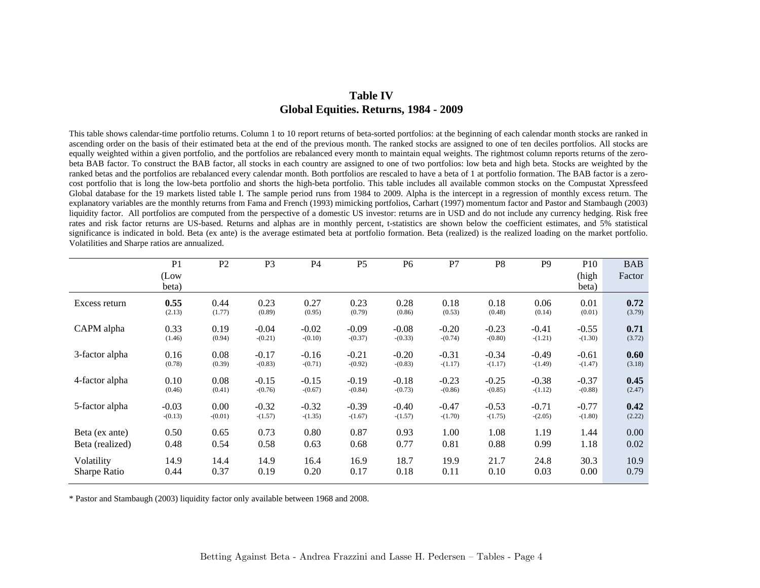## **Table IV Global Equities. Returns, 1984 - 2009**

This table shows calendar-time portfolio returns. Column 1 to 10 report returns of beta-sorted portfolios: at the beginning of each calendar month stocks are ranked in ascending order on the basis of their estimated beta at the end of the previous month. The ranked stocks are assigned to one of ten deciles portfolios. All stocks are equally weighted within a given portfolio, and the portfolios are rebalanced every month to maintain equal weights. The rightmost column reports returns of the zerobeta BAB factor. To construct the BAB factor, all stocks in each country are assigned to one of two portfolios: low beta and high beta. Stocks are weighted by the ranked betas and the portfolios are rebalanced every calendar month. Both portfolios are rescaled to have a beta of 1 at portfolio formation. The BAB factor is a zerocost portfolio that is long the low-beta portfolio and shorts the high-beta portfolio. This table includes all available common stocks on the Compustat Xpressfeed Global database for the 19 markets listed table I. The sample period runs from 1984 to 2009. Alpha is the intercept in a regression of monthly excess return. The explanatory variables are the monthly returns from Fama and French (1993) mimicking portfolios, Carhart (1997) momentum factor and Pastor and Stambaugh (2003) liquidity factor. All portfolios are computed from the perspective of a domestic US investor: returns are in USD and do not include any currency hedging. Risk free rates and risk factor returns are US-based. Returns and alphas are in monthly percent, t-statistics are shown below the coefficient estimates, and 5% statistical significance is indicated in bold. Beta (ex ante) is the average estimated beta at portfolio formation. Beta (realized) is the realized loading on the market portfolio. Volatilities and Sharpe ratios are annualized.

|                 | P <sub>1</sub> | P <sub>2</sub> | P <sub>3</sub> | P4        | P <sub>5</sub> | P <sub>6</sub> | P7        | P <sub>8</sub> | P <sub>9</sub> | P <sub>10</sub> | <b>BAB</b> |
|-----------------|----------------|----------------|----------------|-----------|----------------|----------------|-----------|----------------|----------------|-----------------|------------|
|                 | (Low<br>beta)  |                |                |           |                |                |           |                |                | (high<br>beta)  | Factor     |
| Excess return   | 0.55           | 0.44           | 0.23           | 0.27      | 0.23           | 0.28           | 0.18      | 0.18           | 0.06           | 0.01            | 0.72       |
|                 | (2.13)         | (1.77)         | (0.89)         | (0.95)    | (0.79)         | (0.86)         | (0.53)    | (0.48)         | (0.14)         | (0.01)          | (3.79)     |
| CAPM alpha      | 0.33           | 0.19           | $-0.04$        | $-0.02$   | $-0.09$        | $-0.08$        | $-0.20$   | $-0.23$        | $-0.41$        | $-0.55$         | 0.71       |
|                 | (1.46)         | (0.94)         | $-(0.21)$      | $-(0.10)$ | $-(0.37)$      | $-(0.33)$      | $-(0.74)$ | $-(0.80)$      | $-(1.21)$      | $-(1.30)$       | (3.72)     |
| 3-factor alpha  | 0.16           | 0.08           | $-0.17$        | $-0.16$   | $-0.21$        | $-0.20$        | $-0.31$   | $-0.34$        | $-0.49$        | $-0.61$         | 0.60       |
|                 | (0.78)         | (0.39)         | $-(0.83)$      | $-(0.71)$ | $-(0.92)$      | $-(0.83)$      | $-(1.17)$ | $-(1.17)$      | $-(1.49)$      | $-(1.47)$       | (3.18)     |
| 4-factor alpha  | 0.10           | 0.08           | $-0.15$        | $-0.15$   | $-0.19$        | $-0.18$        | $-0.23$   | $-0.25$        | $-0.38$        | $-0.37$         | 0.45       |
|                 | (0.46)         | (0.41)         | $-(0.76)$      | $-(0.67)$ | $-(0.84)$      | $-(0.73)$      | $-(0.86)$ | $-(0.85)$      | $-(1.12)$      | $-(0.88)$       | (2.47)     |
| 5-factor alpha  | $-0.03$        | 0.00           | $-0.32$        | $-0.32$   | $-0.39$        | $-0.40$        | $-0.47$   | $-0.53$        | $-0.71$        | $-0.77$         | 0.42       |
|                 | $-(0.13)$      | $-(0.01)$      | $-(1.57)$      | $-(1.35)$ | $-(1.67)$      | $-(1.57)$      | $-(1.70)$ | $-(1.75)$      | $-(2.05)$      | $-(1.80)$       | (2.22)     |
| Beta (ex ante)  | 0.50           | 0.65           | 0.73           | 0.80      | 0.87           | 0.93           | 1.00      | 1.08           | 1.19           | 1.44            | 0.00       |
| Beta (realized) | 0.48           | 0.54           | 0.58           | 0.63      | 0.68           | 0.77           | 0.81      | 0.88           | 0.99           | 1.18            | 0.02       |
| Volatility      | 14.9           | 14.4           | 14.9           | 16.4      | 16.9           | 18.7           | 19.9      | 21.7           | 24.8           | 30.3            | 10.9       |
| Sharpe Ratio    | 0.44           | 0.37           | 0.19           | 0.20      | 0.17           | 0.18           | 0.11      | 0.10           | 0.03           | 0.00            | 0.79       |

\* Pastor and Stambaugh (2003) liquidity factor only available between 1968 and 2008.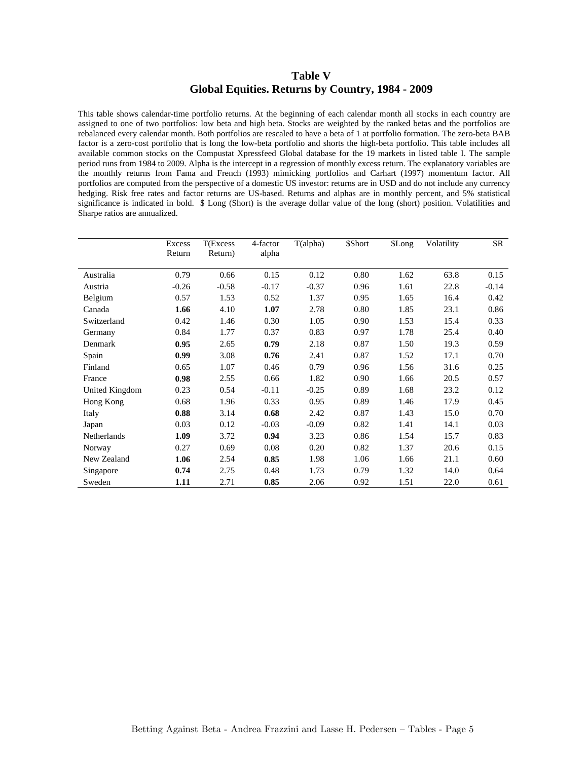### **Table V Global Equities. Returns by Country, 1984 - 2009**

This table shows calendar-time portfolio returns. At the beginning of each calendar month all stocks in each country are assigned to one of two portfolios: low beta and high beta. Stocks are weighted by the ranked betas and the portfolios are rebalanced every calendar month. Both portfolios are rescaled to have a beta of 1 at portfolio formation. The zero-beta BAB factor is a zero-cost portfolio that is long the low-beta portfolio and shorts the high-beta portfolio. This table includes all available common stocks on the Compustat Xpressfeed Global database for the 19 markets in listed table I. The sample period runs from 1984 to 2009. Alpha is the intercept in a regression of monthly excess return. The explanatory variables are the monthly returns from Fama and French (1993) mimicking portfolios and Carhart (1997) momentum factor. All portfolios are computed from the perspective of a domestic US investor: returns are in USD and do not include any currency hedging. Risk free rates and factor returns are US-based. Returns and alphas are in monthly percent, and 5% statistical significance is indicated in bold. \$ Long (Short) is the average dollar value of the long (short) position. Volatilities and Sharpe ratios are annualized.

|                | Excess  | T(Excess | 4-factor | T(alpha) | \$Short | \$Long | Volatility | SR      |
|----------------|---------|----------|----------|----------|---------|--------|------------|---------|
|                | Return  | Return)  | alpha    |          |         |        |            |         |
| Australia      | 0.79    | 0.66     | 0.15     | 0.12     | 0.80    | 1.62   | 63.8       | 0.15    |
| Austria        | $-0.26$ | $-0.58$  | $-0.17$  | $-0.37$  | 0.96    | 1.61   | 22.8       | $-0.14$ |
| Belgium        | 0.57    | 1.53     | 0.52     | 1.37     | 0.95    | 1.65   | 16.4       | 0.42    |
| Canada         | 1.66    | 4.10     | 1.07     | 2.78     | 0.80    | 1.85   | 23.1       | 0.86    |
| Switzerland    | 0.42    | 1.46     | 0.30     | 1.05     | 0.90    | 1.53   | 15.4       | 0.33    |
| Germany        | 0.84    | 1.77     | 0.37     | 0.83     | 0.97    | 1.78   | 25.4       | 0.40    |
| Denmark        | 0.95    | 2.65     | 0.79     | 2.18     | 0.87    | 1.50   | 19.3       | 0.59    |
| Spain          | 0.99    | 3.08     | 0.76     | 2.41     | 0.87    | 1.52   | 17.1       | 0.70    |
| Finland        | 0.65    | 1.07     | 0.46     | 0.79     | 0.96    | 1.56   | 31.6       | 0.25    |
| France         | 0.98    | 2.55     | 0.66     | 1.82     | 0.90    | 1.66   | 20.5       | 0.57    |
| United Kingdom | 0.23    | 0.54     | $-0.11$  | $-0.25$  | 0.89    | 1.68   | 23.2       | 0.12    |
| Hong Kong      | 0.68    | 1.96     | 0.33     | 0.95     | 0.89    | 1.46   | 17.9       | 0.45    |
| Italy          | 0.88    | 3.14     | 0.68     | 2.42     | 0.87    | 1.43   | 15.0       | 0.70    |
| Japan          | 0.03    | 0.12     | $-0.03$  | $-0.09$  | 0.82    | 1.41   | 14.1       | 0.03    |
| Netherlands    | 1.09    | 3.72     | 0.94     | 3.23     | 0.86    | 1.54   | 15.7       | 0.83    |
| Norway         | 0.27    | 0.69     | 0.08     | 0.20     | 0.82    | 1.37   | 20.6       | 0.15    |
| New Zealand    | 1.06    | 2.54     | 0.85     | 1.98     | 1.06    | 1.66   | 21.1       | 0.60    |
| Singapore      | 0.74    | 2.75     | 0.48     | 1.73     | 0.79    | 1.32   | 14.0       | 0.64    |
| Sweden         | 1.11    | 2.71     | 0.85     | 2.06     | 0.92    | 1.51   | 22.0       | 0.61    |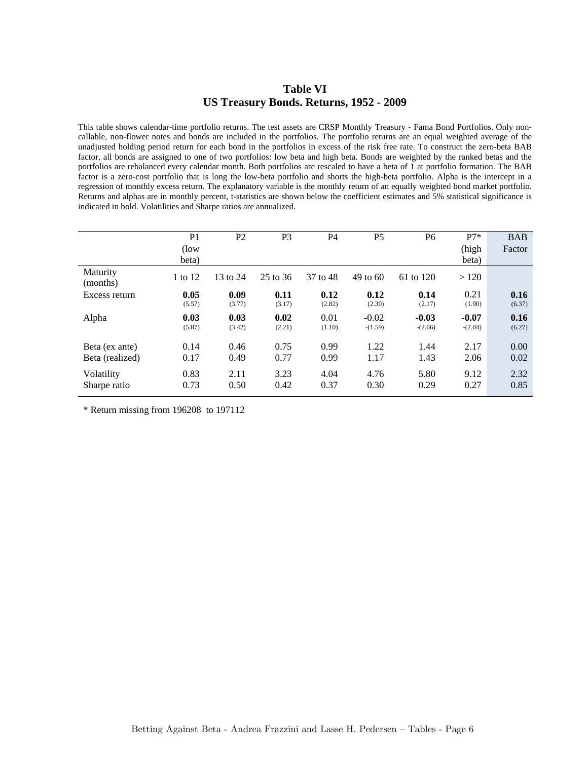### **Table VI US Treasury Bonds. Returns, 1952 - 2009**

This table shows calendar-time portfolio returns. The test assets are CRSP Monthly Treasury - Fama Bond Portfolios. Only noncallable, non-flower notes and bonds are included in the portfolios. The portfolio returns are an equal weighted average of the unadjusted holding period return for each bond in the portfolios in excess of the risk free rate. To construct the zero-beta BAB factor, all bonds are assigned to one of two portfolios: low beta and high beta. Bonds are weighted by the ranked betas and the portfolios are rebalanced every calendar month. Both portfolios are rescaled to have a beta of 1 at portfolio formation. The BAB factor is a zero-cost portfolio that is long the low-beta portfolio and shorts the high-beta portfolio. Alpha is the intercept in a regression of monthly excess return. The explanatory variable is the monthly return of an equally weighted bond market portfolio. Returns and alphas are in monthly percent, t-statistics are shown below the coefficient estimates and 5% statistical significance is indicated in bold. Volatilities and Sharpe ratios are annualized.

|                      | P <sub>1</sub> | P <sub>2</sub> | P <sub>3</sub> | P4       | P <sub>5</sub> | P <sub>6</sub> | $P7*$     | <b>BAB</b> |
|----------------------|----------------|----------------|----------------|----------|----------------|----------------|-----------|------------|
|                      | (low)          |                |                |          |                |                | (high     | Factor     |
|                      | beta)          |                |                |          |                |                | beta)     |            |
| Maturity<br>(months) | 1 to 12        | 13 to 24       | 25 to 36       | 37 to 48 | 49 to 60       | 61 to 120      | >120      |            |
| Excess return        | 0.05           | 0.09           | 0.11           | 0.12     | 0.12           | 0.14           | 0.21      | 0.16       |
|                      | (5.57)         | (3.77)         | (3.17)         | (2.82)   | (2.30)         | (2.17)         | (1.90)    | (6.37)     |
| Alpha                | 0.03           | 0.03           | 0.02           | 0.01     | $-0.02$        | $-0.03$        | $-0.07$   | 0.16       |
|                      | (5.87)         | (3.42)         | (2.21)         | (1.10)   | $-(1.59)$      | $-(2.66)$      | $-(2.04)$ | (6.27)     |
| Beta (ex ante)       | 0.14           | 0.46           | 0.75           | 0.99     | 1.22           | 1.44           | 2.17      | 0.00       |
|                      |                |                |                |          |                |                |           |            |
| Beta (realized)      | 0.17           | 0.49           | 0.77           | 0.99     | 1.17           | 1.43           | 2.06      | 0.02       |
| Volatility           | 0.83           | 2.11           | 3.23           | 4.04     | 4.76           | 5.80           | 9.12      | 2.32       |
| Sharpe ratio         | 0.73           | 0.50           | 0.42           | 0.37     | 0.30           | 0.29           | 0.27      | 0.85       |

\* Return missing from 196208 to 197112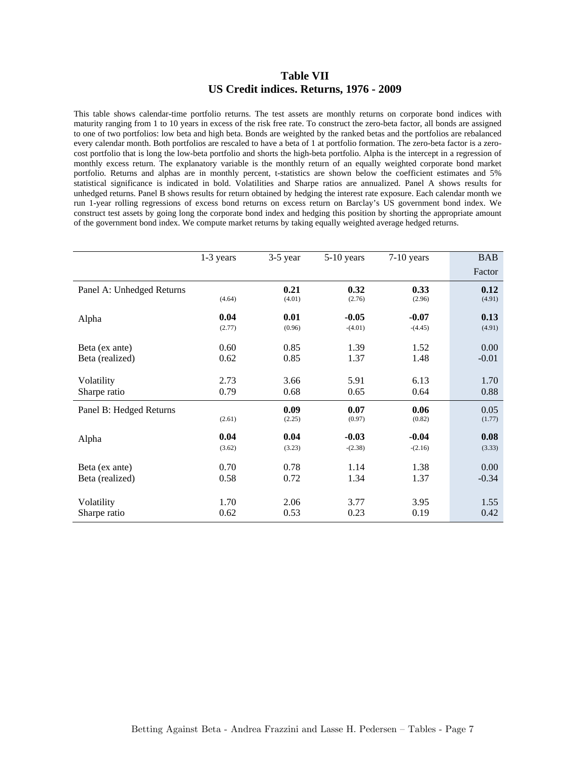#### **Table VII US Credit indices. Returns, 1976 - 2009**

This table shows calendar-time portfolio returns. The test assets are monthly returns on corporate bond indices with maturity ranging from 1 to 10 years in excess of the risk free rate. To construct the zero-beta factor, all bonds are assigned to one of two portfolios: low beta and high beta. Bonds are weighted by the ranked betas and the portfolios are rebalanced every calendar month. Both portfolios are rescaled to have a beta of 1 at portfolio formation. The zero-beta factor is a zerocost portfolio that is long the low-beta portfolio and shorts the high-beta portfolio. Alpha is the intercept in a regression of monthly excess return. The explanatory variable is the monthly return of an equally weighted corporate bond market portfolio. Returns and alphas are in monthly percent, t-statistics are shown below the coefficient estimates and 5% statistical significance is indicated in bold. Volatilities and Sharpe ratios are annualized. Panel A shows results for unhedged returns. Panel B shows results for return obtained by hedging the interest rate exposure. Each calendar month we run 1-year rolling regressions of excess bond returns on excess return on Barclay's US government bond index. We construct test assets by going long the corporate bond index and hedging this position by shorting the appropriate amount of the government bond index. We compute market returns by taking equally weighted average hedged returns.

|                           | 1-3 years | $3-5$ year | $5-10$ years | $7-10$ years | <b>BAB</b> |
|---------------------------|-----------|------------|--------------|--------------|------------|
|                           |           |            |              |              | Factor     |
| Panel A: Unhedged Returns |           | 0.21       | 0.32         | 0.33         | 0.12       |
|                           | (4.64)    | (4.01)     | (2.76)       | (2.96)       | (4.91)     |
| Alpha                     | 0.04      | 0.01       | $-0.05$      | $-0.07$      | 0.13       |
|                           | (2.77)    | (0.96)     | $-(4.01)$    | $-(4.45)$    | (4.91)     |
| Beta (ex ante)            | 0.60      | 0.85       | 1.39         | 1.52         | 0.00       |
| Beta (realized)           | 0.62      | 0.85       | 1.37         | 1.48         | $-0.01$    |
|                           |           |            |              |              |            |
| Volatility                | 2.73      | 3.66       | 5.91         | 6.13         | 1.70       |
| Sharpe ratio              | 0.79      | 0.68       | 0.65         | 0.64         | 0.88       |
| Panel B: Hedged Returns   |           | 0.09       | 0.07         | 0.06         | 0.05       |
|                           | (2.61)    | (2.25)     | (0.97)       | (0.82)       | (1.77)     |
| Alpha                     | 0.04      | 0.04       | $-0.03$      | $-0.04$      | 0.08       |
|                           | (3.62)    | (3.23)     | $-(2.38)$    | $-(2.16)$    | (3.33)     |
| Beta (ex ante)            | 0.70      | 0.78       | 1.14         | 1.38         | 0.00       |
| Beta (realized)           | 0.58      | 0.72       | 1.34         | 1.37         | $-0.34$    |
|                           |           |            |              |              |            |
| Volatility                | 1.70      | 2.06       | 3.77         | 3.95         | 1.55       |
| Sharpe ratio              | 0.62      | 0.53       | 0.23         | 0.19         | 0.42       |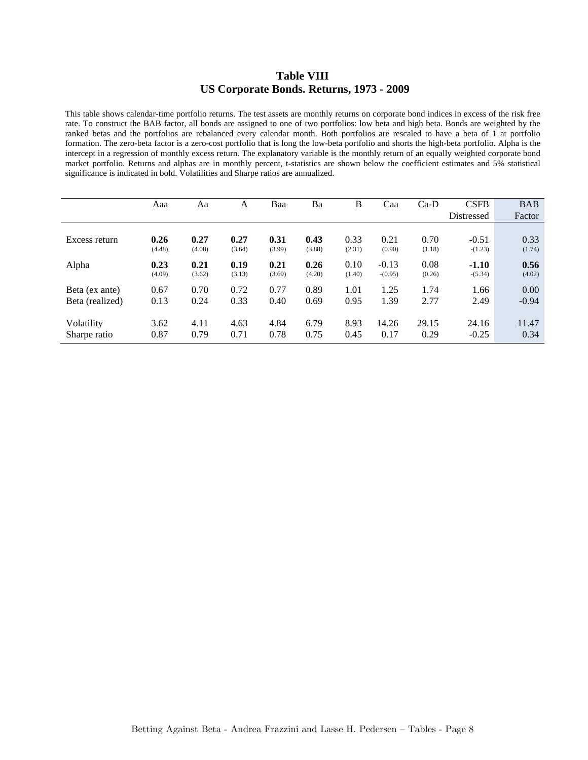### **Table VIII US Corporate Bonds. Returns, 1973 - 2009**

This table shows calendar-time portfolio returns. The test assets are monthly returns on corporate bond indices in excess of the risk free rate. To construct the BAB factor, all bonds are assigned to one of two portfolios: low beta and high beta. Bonds are weighted by the ranked betas and the portfolios are rebalanced every calendar month. Both portfolios are rescaled to have a beta of 1 at portfolio formation. The zero-beta factor is a zero-cost portfolio that is long the low-beta portfolio and shorts the high-beta portfolio. Alpha is the intercept in a regression of monthly excess return. The explanatory variable is the monthly return of an equally weighted corporate bond market portfolio. Returns and alphas are in monthly percent, t-statistics are shown below the coefficient estimates and 5% statistical significance is indicated in bold. Volatilities and Sharpe ratios are annualized.

|                 | Aaa    | Aa     | A      | Baa    | Ba     | B      | Caa       | $Ca-D$ | <b>CSFB</b> | <b>BAB</b> |
|-----------------|--------|--------|--------|--------|--------|--------|-----------|--------|-------------|------------|
|                 |        |        |        |        |        |        |           |        | Distressed  | Factor     |
|                 |        |        |        |        |        |        |           |        |             |            |
| Excess return   | 0.26   | 0.27   | 0.27   | 0.31   | 0.43   | 0.33   | 0.21      | 0.70   | $-0.51$     | 0.33       |
|                 | (4.48) | (4.08) | (3.64) | (3.99) | (3.88) | (2.31) | (0.90)    | (1.18) | $-(1.23)$   | (1.74)     |
| Alpha           | 0.23   | 0.21   | 0.19   | 0.21   | 0.26   | 0.10   | $-0.13$   | 0.08   | $-1.10$     | 0.56       |
|                 | (4.09) | (3.62) | (3.13) | (3.69) | (4.20) | (1.40) | $-(0.95)$ | (0.26) | $-(5.34)$   | (4.02)     |
| Beta (ex ante)  | 0.67   | 0.70   | 0.72   | 0.77   | 0.89   | 1.01   | 1.25      | 1.74   | 1.66        | 0.00       |
| Beta (realized) | 0.13   | 0.24   | 0.33   | 0.40   | 0.69   | 0.95   | 1.39      | 2.77   | 2.49        | $-0.94$    |
|                 |        |        |        |        |        |        |           |        |             |            |
| Volatility      | 3.62   | 4.11   | 4.63   | 4.84   | 6.79   | 8.93   | 14.26     | 29.15  | 24.16       | 11.47      |
| Sharpe ratio    | 0.87   | 0.79   | 0.71   | 0.78   | 0.75   | 0.45   | 0.17      | 0.29   | $-0.25$     | 0.34       |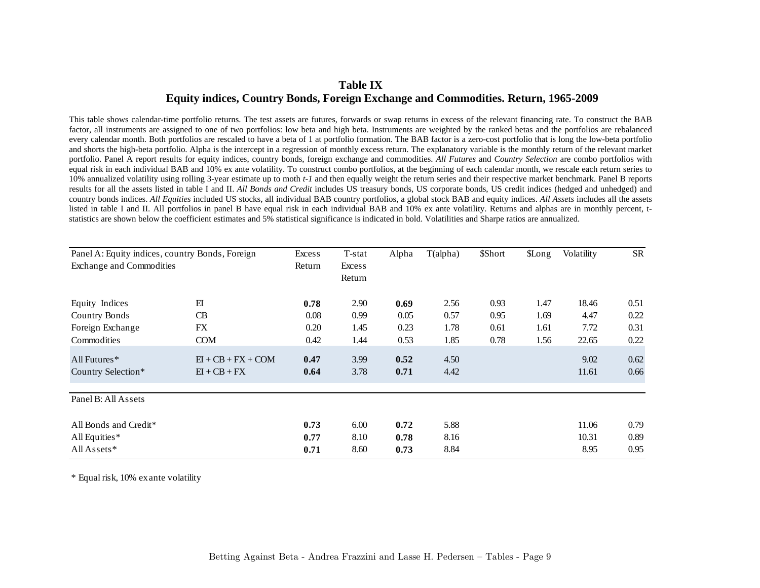## **Table IX Equity indices, Country Bonds, Foreign Exchange and Commodities. Return, 1965-2009**

This table shows calendar-time portfolio returns. The test assets are futures, forwards or swap returns in excess of the relevant financing rate. To construct the BAB factor, all instruments are assigned to one of two portfolios: low beta and high beta. Instruments are weighted by the ranked betas and the portfolios are rebalanced every calendar month. Both portfolios are rescaled to have a beta of 1 at portfolio formation. The BAB factor is a zero-cost portfolio that is long the low-beta portfolio and shorts the high-beta portfolio. Alpha is the intercept in a regression of monthly excess return. The explanatory variable is the monthly return of the relevant market portfolio. Panel A report results for equity indices, country bonds, foreign exchange and commodities. *All Futures* and *Country Selection* are combo portfolios with equal risk in each individual BAB and 10% ex ante volatility. To construct combo portfolios, at the beginning of each calendar month, we rescale each return series to 10% annualized volatility using rolling 3-year estimate up to moth *t-1* and then equally weight the return series and their respective market benchmark. Panel B reports results for all the assets listed in table I and II. *All Bonds and Credit* includes US treasury bonds, US corporate bonds, US credit indices (hedged and unhedged) and country bonds indices. *All Equities* included US stocks, all individual BAB country portfolios, a global stock BAB and equity indices. *All Assets* includes all the assets listed in table I and II. All portfolios in panel B have equal risk in each individual BAB and 10% ex ante volatility. Returns and alphas are in monthly percent, tstatistics are shown below the coefficient estimates and 5% statistical significance is indicated in bold. Volatilities and Sharpe ratios are annualized.

| Panel A: Equity indices, country Bonds, Foreign |                      | Excess | T-stat        | Alpha | T(alpha) | \$Short | \$Long | Volatility | <b>SR</b> |
|-------------------------------------------------|----------------------|--------|---------------|-------|----------|---------|--------|------------|-----------|
| Exchange and Commodities                        |                      | Return | <b>Excess</b> |       |          |         |        |            |           |
|                                                 |                      |        | Return        |       |          |         |        |            |           |
| Equity Indices                                  | E                    | 0.78   | 2.90          | 0.69  | 2.56     | 0.93    | 1.47   | 18.46      | 0.51      |
| <b>Country Bonds</b>                            | <b>CB</b>            | 0.08   | 0.99          | 0.05  | 0.57     | 0.95    | 1.69   | 4.47       | 0.22      |
| Foreign Exchange                                | FX                   | 0.20   | 1.45          | 0.23  | 1.78     | 0.61    | 1.61   | 7.72       | 0.31      |
| Commodities                                     | <b>COM</b>           | 0.42   | 1.44          | 0.53  | 1.85     | 0.78    | 1.56   | 22.65      | 0.22      |
| All Futures $*$                                 | $EI + CB + FX + COM$ | 0.47   | 3.99          | 0.52  | 4.50     |         |        | 9.02       | 0.62      |
| Country Selection*                              | $EI + CB + FX$       | 0.64   | 3.78          | 0.71  | 4.42     |         |        | 11.61      | 0.66      |
| Panel B: All Assets                             |                      |        |               |       |          |         |        |            |           |
| All Bonds and Credit*                           |                      | 0.73   | 6.00          | 0.72  | 5.88     |         |        | 11.06      | 0.79      |
| All Equities*                                   |                      | 0.77   | 8.10          | 0.78  | 8.16     |         |        | 10.31      | 0.89      |
| All Assets*                                     |                      | 0.71   | 8.60          | 0.73  | 8.84     |         |        | 8.95       | 0.95      |

\* Equal risk, 10% ex ante volatility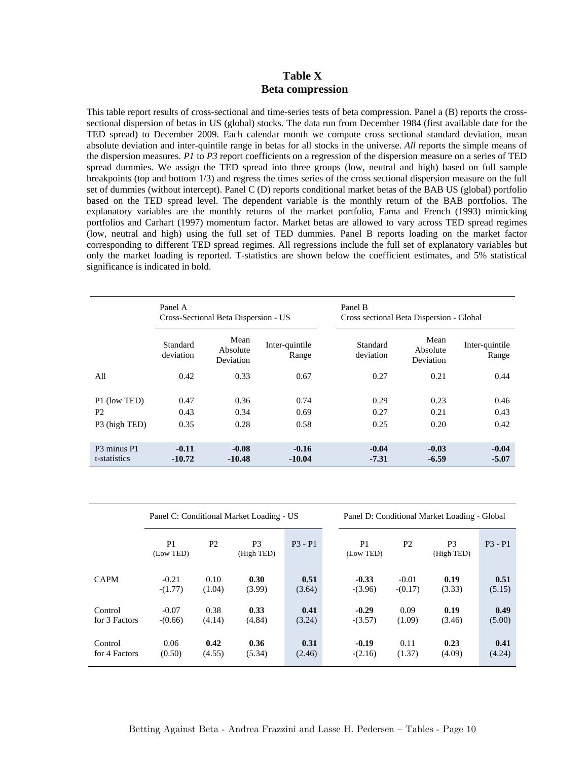### **Table X Beta compression**

This table report results of cross-sectional and time-series tests of beta compression. Panel a (B) reports the crosssectional dispersion of betas in US (global) stocks. The data run from December 1984 (first available date for the TED spread) to December 2009. Each calendar month we compute cross sectional standard deviation, mean absolute deviation and inter-quintile range in betas for all stocks in the universe. *All* reports the simple means of the dispersion measures. *P1* to *P3* report coefficients on a regression of the dispersion measure on a series of TED spread dummies. We assign the TED spread into three groups (low, neutral and high) based on full sample breakpoints (top and bottom 1/3) and regress the times series of the cross sectional dispersion measure on the full set of dummies (without intercept). Panel C (D) reports conditional market betas of the BAB US (global) portfolio based on the TED spread level. The dependent variable is the monthly return of the BAB portfolios. The explanatory variables are the monthly returns of the market portfolio, Fama and French (1993) mimicking portfolios and Carhart (1997) momentum factor. Market betas are allowed to vary across TED spread regimes (low, neutral and high) using the full set of TED dummies. Panel B reports loading on the market factor corresponding to different TED spread regimes. All regressions include the full set of explanatory variables but only the market loading is reported. T-statistics are shown below the coefficient estimates, and 5% statistical significance is indicated in bold.

|                                                 | Panel A               | Cross-Sectional Beta Dispersion - US |                         | Panel B<br>Cross sectional Beta Dispersion - Global |                               |                         |
|-------------------------------------------------|-----------------------|--------------------------------------|-------------------------|-----------------------------------------------------|-------------------------------|-------------------------|
|                                                 | Standard<br>deviation | Mean<br>Absolute<br><b>Deviation</b> | Inter-quintile<br>Range | Standard<br>deviation                               | Mean<br>Absolute<br>Deviation | Inter-quintile<br>Range |
| All                                             | 0.42                  | 0.33                                 | 0.67                    | 0.27                                                | 0.21                          | 0.44                    |
| P1 (low TED)<br>P <sub>2</sub><br>P3 (high TED) | 0.47<br>0.43<br>0.35  | 0.36<br>0.34<br>0.28                 | 0.74<br>0.69<br>0.58    | 0.29<br>0.27<br>0.25                                | 0.23<br>0.21<br>0.20          | 0.46<br>0.43<br>0.42    |
| P3 minus P1<br>t-statistics                     | $-0.11$<br>$-10.72$   | $-0.08$<br>$-10.48$                  | $-0.16$<br>$-10.04$     | $-0.04$<br>$-7.31$                                  | $-0.03$<br>$-6.59$            | $-0.04$<br>$-5.07$      |

|                          |                                                                               |                | Panel C: Conditional Market Loading - US |                             | Panel D: Conditional Market Loading - Global |                              |                |                |  |  |  |
|--------------------------|-------------------------------------------------------------------------------|----------------|------------------------------------------|-----------------------------|----------------------------------------------|------------------------------|----------------|----------------|--|--|--|
|                          | P <sub>2</sub><br>P <sub>1</sub><br>P <sub>3</sub><br>(Low TED)<br>(High TED) |                | $P3 - P1$                                | P <sub>1</sub><br>(Low TED) | P <sub>2</sub>                               | P <sub>3</sub><br>(High TED) | $P3 - P1$      |                |  |  |  |
| <b>CAPM</b>              | $-0.21$<br>$-(1.77)$                                                          | 0.10<br>(1.04) | 0.30<br>(3.99)                           | 0.51<br>(3.64)              | $-0.33$<br>$-(3.96)$                         | $-0.01$<br>$-(0.17)$         | 0.19<br>(3.33) | 0.51<br>(5.15) |  |  |  |
| Control<br>for 3 Factors | $-0.07$<br>$-(0.66)$                                                          | 0.38<br>(4.14) | 0.33<br>(4.84)                           | 0.41<br>(3.24)              | $-0.29$<br>$-(3.57)$                         | 0.09<br>(1.09)               | 0.19<br>(3.46) | 0.49<br>(5.00) |  |  |  |
| Control<br>for 4 Factors | 0.06<br>(0.50)                                                                | 0.42<br>(4.55) | 0.36<br>(5.34)                           | 0.31<br>(2.46)              | $-0.19$<br>$-(2.16)$                         | 0.11<br>(1.37)               | 0.23<br>(4.09) | 0.41<br>(4.24) |  |  |  |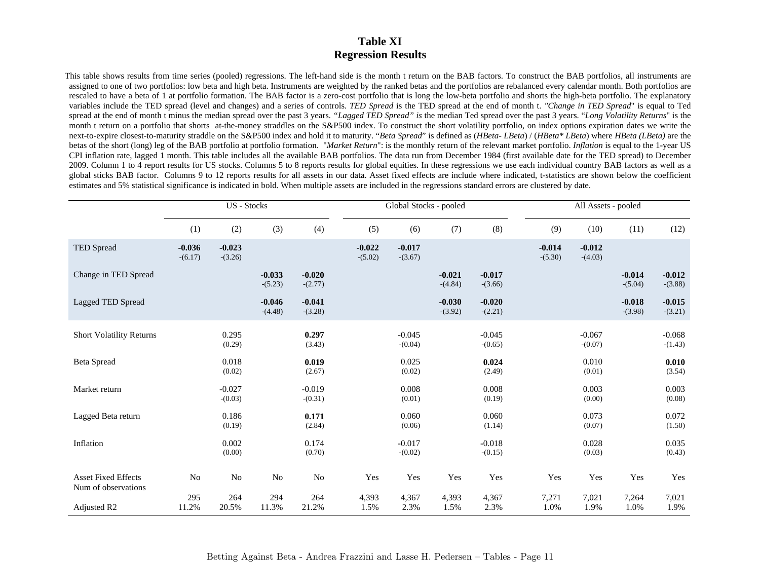### **Table XI Regression Results**

This table shows results from time series (pooled) regressions. The left-hand side is the month t return on the BAB factors. To construct the BAB portfolios, all instruments are assigned to one of two portfolios: low beta and high beta. Instruments are weighted by the ranked betas and the portfolios are rebalanced every calendar month. Both portfolios are rescaled to have a beta of 1 at portfolio formation. The BAB factor is a zero-cost portfolio that is long the low-beta portfolio and shorts the high-beta portfolio. The explanatory variables include the TED spread (level and changes) and a series of controls. *TED Spread* is the TED spread at the end of month t. *"Change in TED Spread*" is equal to Ted spread at the end of month t minus the median spread over the past 3 years. *"Lagged TED Spread" is* the median Ted spread over the past 3 years. "*Long Volatility Returns*" is the month t return on a portfolio that shorts at-the-money straddles on the S&P500 index. To construct the short volatility portfolio, on index options expiration dates we write the next-to-expire closest-to-maturity straddle on the S&P500 index and hold it to maturity. "*Beta Spread*" is defined as (*HBeta- LBeta*) / (*HBeta\* LBeta*) where *HBeta (LBeta)* are the betas of the short (long) leg of the BAB portfolio at portfolio formation. "*Market Return*": is the monthly return of the relevant market portfolio. *Inflation* is equal to the 1-year US CPI inflation rate, lagged 1 month. This table includes all the available BAB portfolios. The data run from December 1984 (first available date for the TED spread) to December 2009. Column 1 to 4 report results for US stocks. Columns 5 to 8 reports results for global equities. In these regressions we use each individual country BAB factors as well as a global sticks BAB factor. Columns 9 to 12 reports results for all assets in our data. Asset fixed effects are include where indicated, t-statistics are shown below the coefficient estimates and 5% statistical significance is indicated in bold. When multiple assets are included in the regressions standard errors are clustered by date.

|                                                   | <b>US</b> - Stocks    |                       |                       |                       | Global Stocks - pooled |                       |                       | All Assets - pooled   |                       |                       |                       |                       |
|---------------------------------------------------|-----------------------|-----------------------|-----------------------|-----------------------|------------------------|-----------------------|-----------------------|-----------------------|-----------------------|-----------------------|-----------------------|-----------------------|
|                                                   | (1)                   | (2)                   | (3)                   | (4)                   | (5)                    | (6)                   | (7)                   | (8)                   | (9)                   | (10)                  | (11)                  | (12)                  |
| TED Spread                                        | $-0.036$<br>$-(6.17)$ | $-0.023$<br>$-(3.26)$ |                       |                       | $-0.022$<br>$-(5.02)$  | $-0.017$<br>$-(3.67)$ |                       |                       | $-0.014$<br>$-(5.30)$ | $-0.012$<br>$-(4.03)$ |                       |                       |
| Change in TED Spread                              |                       |                       | $-0.033$<br>$-(5.23)$ | $-0.020$<br>$-(2.77)$ |                        |                       | $-0.021$<br>$-(4.84)$ | $-0.017$<br>$-(3.66)$ |                       |                       | $-0.014$<br>$-(5.04)$ | $-0.012$<br>$-(3.88)$ |
| Lagged TED Spread                                 |                       |                       | $-0.046$<br>$-(4.48)$ | $-0.041$<br>$-(3.28)$ |                        |                       | $-0.030$<br>$-(3.92)$ | $-0.020$<br>$-(2.21)$ |                       |                       | $-0.018$<br>$-(3.98)$ | $-0.015$<br>$-(3.21)$ |
| <b>Short Volatility Returns</b>                   |                       | 0.295<br>(0.29)       |                       | 0.297<br>(3.43)       |                        | $-0.045$<br>$-(0.04)$ |                       | $-0.045$<br>$-(0.65)$ |                       | $-0.067$<br>$-(0.07)$ |                       | $-0.068$<br>$-(1.43)$ |
| <b>Beta Spread</b>                                |                       | 0.018<br>(0.02)       |                       | 0.019<br>(2.67)       |                        | 0.025<br>(0.02)       |                       | 0.024<br>(2.49)       |                       | 0.010<br>(0.01)       |                       | 0.010<br>(3.54)       |
| Market return                                     |                       | $-0.027$<br>$-(0.03)$ |                       | $-0.019$<br>$-(0.31)$ |                        | 0.008<br>(0.01)       |                       | 0.008<br>(0.19)       |                       | 0.003<br>(0.00)       |                       | 0.003<br>(0.08)       |
| Lagged Beta return                                |                       | 0.186<br>(0.19)       |                       | 0.171<br>(2.84)       |                        | 0.060<br>(0.06)       |                       | 0.060<br>(1.14)       |                       | 0.073<br>(0.07)       |                       | 0.072<br>(1.50)       |
| Inflation                                         |                       | 0.002<br>(0.00)       |                       | 0.174<br>(0.70)       |                        | $-0.017$<br>$-(0.02)$ |                       | $-0.018$<br>$-(0.15)$ |                       | 0.028<br>(0.03)       |                       | 0.035<br>(0.43)       |
| <b>Asset Fixed Effects</b><br>Num of observations | No                    | No                    | No                    | No                    | Yes                    | Yes                   | Yes                   | Yes                   | Yes                   | Yes                   | Yes                   | Yes                   |
| Adjusted R2                                       | 295<br>11.2%          | 264<br>20.5%          | 294<br>11.3%          | 264<br>21.2%          | 4,393<br>1.5%          | 4,367<br>2.3%         | 4,393<br>1.5%         | 4,367<br>2.3%         | 7,271<br>1.0%         | 7,021<br>1.9%         | 7,264<br>1.0%         | 7,021<br>1.9%         |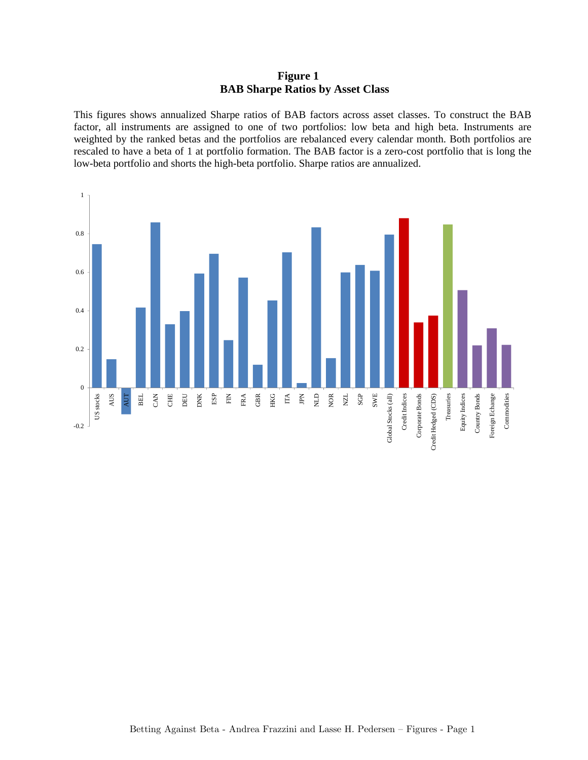## **Figure 1 BAB Sharpe Ratios by Asset Class**

This figures shows annualized Sharpe ratios of BAB factors across asset classes. To construct the BAB factor, all instruments are assigned to one of two portfolios: low beta and high beta. Instruments are weighted by the ranked betas and the portfolios are rebalanced every calendar month. Both portfolios are rescaled to have a beta of 1 at portfolio formation. The BAB factor is a zero-cost portfolio that is long the low-beta portfolio and shorts the high-beta portfolio. Sharpe ratios are annualized.

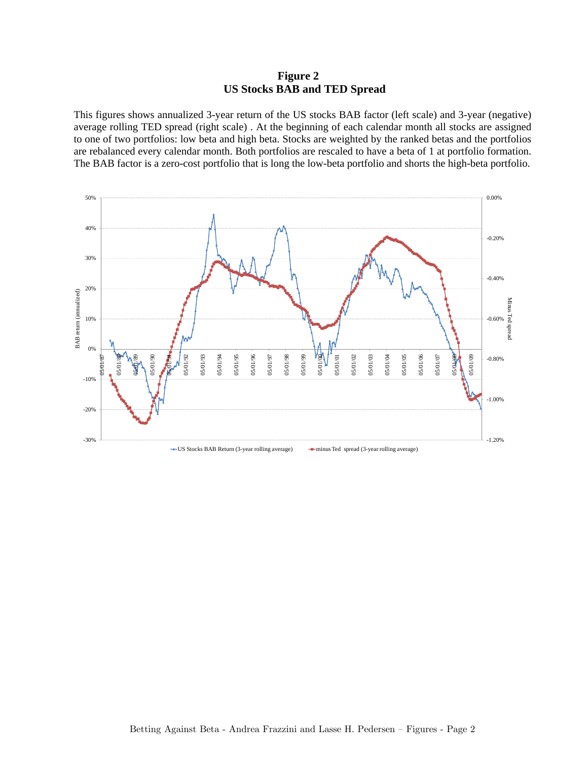## **Figure 2 US Stocks BAB and TED Spread**

This figures shows annualized 3-year return of the US stocks BAB factor (left scale) and 3-year (negative) average rolling TED spread (right scale) . At the beginning of each calendar month all stocks are assigned to one of two portfolios: low beta and high beta. Stocks are weighted by the ranked betas and the portfolios are rebalanced every calendar month. Both portfolios are rescaled to have a beta of 1 at portfolio formation. The BAB factor is a zero-cost portfolio that is long the low-beta portfolio and shorts the high-beta portfolio.